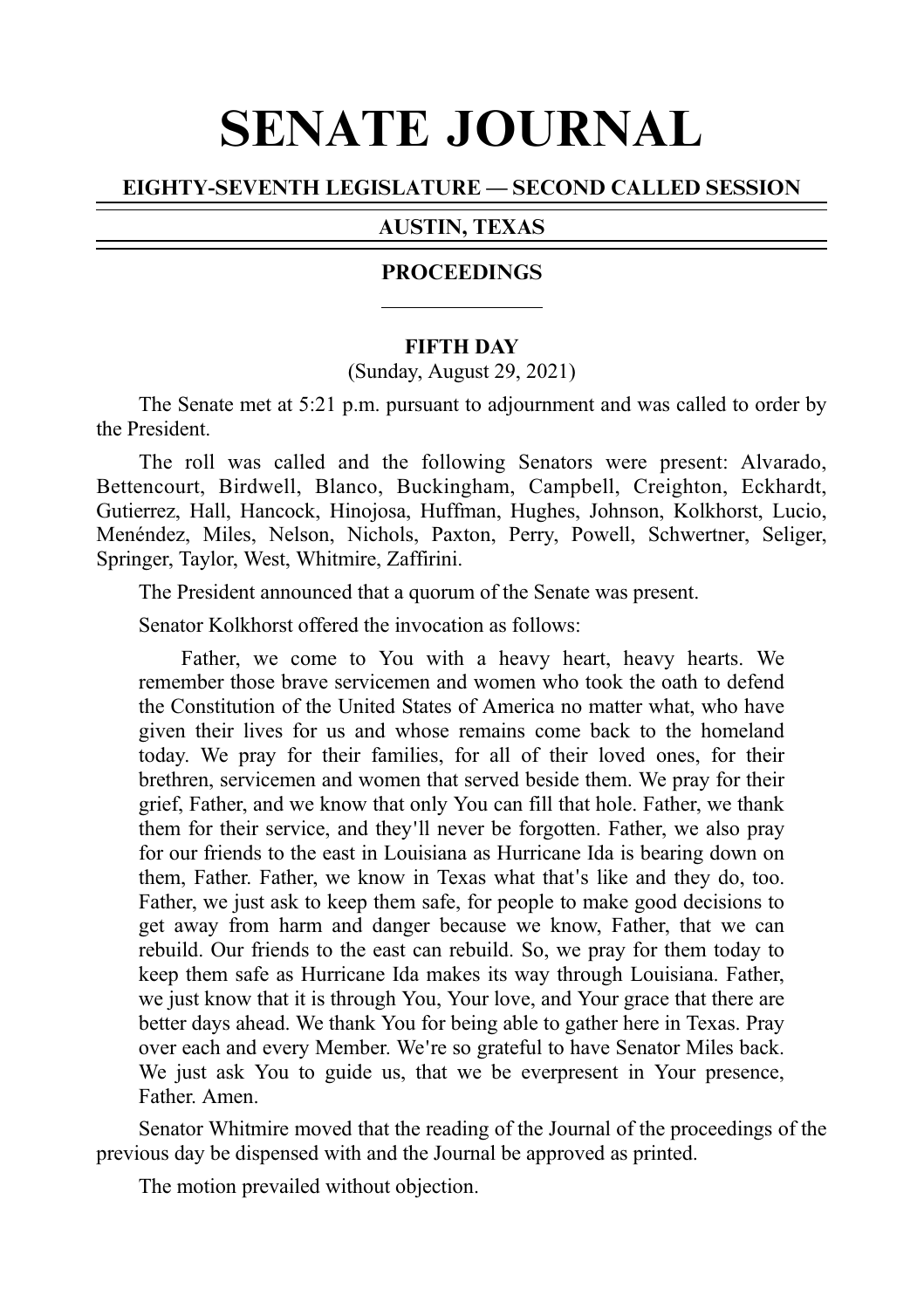# SENATE JOURNAL

# EIGHTY-SEVENTH LEGISLATURE — SECOND CALLED SESSION

## AUSTIN, TEXAS

#### **PROCEEDINGS**

#### **FIFTH DAY**

#### (Sunday, August 29, 2021)

The Senate met at 5:21 p.m. pursuant to adjournment and was called to order by the President.

The roll was called and the following Senators were present: Alvarado, Bettencourt, Birdwell, Blanco, Buckingham, Campbell, Creighton, Eckhardt, Gutierrez, Hall, Hancock, Hinojosa, Huffman, Hughes, Johnson, Kolkhorst, Lucio, Menéndez, Miles, Nelson, Nichols, Paxton, Perry, Powell, Schwertner, Seliger, Springer, Taylor, West, Whitmire, Zaffirini.

The President announced that a quorum of the Senate was present.

Senator Kolkhorst offered the invocation as follows:

Father, we come to You with a heavy heart, heavy hearts. We remember those brave servicemen and women who took the oath to defend the Constitution of the United States of America no matter what, who have given their lives for us and whose remains come back to the homeland today. We pray for their families, for all of their loved ones, for their brethren, servicemen and women that served beside them. We pray for their grief, Father, and we know that only You can fill that hole. Father, we thank them for their service, and they ll never be forgotten. Father, we also pray ' for our friends to the east in Louisiana as Hurricane Ida is bearing down on them, Father. Father, we know in Texas what that's like and they do, too. Father, we just ask to keep them safe, for people to make good decisions to get away from harm and danger because we know, Father, that we can rebuild. Our friends to the east can rebuild. So, we pray for them today to keep them safe as Hurricane Ida makes its way through Louisiana. Father, we just know that it is through You, Your love, and Your grace that there are better days ahead. We thank You for being able to gather here in Texas. Pray over each and every Member. We're so grateful to have Senator Miles back. We just ask You to guide us, that we be everpresent in Your presence, Father. Amen.

Senator Whitmire moved that the reading of the Journal of the proceedings of the previous day be dispensed with and the Journal be approved as printed.

The motion prevailed without objection.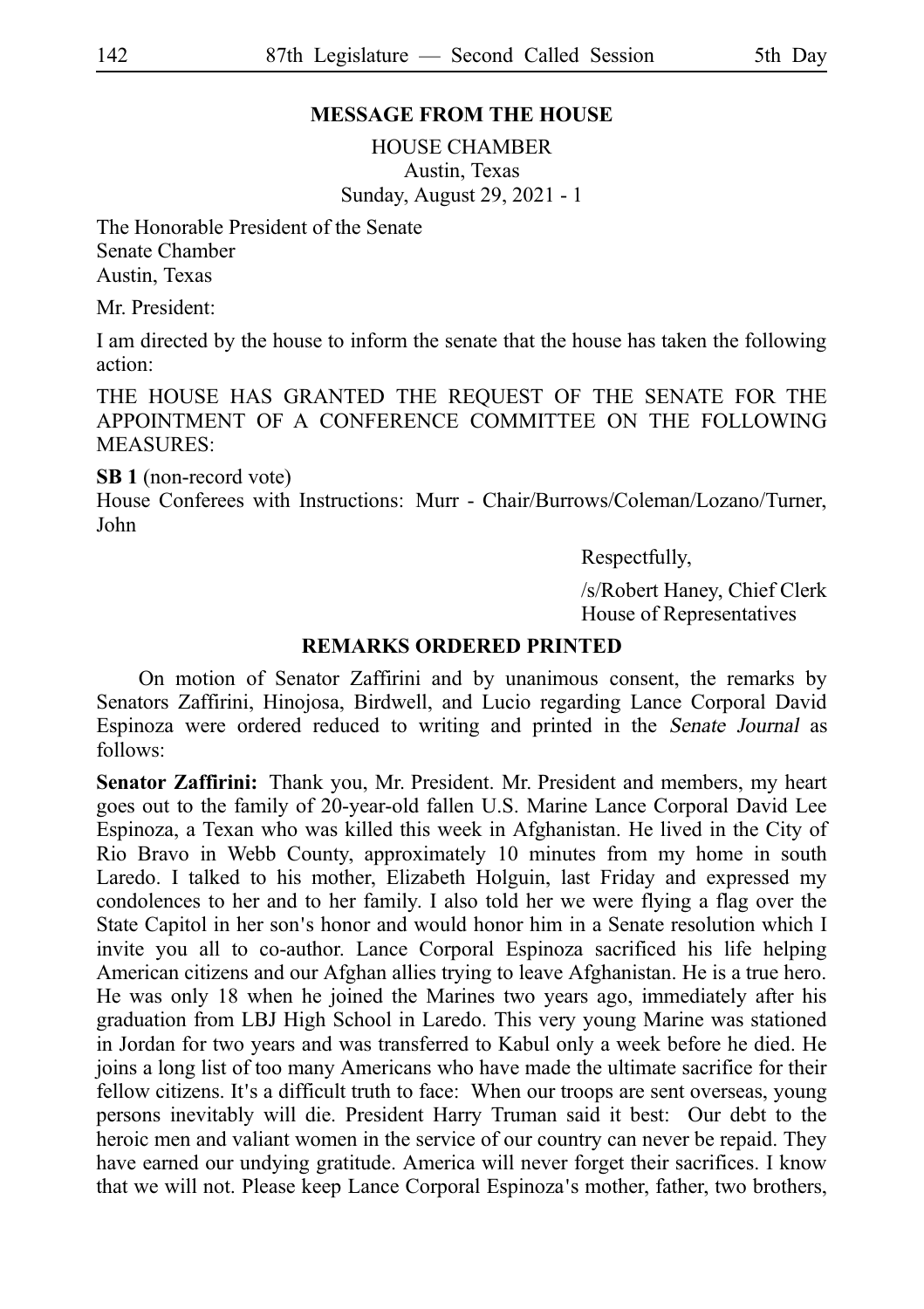## **MESSAGE FROM THE HOUSE**

HOUSE CHAMBER Austin, Texas Sunday, August 29, 2021 - 1

The Honorable President of the Senate Senate Chamber Austin, Texas

Mr. President:

I am directed by the house to inform the senate that the house has taken the following action:

THE HOUSE HAS GRANTED THE REQUEST OF THE SENATE FOR THE APPOINTMENT OF A CONFERENCE COMMITTEE ON THE FOLLOWING MEASURES:

**SB 1** (non-record vote)

House Conferees with Instructions: Murr - Chair/Burrows/Coleman/Lozano/Turner, John

Respectfully,

/s/Robert Haney, Chief Clerk House of Representatives

#### **REMARKS ORDERED PRINTED**

On motion of Senator Zaffirini and by unanimous consent, the remarks by Senators Zaffirini, Hinojosa, Birdwell, and Lucio regarding Lance Corporal David Espinoza were ordered reduced to writing and printed in the Senate Journal as follows:

Senator Zaffirini: Thank you, Mr. President. Mr. President and members, my heart goes out to the family of 20-year-old fallen U.S. Marine Lance Corporal David Lee Espinoza, a Texan who was killed this week in Afghanistan. He lived in the City of Rio Bravo in Webb County, approximately 10 minutes from my home in south Laredo. I talked to his mother, Elizabeth Holguin, last Friday and expressed my condolences to her and to her family. I also told her we were flying a flag over the State Capitol in her son's honor and would honor him in a Senate resolution which I invite you all to co-author. Lance Corporal Espinoza sacrificed his life helping American citizens and our Afghan allies trying to leave Afghanistan. He is a true hero. He was only 18 when he joined the Marines two years ago, immediately after his graduation from LBJ High School in Laredo. This very young Marine was stationed in Jordan for two years and was transferred to Kabul only a week before he died. He joins a long list of too many Americans who have made the ultimate sacrifice for their fellow citizens. It's a difficult truth to face: When our troops are sent overseas, young persons inevitably will die. President Harry Truman said it best: Our debt to the heroic men and valiant women in the service of our country can never be repaid. They have earned our undying gratitude. America will never forget their sacrifices. I know that we will not. Please keep Lance Corporal Espinoza's mother, father, two brothers,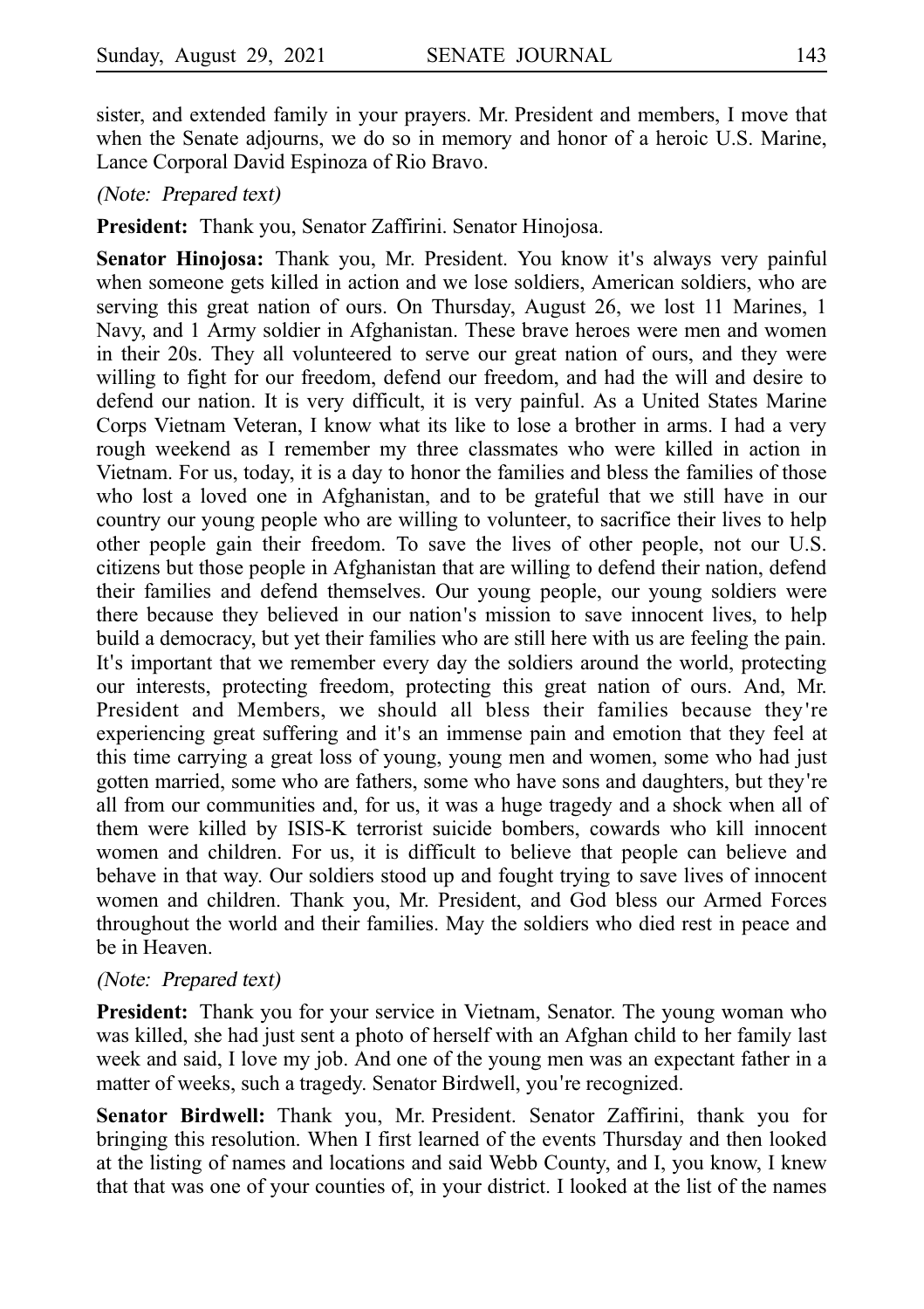sister, and extended family in your prayers. Mr. President and members, I move that when the Senate adjourns, we do so in memory and honor of a heroic U.S. Marine, Lance Corporal David Espinoza of Rio Bravo.

(Note: Prepared text)

**President:** Thank you, Senator Zaffirini. Senator Hinojosa.

**Senator Hinojosa:** Thank you, Mr. President. You know it's always very painful when someone gets killed in action and we lose soldiers, American soldiers, who are serving this great nation of ours. On Thursday, August 26, we lost 11 Marines, 1 Navy, and 1 Army soldier in Afghanistan. These brave heroes were men and women in their 20s. They all volunteered to serve our great nation of ours, and they were willing to fight for our freedom, defend our freedom, and had the will and desire to defend our nation. It is very difficult, it is very painful. As a United States Marine Corps Vietnam Veteran, I know what its like to lose a brother in arms. I had a very rough weekend as I remember my three classmates who were killed in action in Vietnam. For us, today, it is a day to honor the families and bless the families of those who lost a loved one in Afghanistan, and to be grateful that we still have in our country our young people who are willing to volunteer, to sacrifice their lives to help other people gain their freedom. To save the lives of other people, not our U.S. citizens but those people in Afghanistan that are willing to defend their nation, defend their families and defend themselves. Our young people, our young soldiers were there because they believed in our nation's mission to save innocent lives, to help build a democracy, but yet their families who are still here with us are feeling the pain. It's important that we remember every day the soldiers around the world, protecting our interests, protecting freedom, protecting this great nation of ours. And, Mr. President and Members, we should all bless their families because they're experiencing great suffering and it's an immense pain and emotion that they feel at this time carrying a great loss of young, young men and women, some who had just gotten married, some who are fathers, some who have sons and daughters, but they re' all from our communities and, for us, it was a huge tragedy and a shock when all of them were killed by ISIS-K terrorist suicide bombers, cowards who kill innocent women and children. For us, it is difficult to believe that people can believe and behave in that way. Our soldiers stood up and fought trying to save lives of innocent women and children. Thank you, Mr. President, and God bless our Armed Forces throughout the world and their families. May the soldiers who died rest in peace and be in Heaven.

#### (Note: Prepared text)

**President:** Thank you for your service in Vietnam, Senator. The young woman who was killed, she had just sent a photo of herself with an Afghan child to her family last week and said, I love my job. And one of the young men was an expectant father in a matter of weeks, such a tragedy. Senator Birdwell, you're recognized.

**Senator Birdwell:** Thank you, Mr. President. Senator Zaffirini, thank you for bringing this resolution. When I first learned of the events Thursday and then looked at the listing of names and locations and said Webb County, and I, you know, I knew that that was one of your counties of, in your district. I looked at the list of the names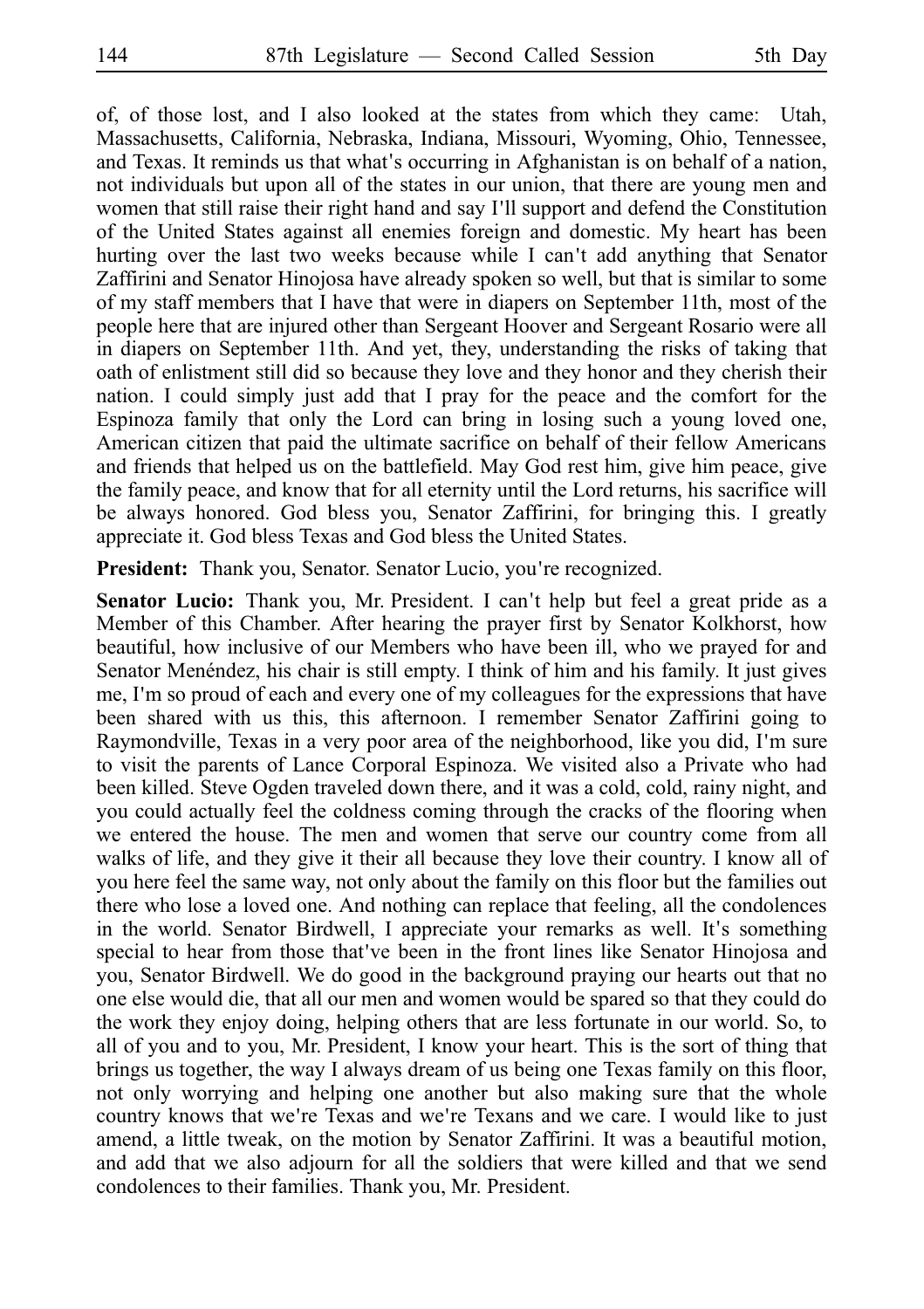of, of those lost, and I also looked at the states from which they came: Utah, Massachusetts, California, Nebraska, Indiana, Missouri, Wyoming, Ohio, Tennessee, and Texas. It reminds us that what's occurring in Afghanistan is on behalf of a nation, not individuals but upon all of the states in our union, that there are young men and women that still raise their right hand and say I'll support and defend the Constitution of the United States against all enemies foreign and domestic. My heart has been hurting over the last two weeks because while I can't add anything that Senator Zaffirini and Senator Hinojosa have already spoken so well, but that is similar to some of my staff members that I have that were in diapers on September 11th, most of the people here that are injured other than Sergeant Hoover and Sergeant Rosario were all in diapers on September 11th. And yet, they, understanding the risks of taking that oath of enlistment still did so because they love and they honor and they cherish their nation. I could simply just add that I pray for the peace and the comfort for the Espinoza family that only the Lord can bring in losing such a young loved one, American citizen that paid the ultimate sacrifice on behalf of their fellow Americans and friends that helped us on the battlefield. May God rest him, give him peace, give the family peace, and know that for all eternity until the Lord returns, his sacrifice will be always honored. God bless you, Senator Zaffirini, for bringing this. I greatly appreciate it. God bless Texas and God bless the United States.

**President:** Thank you, Senator. Senator Lucio, you're recognized.

**Senator Lucio:** Thank you, Mr. President. I can't help but feel a great pride as a Member of this Chamber. After hearing the prayer first by Senator Kolkhorst, how beautiful, how inclusive of our Members who have been ill, who we prayed for and Senator Menéndez, his chair is still empty. I think of him and his family. It just gives me, I'm so proud of each and every one of my colleagues for the expressions that have been shared with us this, this afternoon. I remember Senator Zaffirini going to Raymondville, Texas in a very poor area of the neighborhood, like you did, I'm sure to visit the parents of Lance Corporal Espinoza. We visited also a Private who had been killed. Steve Ogden traveled down there, and it was a cold, cold, rainy night, and you could actually feel the coldness coming through the cracks of the flooring when we entered the house. The men and women that serve our country come from all walks of life, and they give it their all because they love their country. I know all of you here feel the same way, not only about the family on this floor but the families out there who lose a loved one. And nothing can replace that feeling, all the condolences in the world. Senator Birdwell, I appreciate your remarks as well. It's something special to hear from those that ve been in the front lines like Senator Hinojosa and you, Senator Birdwell. We do good in the background praying our hearts out that no one else would die, that all our men and women would be spared so that they could do the work they enjoy doing, helping others that are less fortunate in our world. So, to all of you and to you, Mr. President, I know your heart. This is the sort of thing that brings us together, the way I always dream of us being one Texas family on this floor, not only worrying and helping one another but also making sure that the whole country knows that we're Texas and we're Texans and we care. I would like to just amend, a little tweak, on the motion by Senator Zaffirini. It was a beautiful motion, and add that we also adjourn for all the soldiers that were killed and that we send condolences to their families. Thank you, Mr. President.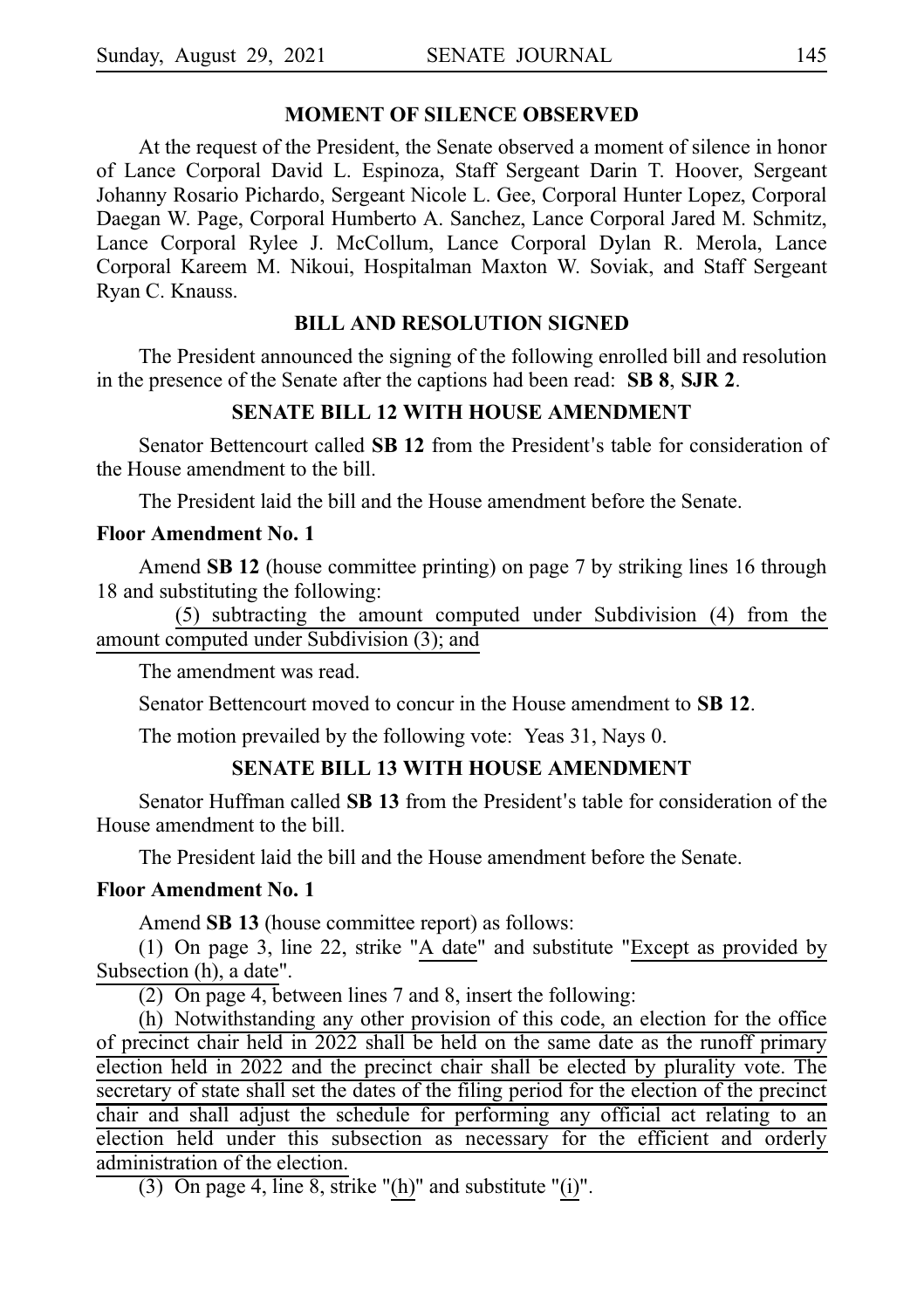## **MOMENT OF SILENCE OBSERVED**

At the request of the President, the Senate observed a moment of silence in honor of Lance Corporal David L. Espinoza, Staff Sergeant Darin T. Hoover, Sergeant Johanny Rosario Pichardo, Sergeant Nicole L. Gee, Corporal Hunter Lopez, Corporal Daegan W. Page, Corporal Humberto A. Sanchez, Lance Corporal Jared M. Schmitz, Lance Corporal Rylee J. McCollum, Lance Corporal Dylan R. Merola, Lance Corporal Kareem M. Nikoui, Hospitalman Maxton W. Soviak, and Staff Sergeant Ryan C. Knauss.

## **BILL AND RESOLUTION SIGNED**

The President announced the signing of the following enrolled bill and resolution in the presence of the Senate after the captions had been read: **SB 8, SJR 2.** 

#### **SENATE BILL 12 WITH HOUSE AMENDMENT**

Senator Bettencourt called **SB 12** from the President's table for consideration of the House amendment to the bill.

The President laid the bill and the House amendment before the Senate.

## **Floor Amendment No.i1**

Amend **SB 12** (house committee printing) on page 7 by striking lines 16 through 18 and substituting the following:

(5) subtracting the amount computed under Subdivision (4) from the amount computed under Subdivision (3); and

The amendment was read.

Senator Bettencourt moved to concur in the House amendment to **SBi12**.

The motion prevailed by the following vote: Yeas 31, Nays 0.

# **SENATE BILL 13 WITH HOUSE AMENDMENT**

Senator Huffman called **SB 13** from the President's table for consideration of the House amendment to the bill.

The President laid the bill and the House amendment before the Senate.

#### **Floor Amendment No.i1**

Amend **SB 13** (house committee report) as follows:

(1) On page 3, line 22, strike "A date" and substitute "Except as provided by Subsection (h), a date".

(2) On page 4, between lines 7 and 8, insert the following:

(h) Notwithstanding any other provision of this code, an election for the office of precinct chair held in 2022 shall be held on the same date as the runoff primary election held in 2022 and the precinct chair shall be elected by plurality vote. The secretary of state shall set the dates of the filing period for the election of the precinct chair and shall adjust the schedule for performing any official act relating to an election held under this subsection as necessary for the efficient and orderly administration of the election.

(3) On page 4, line 8, strike "(h)" and substitute "(i)".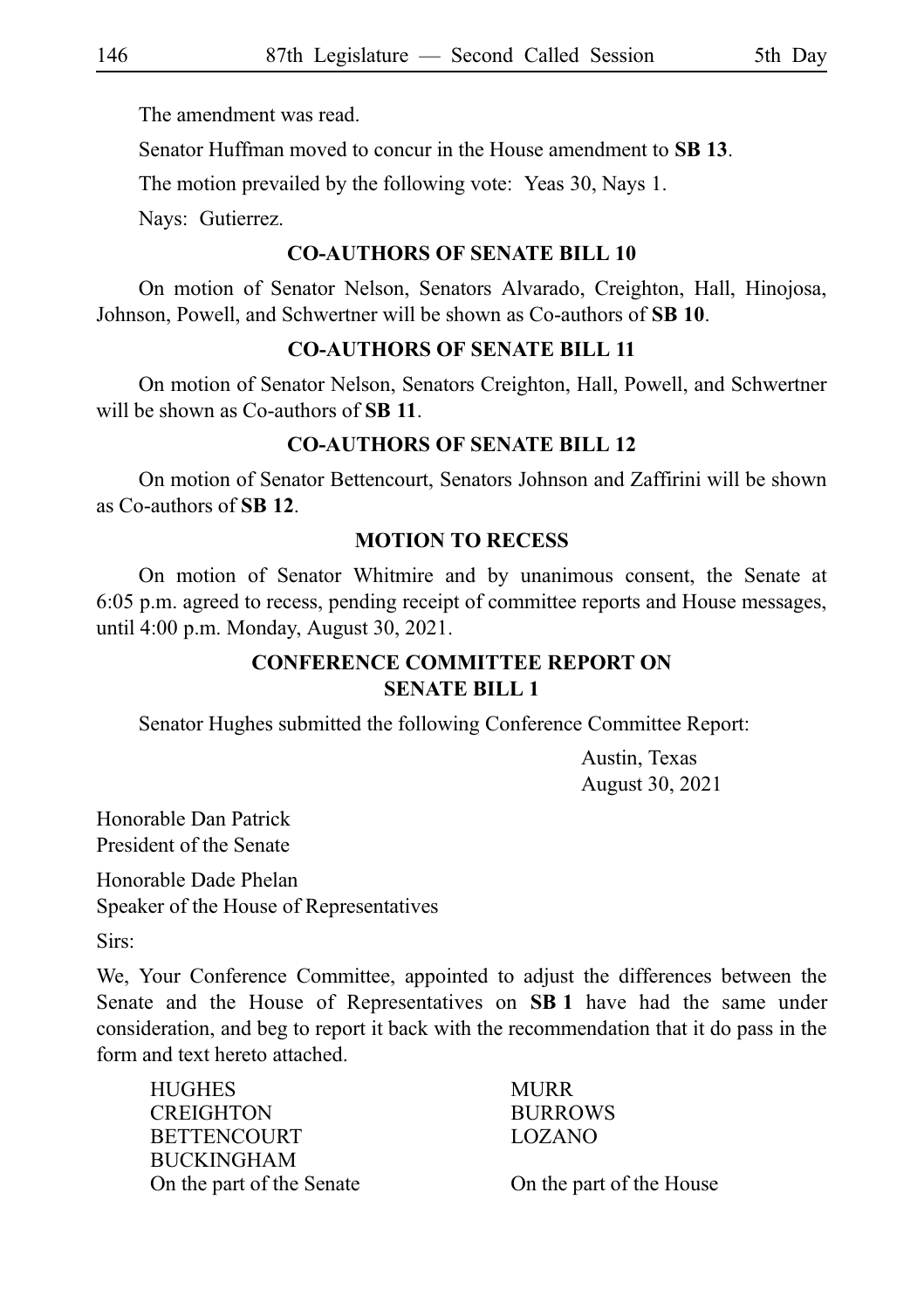The amendment was read.

Senator Huffman moved to concur in the House amendment to **SBi13**.

The motion prevailed by the following vote: Yeas 30, Nays 1.

Nays: Gutierrez.

## **CO-AUTHORS OF SENATE BILL 10**

On motion of Senator Nelson, Senators Alvarado, Creighton, Hall, Hinojosa, Johnson, Powell, and Schwertner will be shown as Co-authors of **SBi10**.

### **CO-AUTHORS OF SENATE BILL 11**

On motion of Senator Nelson, Senators Creighton, Hall, Powell, and Schwertner will be shown as Co-authors of **SB 11**.

#### **CO-AUTHORS OF SENATE BILL 12**

On motion of Senator Bettencourt, Senators Johnson and Zaffirini will be shown as Co-authors of **SBi12**.

## **MOTION TO RECESS**

On motion of Senator Whitmire and by unanimous consent, the Senate at 6:05 p.m. agreed to recess, pending receipt of committee reports and House messages, until 4:00 p.m. Monday, August 30, 2021.

# **CONFERENCE COMMITTEE REPORT ON SENATE BILL 1**

Senator Hughes submitted the following Conference Committee Report:

Austin, Texas August 30, 2021

Honorable Dan Patrick President of the Senate

Honorable Dade Phelan Speaker of the House of Representatives

Sirs:

We, Your Conference Committee, appointed to adjust the differences between the Senate and the House of Representatives on **SBi1** have had the same under consideration, and beg to report it back with the recommendation that it do pass in the form and text hereto attached.

| <b>HUGHES</b>             | <b>MURR</b>              |
|---------------------------|--------------------------|
| <b>CREIGHTON</b>          | <b>BURROWS</b>           |
| <b>BETTENCOURT</b>        | LOZANO                   |
| <b>BUCKINGHAM</b>         |                          |
| On the part of the Senate | On the part of the House |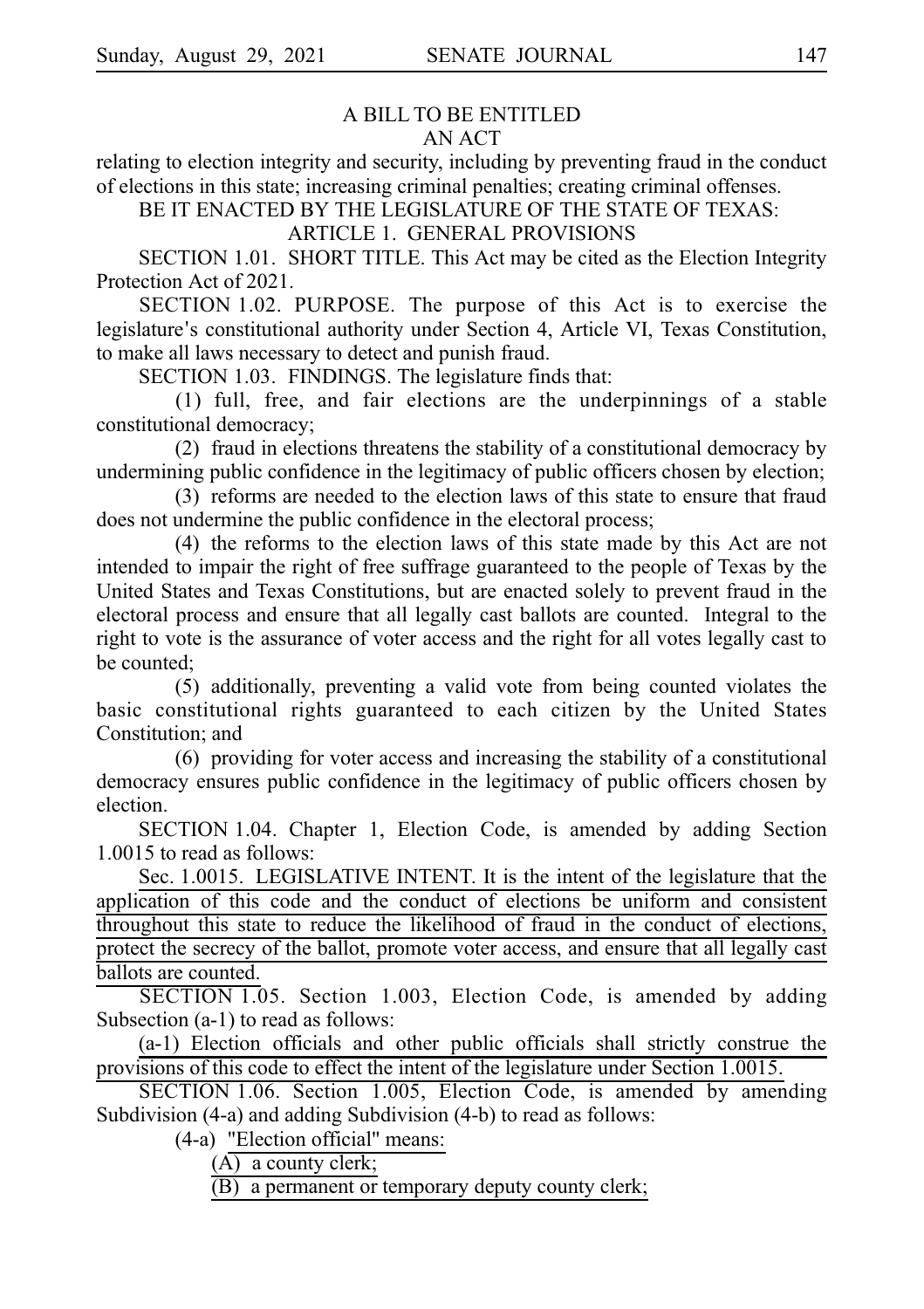## A BILL TO BE ENTITLED AN ACT

relating to election integrity and security, including by preventing fraud in the conduct of elections in this state; increasing criminal penalties; creating criminal offenses.

BE IT ENACTED BY THE LEGISLATURE OF THE STATE OF TEXAS:

# ARTICLE 1. GENERAL PROVISIONS

SECTION 1.01. SHORT TITLE. This Act may be cited as the Election Integrity Protection Act of 2021.

SECTION 1.02. PURPOSE. The purpose of this Act is to exercise the legislature's constitutional authority under Section 4, Article VI, Texas Constitution, to make all laws necessary to detect and punish fraud.

SECTION 1.03. FINDINGS. The legislature finds that:

 $(1)$  full, free, and fair elections are the underpinnings of a stable constitutional democracy;

(2) fraud in elections threatens the stability of a constitutional democracy by undermining public confidence in the legitimacy of public officers chosen by election;

(3) reforms are needed to the election laws of this state to ensure that fraud does not undermine the public confidence in the electoral process;

 $(4)$  the reforms to the election laws of this state made by this Act are not intended to impair the right of free suffrage guaranteed to the people of Texas by the United States and Texas Constitutions, but are enacted solely to prevent fraud in the electoral process and ensure that all legally cast ballots are counted. Integral to the right to vote is the assurance of voter access and the right for all votes legally cast to be counted;

(5) additionally, preventing a valid vote from being counted violates the basic constitutional rights guaranteed to each citizen by the United States Constitution; and

 $(6)$  providing for voter access and increasing the stability of a constitutional democracy ensures public confidence in the legitimacy of public officers chosen by election.

SECTION 1.04. Chapter 1, Election Code, is amended by adding Section 1.0015 to read as follows:

Sec. 1.0015. LEGISLATIVE INTENT. It is the intent of the legislature that the application of this code and the conduct of elections be uniform and consistent throughout this state to reduce the likelihood of fraud in the conduct of elections, protect the secrecy of the ballot, promote voter access, and ensure that all legally cast ballots are counted.

SECTION 1.05. Section 1.003, Election Code, is amended by adding Subsection (a-1) to read as follows:

(a-1) Election officials and other public officials shall strictly construe the provisions of this code to effect the intent of the legislature under Section 1.0015.

SECTION 1.06. Section 1.005, Election Code, is amended by amending Subdivision (4-a) and adding Subdivision (4-b) to read as follows:

 $(4-a)$  "Election official" means:

 $(A)$  a county clerk;

(B) a permanent or temporary deputy county clerk;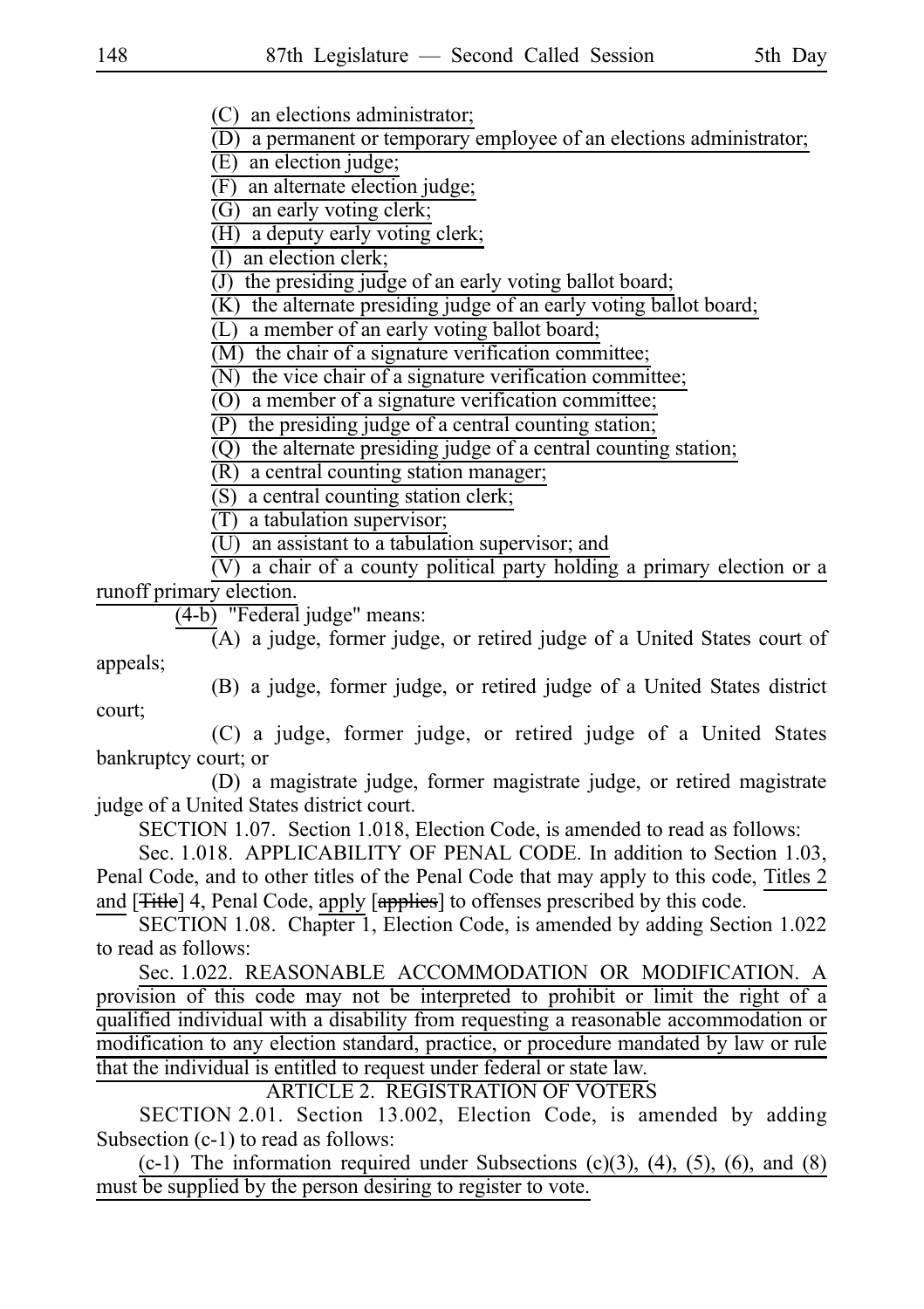(C) an elections administrator;

(D) a permanent or temporary employee of an elections administrator;

 $(E)$  an election judge;

(F) an alternate election judge;

 $(G)$  an early voting clerk;

 $(H)$  a deputy early voting clerk;

(I) an election clerk;

(J) the presiding judge of an early voting ballot board;

 $(K)$  the alternate presiding judge of an early voting ballot board;

 $(L)$  a member of an early voting ballot board;

 $(M)$  the chair of a signature verification committee;

 $\overline{N}$  the vice chair of a signature verification committee;

 $(0)$  a member of a signature verification committee;

 $(P)$  the presiding judge of a central counting station;

 $(Q)$  the alternate presiding judge of a central counting station;

 $(R)$  a central counting station manager;

 $(S)$  a central counting station clerk;

 $(T)$  a tabulation supervisor;

 $(U)$  an assistant to a tabulation supervisor; and

 $\overline{V}$ ) a chair of a county political party holding a primary election or a runoff primary election.

 $(4-b)$  "Federal judge" means:

 $\overline{A}$  a judge, former judge, or retired judge of a United States court of appeals;

(B) a judge, former judge, or retired judge of a United States district court;

(C) a judge, former judge, or retired judge of a United States bankruptcy court; or

(D) a magistrate judge, former magistrate judge, or retired magistrate judge of a United States district court.

SECTION 1.07. Section 1.018, Election Code, is amended to read as follows:

Sec. 1.018. APPLICABILITY OF PENAL CODE. In addition to Section 1.03, Penal Code, and to other titles of the Penal Code that may apply to this code, Titles 2 and [<del>Title</del>] 4, Penal Code, apply [applies] to offenses prescribed by this code.

SECTION 1.08. Chapter 1, Election Code, is amended by adding Section 1.022 to read as follows:

Sec. 1.022. REASONABLE ACCOMMODATION OR MODIFICATION. A provision of this code may not be interpreted to prohibit or limit the right of a qualified individual with a disability from requesting a reasonable accommodation or modification to any election standard, practice, or procedure mandated by law or rule that the individual is entitled to request under federal or state law.

ARTICLE 2. REGISTRATION OF VOTERS

SECTION 2.01. Section 13.002, Election Code, is amended by adding Subsection (c-1) to read as follows:

 $(c-1)$  The information required under Subsections  $(c)(3)$ ,  $(4)$ ,  $(5)$ ,  $(6)$ , and  $(8)$ must be supplied by the person desiring to register to vote.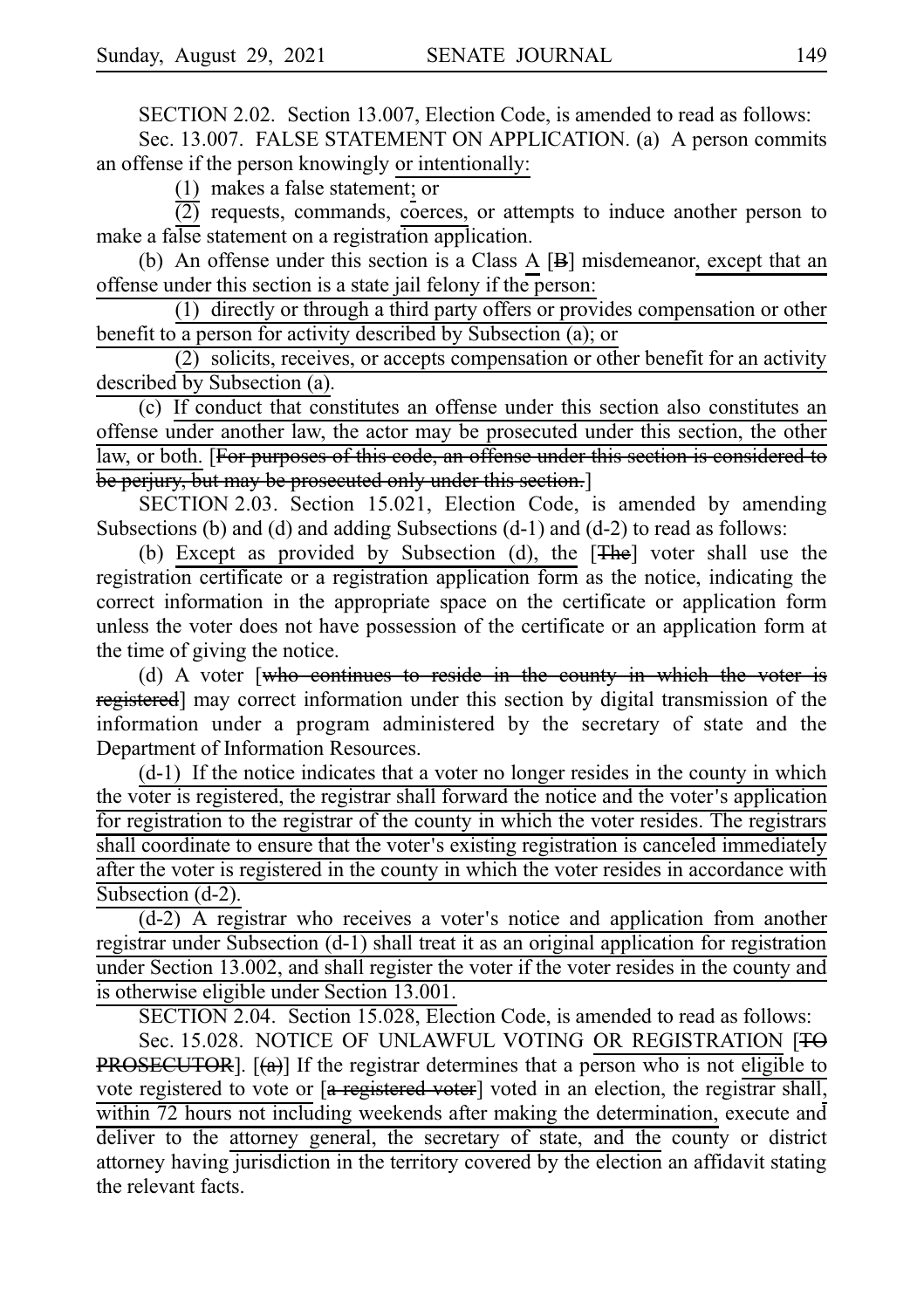SECTION 2.02. Section 13.007, Election Code, is amended to read as follows:

Sec. 13.007. FALSE STATEMENT ON APPLICATION. (a) A person commits an offense if the person knowingly or intentionally:

(1) makes a false statement; or

 $\overline{(2)}$  requests, commands, coerces, or attempts to induce another person to make a false statement on a registration application.

(b) An offense under this section is a Class A  $[B]$  misdemeanor, except that an offense under this section is a state jail felony if the person:

 $(1)$  directly or through a third party offers or provides compensation or other benefit to a person for activity described by Subsection (a); or

 $(2)$  solicits, receives, or accepts compensation or other benefit for an activity described by Subsection (a).

(c) If conduct that constitutes an offense under this section also constitutes an offense under another law, the actor may be prosecuted under this section, the other law, or both. [For purposes of this code, an offense under this section is considered to be perjury, but may be prosecuted only under this section.]

SECTION 2.03. Section 15.021, Election Code, is amended by amending Subsections (b) and (d) and adding Subsections (d-1) and (d-2) to read as follows:

(b) Except as provided by Subsection (d), the  $[The]$  voter shall use the registration certificate or a registration application form as the notice, indicating the correct information in the appropriate space on the certificate or application form unless the voter does not have possession of the certificate or an application form at the time of giving the notice.

(d) A voter  $\lceil$ who continues to reside in the county in which the voter is registered] may correct information under this section by digital transmission of the information under a program administered by the secretary of state and the Department of Information Resources.

 $(d-1)$  If the notice indicates that a voter no longer resides in the county in which the voter is registered, the registrar shall forward the notice and the voter's application for registration to the registrar of the county in which the voter resides. The registrars shall coordinate to ensure that the voter's existing registration is canceled immediately after the voter is registered in the county in which the voter resides in accordance with Subsection (d-2).

 $(d-2)$  A registrar who receives a voter's notice and application from another registrar under Subsection (d-1) shall treat it as an original application for registration under Section 13.002, and shall register the voter if the voter resides in the county and is otherwise eligible under Section 13.001.

SECTION 2.04. Section 15.028, Election Code, is amended to read as follows:

Sec. 15.028. NOTICE OF UNLAWFUL VOTING OR REGISTRATION [TO **PROSECUTOR**].  $[(a)]$  If the registrar determines that a person who is not eligible to vote registered to vote or  $[a$  registered voter] voted in an election, the registrar shall, within 72 hours not including weekends after making the determination, execute and deliver to the attorney general, the secretary of state, and the county or district attorney having jurisdiction in the territory covered by the election an affidavit stating the relevant facts.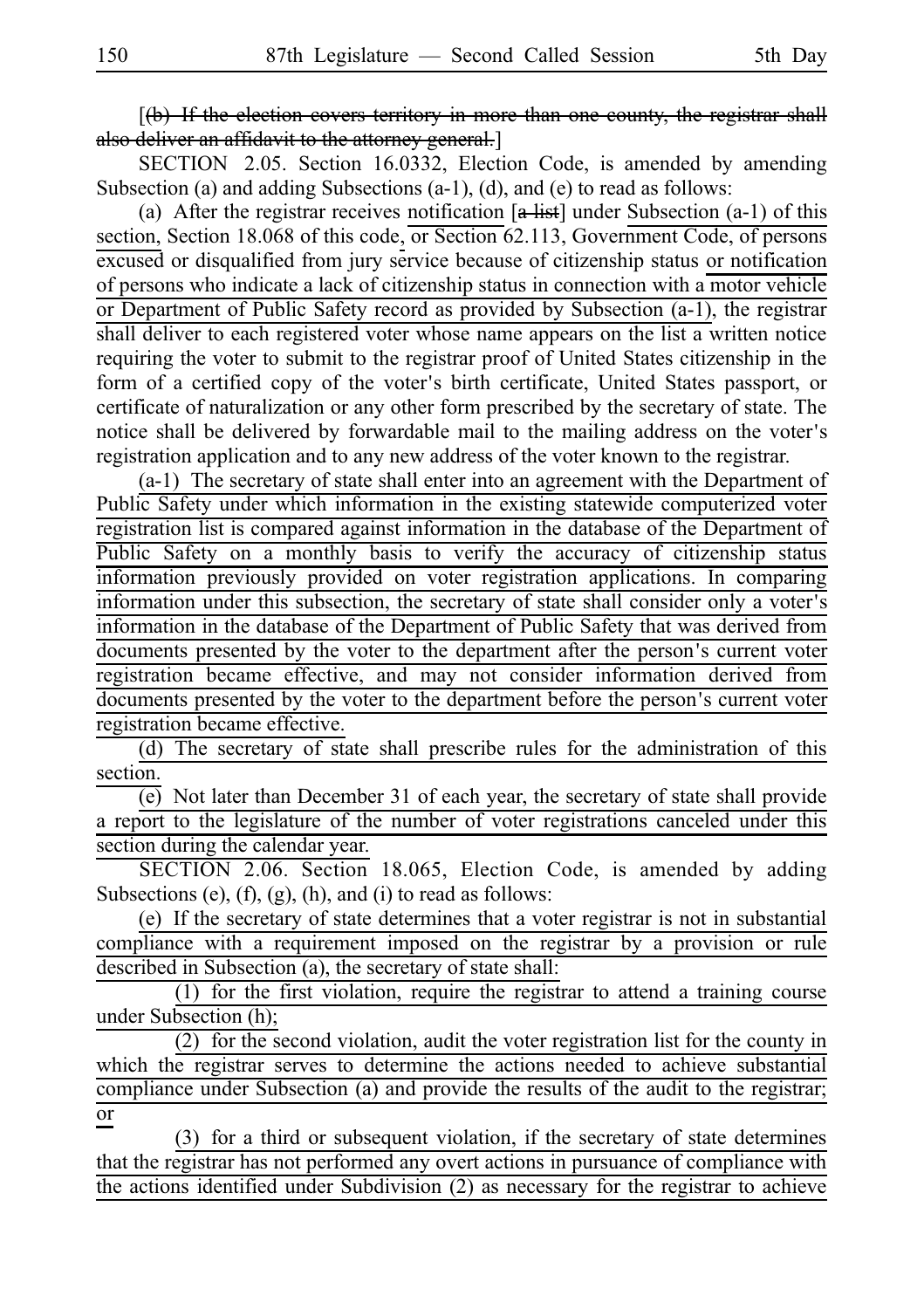$\lceil$ (b) If the election covers territory in more than one county, the registrar shall also deliver an affidavit to the attorney general.<sup>]</sup>

SECTION 2.05. Section 16.0332, Election Code, is amended by amending Subsection (a) and adding Subsections (a-1), (d), and (e) to read as follows:

(a) After the registrar receives notification  $[a + i\pi]$  under Subsection (a-1) of this section, Section 18.068 of this code, or Section 62.113, Government Code, of persons excused or disqualified from jury service because of citizenship status or notification of persons who indicate a lack of citizenship status in connection with a motor vehicle or Department of Public Safety record as provided by Subsection (a-1), the registrar shall deliver to each registered voter whose name appears on the list a written notice requiring the voter to submit to the registrar proof of United States citizenship in the form of a certified copy of the voter's birth certificate, United States passport, or certificate of naturalization or any other form prescribed by the secretary of state. The notice shall be delivered by forwardable mail to the mailing address on the voter's registration application and to any new address of the voter known to the registrar.

 $(a-1)$  The secretary of state shall enter into an agreement with the Department of Public Safety under which information in the existing statewide computerized voter registration list is compared against information in the database of the Department of Public Safety on a monthly basis to verify the accuracy of citizenship status information previously provided on voter registration applications. In comparing information under this subsection, the secretary of state shall consider only a voter's information in the database of the Department of Public Safety that was derived from documents presented by the voter to the department after the person's current voter registration became effective, and may not consider information derived from documents presented by the voter to the department before the person's current voter registration became effective.

(d) The secretary of state shall prescribe rules for the administration of this section.

(e) Not later than December 31 of each year, the secretary of state shall provide a report to the legislature of the number of voter registrations canceled under this section during the calendar year.

SECTION 2.06. Section 18.065, Election Code, is amended by adding Subsections  $(e)$ ,  $(f)$ ,  $(g)$ ,  $(h)$ , and  $(i)$  to read as follows:

(e) If the secretary of state determines that a voter registrar is not in substantial compliance with a requirement imposed on the registrar by a provision or rule described in Subsection (a), the secretary of state shall:

 $(1)$  for the first violation, require the registrar to attend a training course under Subsection (h);

 $(2)$  for the second violation, audit the voter registration list for the county in which the registrar serves to determine the actions needed to achieve substantial compliance under Subsection (a) and provide the results of the audit to the registrar; or

 $(3)$  for a third or subsequent violation, if the secretary of state determines that the registrar has not performed any overt actions in pursuance of compliance with the actions identified under Subdivision (2) as necessary for the registrar to achieve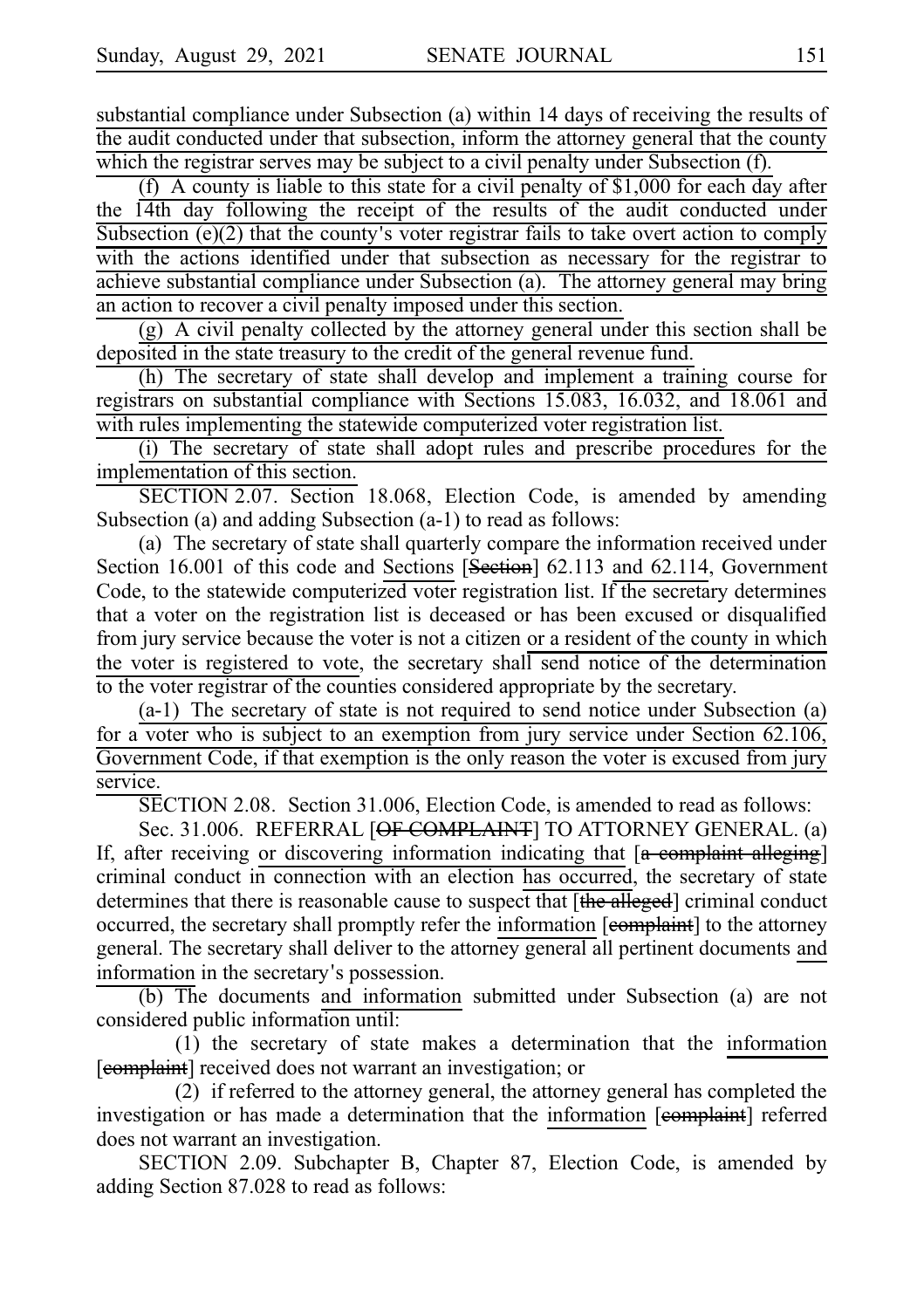substantial compliance under Subsection (a) within 14 days of receiving the results of the audit conducted under that subsection, inform the attorney general that the county which the registrar serves may be subject to a civil penalty under Subsection (f).

(f) A county is liable to this state for a civil penalty of \$1,000 for each day after the 14th day following the receipt of the results of the audit conducted under Subsection  $(e)(2)$  that the county's voter registrar fails to take overt action to comply with the actions identified under that subsection as necessary for the registrar to achieve substantial compliance under Subsection (a). The attorney general may bring an action to recover a civil penalty imposed under this section.

(g) A civil penalty collected by the attorney general under this section shall be deposited in the state treasury to the credit of the general revenue fund.

(h) The secretary of state shall develop and implement a training course for registrars on substantial compliance with Sections 15.083, 16.032, and 18.061 and with rules implementing the statewide computerized voter registration list.

(i) The secretary of state shall adopt rules and prescribe procedures for the implementation of this section.

SECTION 2.07. Section 18.068, Election Code, is amended by amending Subsection (a) and adding Subsection (a-1) to read as follows:

(a) The secretary of state shall quarterly compare the information received under Section 16.001 of this code and Sections [Section] 62.113 and 62.114, Government Code, to the statewide computerized voter registration list. If the secretary determines that a voter on the registration list is deceased or has been excused or disqualified from jury service because the voter is not a citizen or a resident of the county in which the voter is registered to vote, the secretary shall send notice of the determination to the voter registrar of the counties considered appropriate by the secretary.

 $(a-1)$  The secretary of state is not required to send notice under Subsection  $(a)$ for a voter who is subject to an exemption from jury service under Section 62.106, Government Code, if that exemption is the only reason the voter is excused from jury service.

SECTION 2.08. Section 31.006, Election Code, is amended to read as follows:

Sec. 31.006. REFERRAL [OF COMPLAINT] TO ATTORNEY GENERAL. (a) If, after receiving or discovering information indicating that  $[a$  complaint alleging] criminal conduct in connection with an election has occurred, the secretary of state determines that there is reasonable cause to suspect that [the alleged] criminal conduct occurred, the secretary shall promptly refer the information [complaint] to the attorney general. The secretary shall deliver to the attorney general all pertinent documents and information in the secretary's possession.

(b) The documents and information submitted under Subsection (a) are not considered public information until:

 $(1)$  the secretary of state makes a determination that the information [complaint] received does not warrant an investigation; or

(2) if referred to the attorney general, the attorney general has completed the investigation or has made a determination that the information [eomplaint] referred does not warrant an investigation.

SECTION 2.09. Subchapter B, Chapter 87, Election Code, is amended by adding Section 87.028 to read as follows: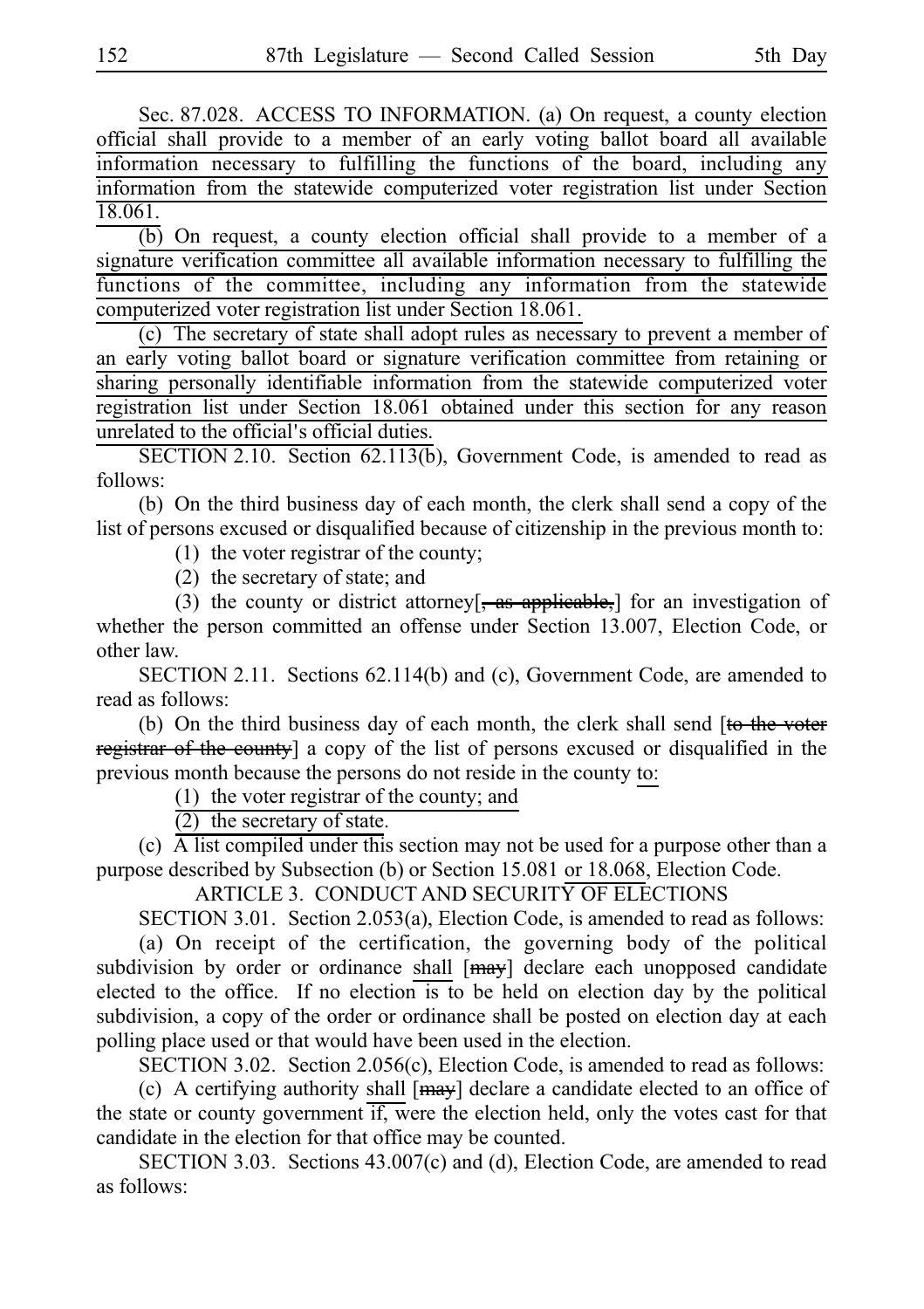Sec. 87.028. ACCESS TO INFORMATION. (a) On request, a county election official shall provide to a member of an early voting ballot board all available information necessary to fulfilling the functions of the board, including any information from the statewide computerized voter registration list under Section 18.061.

 $\overline{(b)}$  On request, a county election official shall provide to a member of a signature verification committee all available information necessary to fulfilling the functions of the committee, including any information from the statewide computerized voter registration list under Section 18.061.

 $(c)$  The secretary of state shall adopt rules as necessary to prevent a member of an early voting ballot board or signature verification committee from retaining or sharing personally identifiable information from the statewide computerized voter registration list under Section 18.061 obtained under this section for any reason unrelated to the official's official duties.

SECTION 2.10. Section  $62.113(b)$ , Government Code, is amended to read as follows:

(b) On the third business day of each month, the clerk shall send a copy of the list of persons excused or disqualified because of citizenship in the previous month to:

(1) the voter registrar of the county;

 $(2)$  the secretary of state; and

(3) the county or district attorney[ $\frac{1}{2}$  as applicable,] for an investigation of whether the person committed an offense under Section 13.007, Election Code, or other law.

SECTION 2.11. Sections 62.114(b) and (c), Government Code, are amended to read as follows:

(b) On the third business day of each month, the clerk shall send  $[t\leftrightarrow$  the voter registrar of the county] a copy of the list of persons excused or disqualified in the previous month because the persons do not reside in the county to:

(1) the voter registrar of the county; and

 $(2)$  the secretary of state.

(c)  $\overline{A}$  list compiled under this section may not be used for a purpose other than a purpose described by Subsection (b) or Section 15.081 or 18.068, Election Code.

ARTICLE 3. CONDUCT AND SECURITY OF ELECTIONS

SECTION 3.01. Section 2.053(a), Election Code, is amended to read as follows:

(a) On receipt of the certification, the governing body of the political subdivision by order or ordinance shall  $[may]$  declare each unopposed candidate elected to the office. If no election is to be held on election day by the political subdivision, a copy of the order or ordinance shall be posted on election day at each polling place used or that would have been used in the election.

SECTION 3.02. Section 2.056(c), Election Code, is amended to read as follows:

(c) A certifying authority shall  $[\frac{may}{}]\$  declare a candidate elected to an office of the state or county government if, were the election held, only the votes cast for that candidate in the election for that office may be counted.

SECTION 3.03. Sections 43.007(c) and (d), Election Code, are amended to read as follows: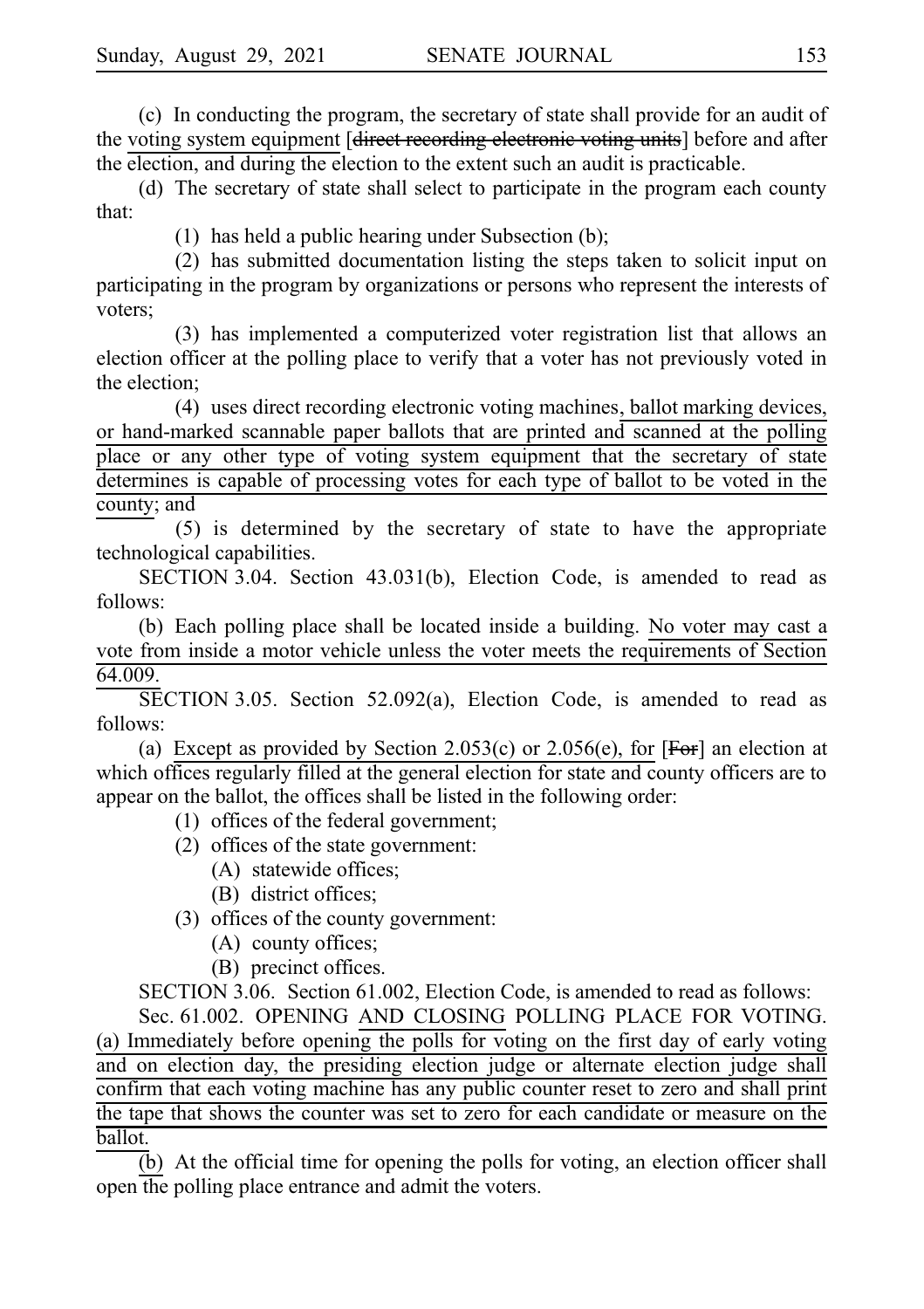(c) In conducting the program, the secretary of state shall provide for an audit of the voting system equipment [direct recording electronic voting units] before and after the election, and during the election to the extent such an audit is practicable.

(d) The secretary of state shall select to participate in the program each county that:

(1) has held a public hearing under Subsection (b);

(2) has submitted documentation listing the steps taken to solicit input on participating in the program by organizations or persons who represent the interests of voters;

(3) has implemented a computerized voter registration list that allows an election officer at the polling place to verify that a voter has not previously voted in the election;

(4) uses direct recording electronic voting machines, ballot marking devices, or hand-marked scannable paper ballots that are printed and scanned at the polling place or any other type of voting system equipment that the secretary of state determines is capable of processing votes for each type of ballot to be voted in the county; and

(5) is determined by the secretary of state to have the appropriate technological capabilities.

SECTION 3.04. Section  $43.031(b)$ , Election Code, is amended to read as follows:

(b) Each polling place shall be located inside a building. No voter may cast a vote from inside a motor vehicle unless the voter meets the requirements of Section 64.009.

 $\overline{\text{SECTION 3.05}}$ . Section 52.092(a), Election Code, is amended to read as follows:

(a) Except as provided by Section 2.053(c) or 2.056(e), for  $[FeF]$  an election at which offices regularly filled at the general election for state and county officers are to appear on the ballot, the offices shall be listed in the following order:

- $(1)$  offices of the federal government;
- (2) offices of the state government:
	- (A) statewide offices;
	- (B) district offices;

 $(3)$  offices of the county government:

- $(A)$  county offices;
- (B) precinct offices.

SECTION 3.06. Section 61.002, Election Code, is amended to read as follows:

Sec. 61.002. OPENING AND CLOSING POLLING PLACE FOR VOTING. (a) Immediately before opening the polls for voting on the first day of early voting and on election day, the presiding election judge or alternate election judge shall confirm that each voting machine has any public counter reset to zero and shall print the tape that shows the counter was set to zero for each candidate or measure on the ballot.

 $\overline{b}$ ) At the official time for opening the polls for voting, an election officer shall open the polling place entrance and admit the voters.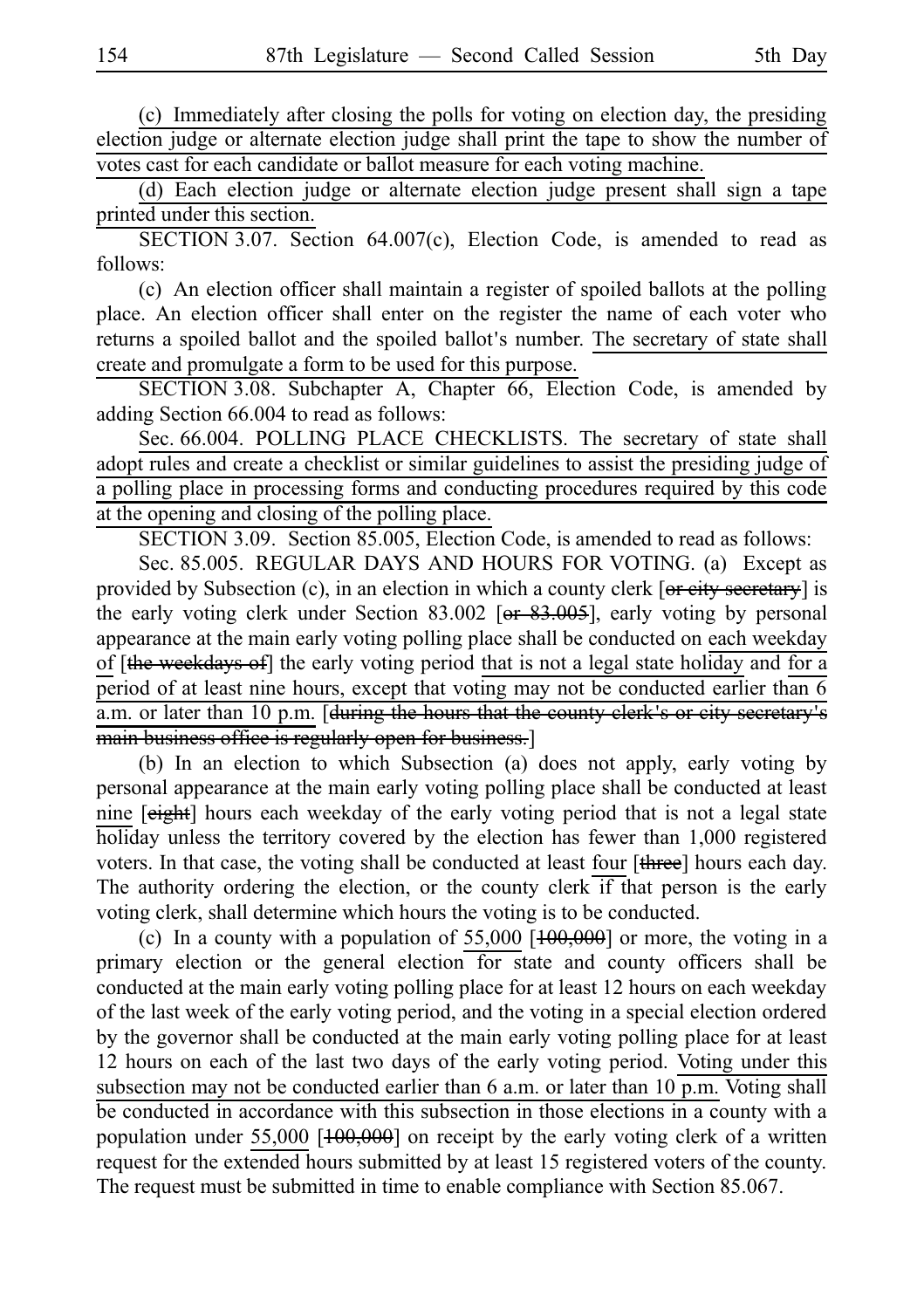(c) Immediately after closing the polls for voting on election day, the presiding election judge or alternate election judge shall print the tape to show the number of votes cast for each candidate or ballot measure for each voting machine.

(d) Each election judge or alternate election judge present shall sign a tape printed under this section.

SECTION 3.07. Section 64.007(c), Election Code, is amended to read as follows:

(c) An election officer shall maintain a register of spoiled ballots at the polling place. An election officer shall enter on the register the name of each voter who returns a spoiled ballot and the spoiled ballot's number. The secretary of state shall create and promulgate a form to be used for this purpose.

SECTION 3.08. Subchapter A, Chapter 66, Election Code, is amended by adding Section 66.004 to read as follows:

Sec. 66.004. POLLING PLACE CHECKLISTS. The secretary of state shall adopt rules and create a checklist or similar guidelines to assist the presiding judge of a polling place in processing forms and conducting procedures required by this code at the opening and closing of the polling place.

SECTION 3.09. Section 85.005, Election Code, is amended to read as follows:

Sec. 85.005. REGULAR DAYS AND HOURS FOR VOTING. (a) Except as provided by Subsection (c), in an election in which a county clerk [or eity secretary] is the early voting clerk under Section 83.002 [ $\theta$ r 83.005], early voting by personal appearance at the main early voting polling place shall be conducted on each weekday of [the weekdays of] the early voting period that is not a legal state holiday and for a period of at least nine hours, except that voting may not be conducted earlier than 6 a.m. or later than 10 p.m. [during the hours that the county clerk's or city secretary's main business office is regularly open for business.]

(b) In an election to which Subsection (a) does not apply, early voting by personal appearance at the main early voting polling place shall be conducted at least nine [eight] hours each weekday of the early voting period that is not a legal state holiday unless the territory covered by the election has fewer than 1,000 registered voters. In that case, the voting shall be conducted at least four [three] hours each day. The authority ordering the election, or the county clerk if that person is the early voting clerk, shall determine which hours the voting is to be conducted.

(c) In a county with a population of  $55,000$   $[100,000]$  or more, the voting in a primary election or the general election for state and county officers shall be conducted at the main early voting polling place for at least 12 hours on each weekday of the last week of the early voting period, and the voting in a special election ordered by the governor shall be conducted at the main early voting polling place for at least 12 hours on each of the last two days of the early voting period. Voting under this subsection may not be conducted earlier than  $6$  a.m. or later than  $10$  p.m. Voting shall be conducted in accordance with this subsection in those elections in a county with a population under 55,000 [100,000] on receipt by the early voting clerk of a written request for the extended hours submitted by at least 15 registered voters of the county. The request must be submitted in time to enable compliance with Section 85.067.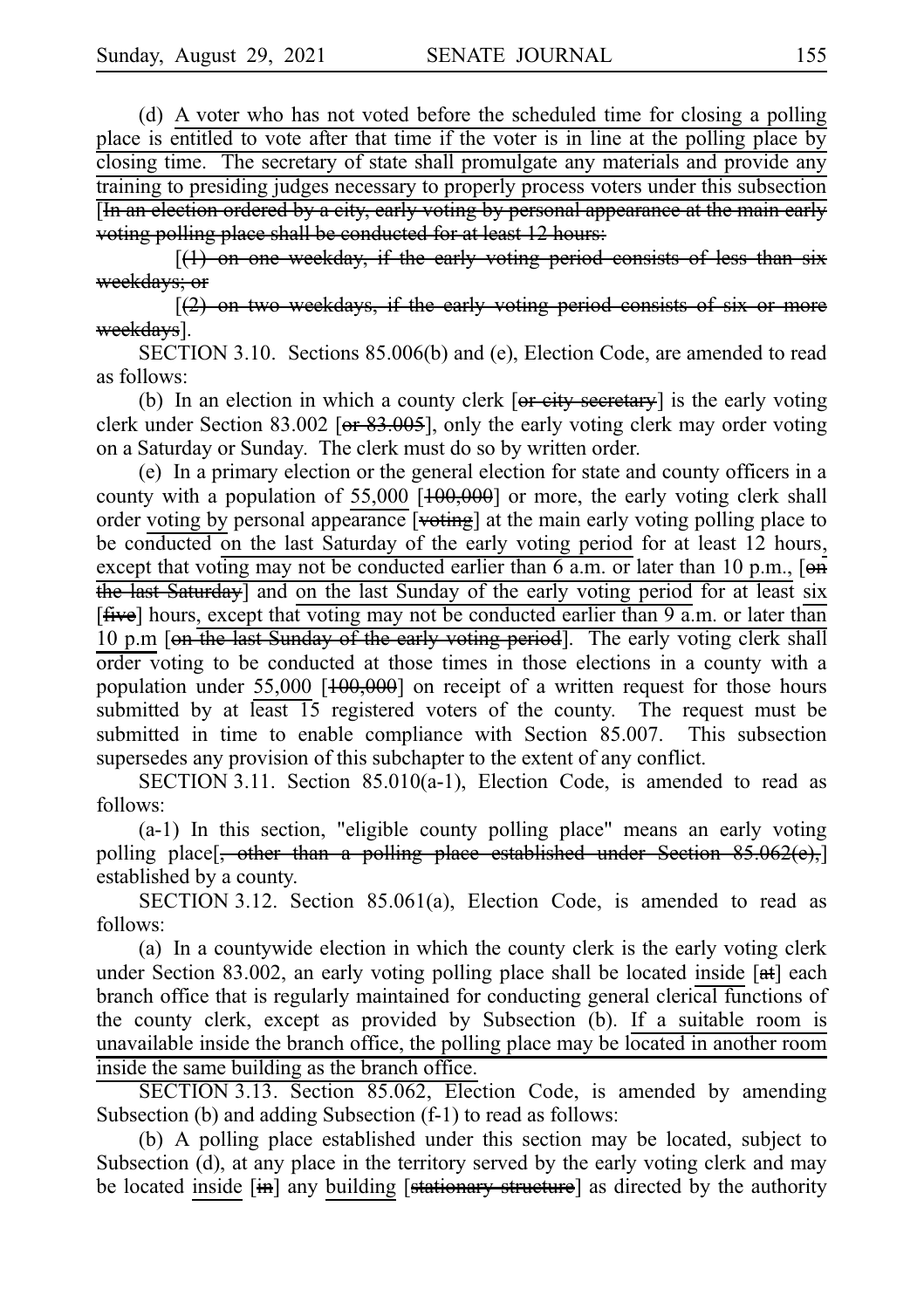(d) A voter who has not voted before the scheduled time for closing a polling place is entitled to vote after that time if the voter is in line at the polling place by closing time. The secretary of state shall promulgate any materials and provide any training to presiding judges necessary to properly process voters under this subsection [In an election ordered by a city, early voting by personal appearance at the main early voting polling place shall be conducted for at least 12 hours:

 $[(1)$  on one weekday, if the early voting period consists of less than six weekdays; or

 $[2)$  on two weekdays, if the early voting period consists of six or more <del>eekdavs</del>].

SECTION 3.10. Sections 85.006(b) and (e), Election Code, are amended to read as follows:

(b) In an election in which a county clerk  $\overline{[or\text{ eity secretary}]}$  is the early voting clerk under Section 83.002 [ $er 83.005$ ], only the early voting clerk may order voting on a Saturday or Sunday. The clerk must do so by written order.

(e) In a primary election or the general election for state and county officers in a county with a population of 55,000 [ $+00,000$ ] or more, the early voting clerk shall order voting by personal appearance [voting] at the main early voting polling place to be conducted on the last Saturday of the early voting period for at least 12 hours, except that voting may not be conducted earlier than 6 a.m. or later than 10 p.m., [on the last Saturday] and on the last Sunday of the early voting period for at least six [five] hours, except that voting may not be conducted earlier than 9 a.m. or later than 10 p.m [en the last Sunday of the early voting period]. The early voting clerk shall order voting to be conducted at those times in those elections in a county with a population under 55,000 [<del>100,000</del>] on receipt of a written request for those hours submitted by at least 15 registered voters of the county. The request must be submitted in time to enable compliance with Section 85.007. This subsection supersedes any provision of this subchapter to the extent of any conflict.

SECTION 3.11. Section  $85.010(a-1)$ , Election Code, is amended to read as follows:

 $(a-1)$  In this section, "eligible county polling place" means an early voting polling place[, other than a polling place established under Section 85.062(e),] established by a county.

SECTION 3.12. Section 85.061(a), Election Code, is amended to read as follows:

(a) In a countywide election in which the county clerk is the early voting clerk under Section 83.002, an early voting polling place shall be located inside  $[4]$  each branch office that is regularly maintained for conducting general clerical functions of the county clerk, except as provided by Subsection (b). If a suitable room is unavailable inside the branch office, the polling place may be located in another room inside the same building as the branch office.

SECTION 3.13. Section 85.062, Election Code, is amended by amending Subsection (b) and adding Subsection (f-1) to read as follows:

(b) A polling place established under this section may be located, subject to Subsection (d), at any place in the territory served by the early voting clerk and may be located inside [in] any building [stationary structure] as directed by the authority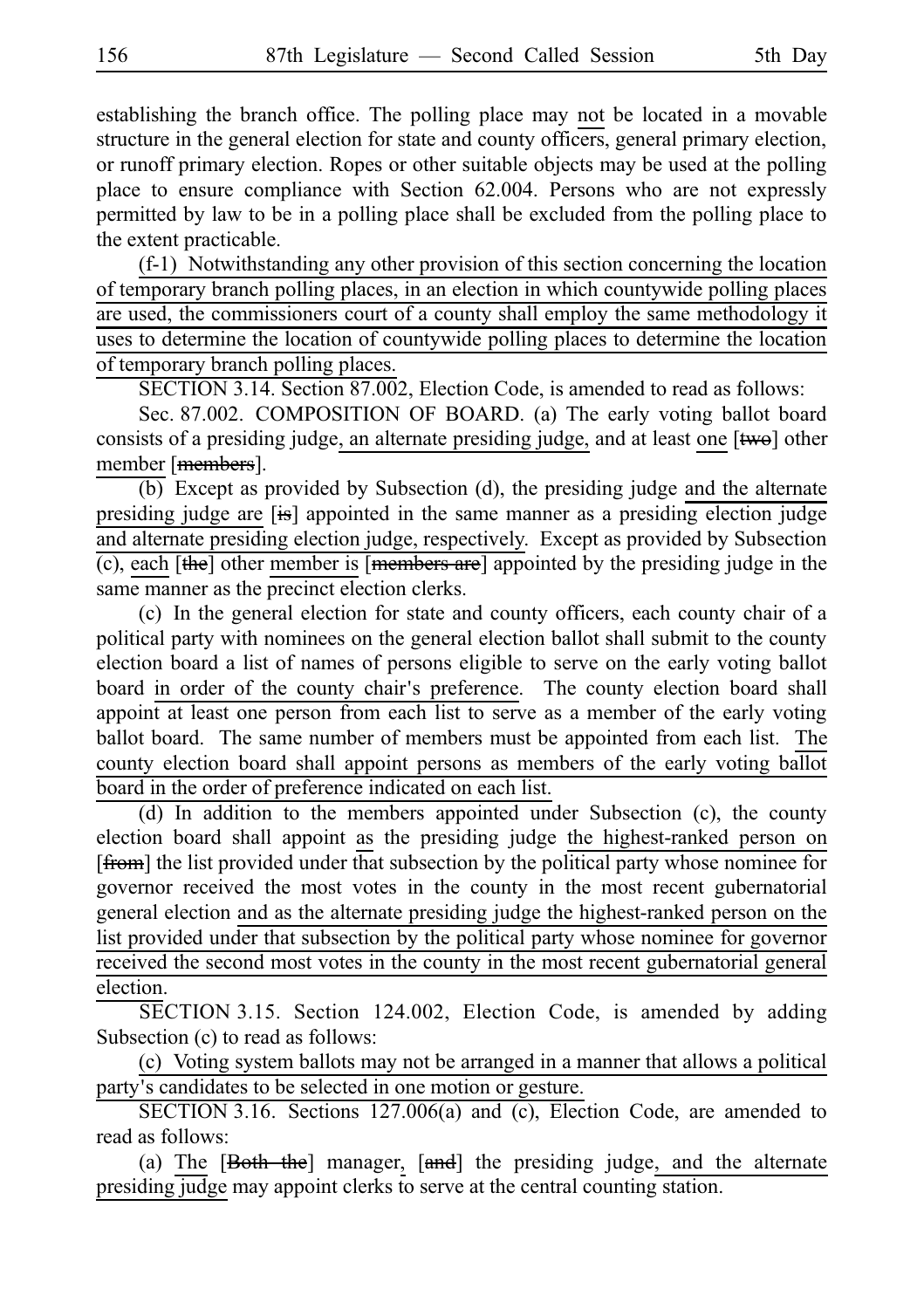establishing the branch office. The polling place may not be located in a movable structure in the general election for state and county officers, general primary election, or runoff primary election. Ropes or other suitable objects may be used at the polling place to ensure compliance with Section 62.004. Persons who are not expressly permitted by law to be in a polling place shall be excluded from the polling place to the extent practicable.

 $(f-1)$  Notwithstanding any other provision of this section concerning the location of temporary branch polling places, in an election in which countywide polling places are used, the commissioners court of a county shall employ the same methodology it uses to determine the location of countywide polling places to determine the location of temporary branch polling places.

SECTION 3.14. Section 87.002, Election Code, is amended to read as follows:

Sec. 87.002. COMPOSITION OF BOARD. (a) The early voting ballot board consists of a presiding judge, an alternate presiding judge, and at least one  $[$ two] other member [members].

 $\overline{(b)}$  Except as provided by Subsection (d), the presiding judge and the alternate presiding judge are [is] appointed in the same manner as a presiding election judge and alternate presiding election judge, respectively. Except as provided by Subsection (c), each [the] other member is [members are] appointed by the presiding judge in the same manner as the precinct election clerks.

(c) In the general election for state and county officers, each county chair of a political party with nominees on the general election ballot shall submit to the county election board a list of names of persons eligible to serve on the early voting ballot board in order of the county chair's preference. The county election board shall appoint at least one person from each list to serve as a member of the early voting ballot board. The same number of members must be appointed from each list. The county election board shall appoint persons as members of the early voting ballot board in the order of preference indicated on each list.

 $(d)$  In addition to the members appointed under Subsection (c), the county election board shall appoint as the presiding judge the highest-ranked person on [from] the list provided under that subsection by the political party whose nominee for governor received the most votes in the county in the most recent gubernatorial general election and as the alternate presiding judge the highest-ranked person on the list provided under that subsection by the political party whose nominee for governor received the second most votes in the county in the most recent gubernatorial general election.

SECTION 3.15. Section 124.002, Election Code, is amended by adding Subsection (c) to read as follows:

(c) Voting system ballots may not be arranged in a manner that allows a political party's candidates to be selected in one motion or gesture.

SECTION 3.16. Sections  $127.006(a)$  and (c), Election Code, are amended to read as follows:

(a) The  $[Both the] manager, [and] the presiding judge, and the alternate$ presiding judge may appoint clerks to serve at the central counting station.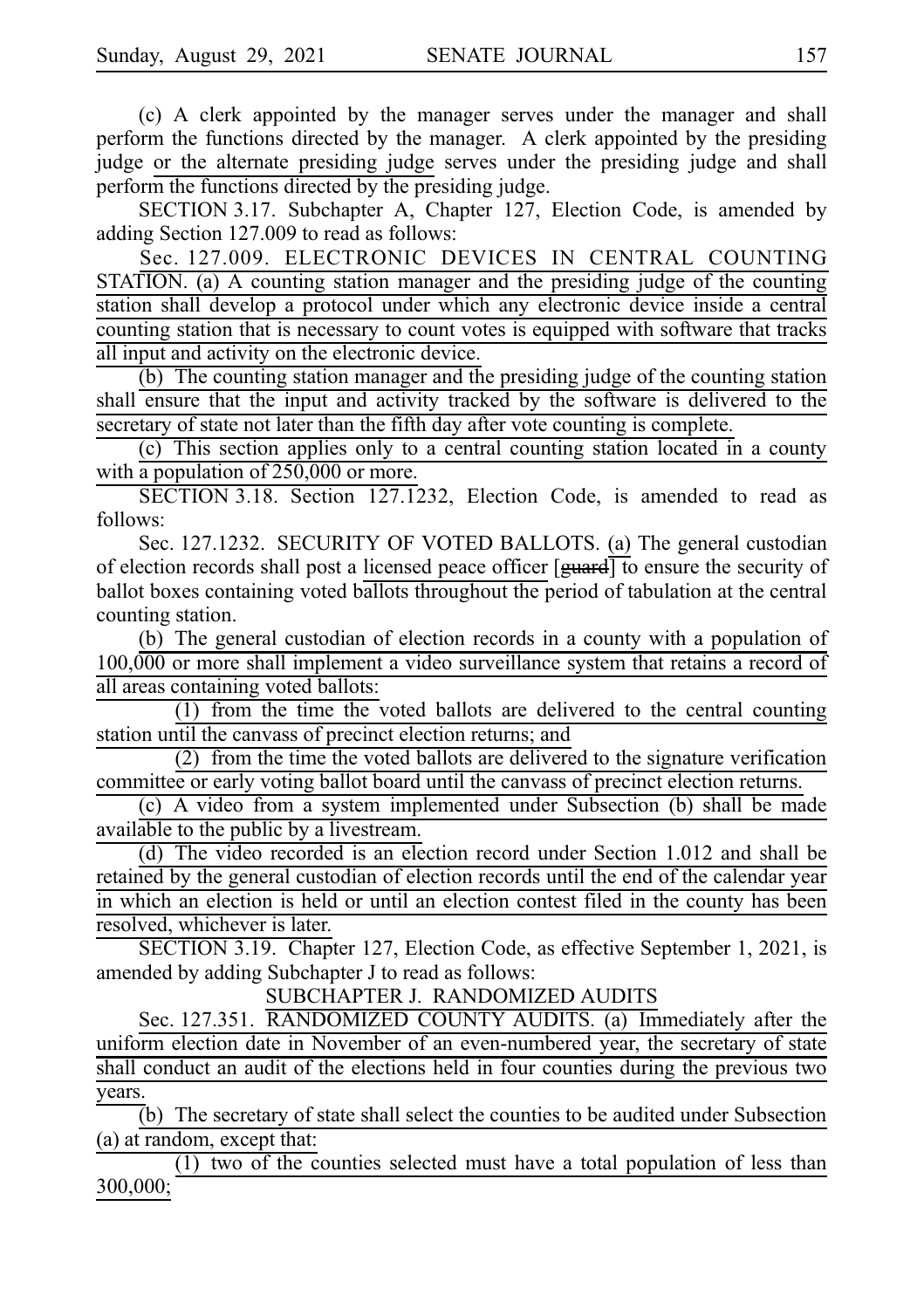(c) A clerk appointed by the manager serves under the manager and shall perform the functions directed by the manager. A clerk appointed by the presiding judge or the alternate presiding judge serves under the presiding judge and shall perform the functions directed by the presiding judge.

SECTION 3.17. Subchapter A, Chapter 127, Election Code, is amended by adding Section 127.009 to read as follows:

Sec. 127.009. ELECTRONIC DEVICES IN CENTRAL COUNTING STATION. (a) A counting station manager and the presiding judge of the counting station shall develop a protocol under which any electronic device inside a central counting station that is necessary to count votes is equipped with software that tracks all input and activity on the electronic device.

 $(b)$  The counting station manager and the presiding judge of the counting station shall ensure that the input and activity tracked by the software is delivered to the secretary of state not later than the fifth day after vote counting is complete.

(c) This section applies only to a central counting station located in a county with a population of 250,000 or more.

SECTION 3.18. Section  $127.1232$ , Election Code, is amended to read as follows:

Sec. 127.1232. SECURITY OF VOTED BALLOTS. (a) The general custodian of election records shall post a licensed peace officer  $[\frac{\text{quard}}{\text{equ}}]$  to ensure the security of ballot boxes containing voted ballots throughout the period of tabulation at the central counting station.

(b) The general custodian of election records in a county with a population of 100,000 or more shall implement a video surveillance system that retains a record of all areas containing voted ballots:

 $(1)$  from the time the voted ballots are delivered to the central counting station until the canvass of precinct election returns; and

(2) from the time the voted ballots are delivered to the signature verification committee or early voting ballot board until the canvass of precinct election returns.

(c) A video from a system implemented under Subsection (b) shall be made available to the public by a livestream.

(d) The video recorded is an election record under Section 1.012 and shall be retained by the general custodian of election records until the end of the calendar year in which an election is held or until an election contest filed in the county has been resolved, whichever is later.

SECTION 3.19. Chapter 127, Election Code, as effective September 1, 2021, is amended by adding Subchapter J to read as follows:

SUBCHAPTER J. RANDOMIZED AUDITS

Sec. 127.351. RANDOMIZED COUNTY AUDITS. (a) Immediately after the uniform election date in November of an even-numbered year, the secretary of state shall conduct an audit of the elections held in four counties during the previous two years.

 $\overline{b}$ ) The secretary of state shall select the counties to be audited under Subsection (a) at random, except that:

 $(1)$  two of the counties selected must have a total population of less than 300,000;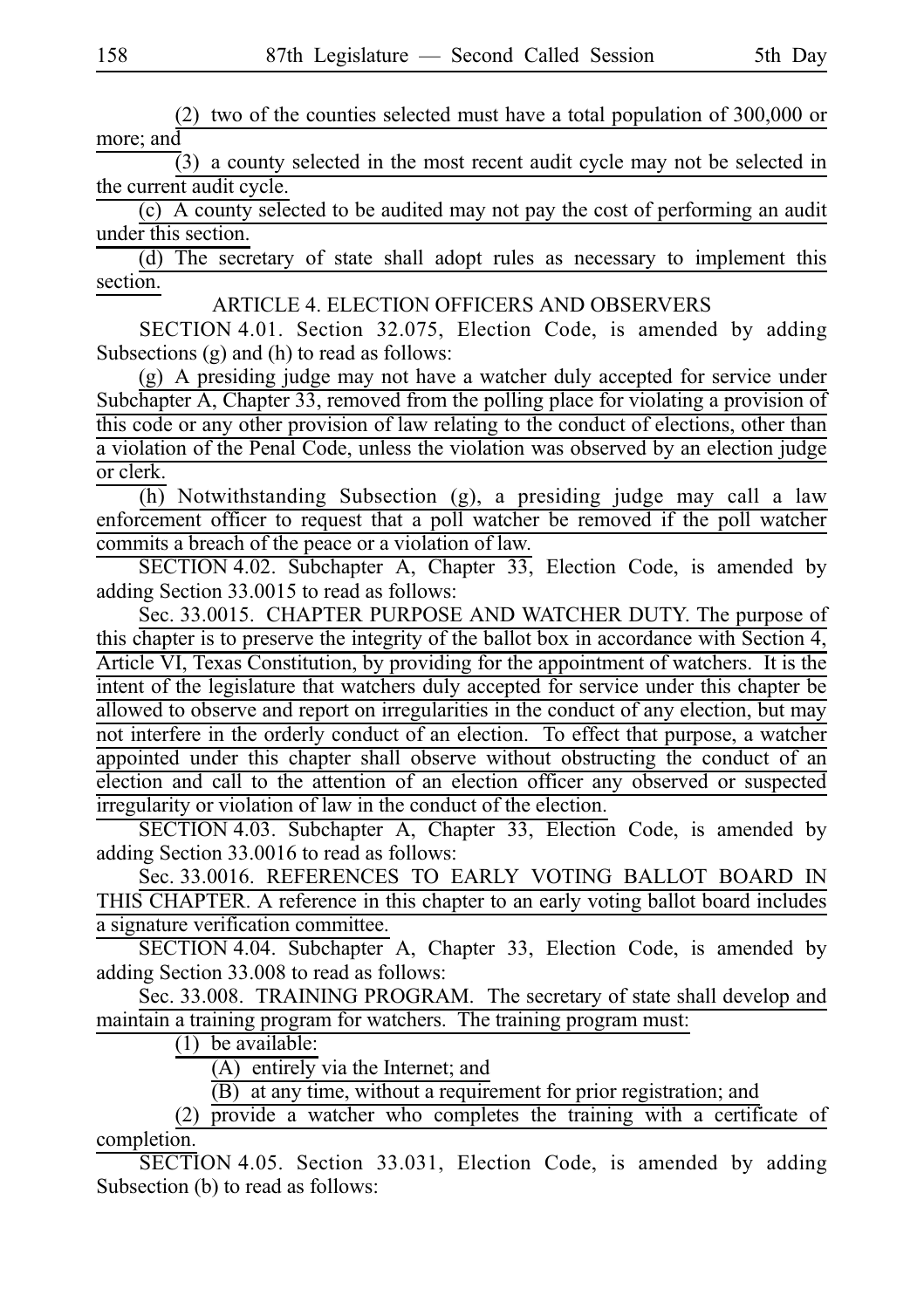(2) two of the counties selected must have a total population of  $300,000$  or more; and

 $\overline{3}$ ) a county selected in the most recent audit cycle may not be selected in the current audit cycle.

(c) A county selected to be audited may not pay the cost of performing an audit under this section.

(d) The secretary of state shall adopt rules as necessary to implement this section.

ARTICLE 4. ELECTION OFFICERS AND OBSERVERS

SECTION 4.01. Section 32.075, Election Code, is amended by adding Subsections (g) and (h) to read as follows:

(g) A presiding judge may not have a watcher duly accepted for service under Subchapter A, Chapter 33, removed from the polling place for violating a provision of this code or any other provision of law relating to the conduct of elections, other than a violation of the Penal Code, unless the violation was observed by an election judge or clerk.

 $\overline{(h)}$  Notwithstanding Subsection (g), a presiding judge may call a law enforcement officer to request that a poll watcher be removed if the poll watcher commits a breach of the peace or a violation of law.

SECTION 4.02. Subchapter A, Chapter 33, Election Code, is amended by adding Section 33.0015 to read as follows:

Sec. 33.0015. CHAPTER PURPOSE AND WATCHER DUTY. The purpose of this chapter is to preserve the integrity of the ballot box in accordance with Section 4, Article VI, Texas Constitution, by providing for the appointment of watchers. It is the intent of the legislature that watchers duly accepted for service under this chapter be allowed to observe and report on irregularities in the conduct of any election, but may not interfere in the orderly conduct of an election. To effect that purpose, a watcher appointed under this chapter shall observe without obstructing the conduct of an election and call to the attention of an election officer any observed or suspected irregularity or violation of law in the conduct of the election.

SECTION 4.03. Subchapter A, Chapter 33, Election Code, is amended by adding Section 33.0016 to read as follows:

Sec. 33.0016. REFERENCES TO EARLY VOTING BALLOT BOARD IN THIS CHAPTER. A reference in this chapter to an early voting ballot board includes a signature verification committee.

SECTION 4.04. Subchapter A, Chapter 33, Election Code, is amended by adding Section 33.008 to read as follows:

Sec. 33.008. TRAINING PROGRAM. The secretary of state shall develop and maintain a training program for watchers. The training program must:

 $(1)$  be available:

 $(A)$  entirely via the Internet; and

 $\overline{(B)}$  at any time, without a requirement for prior registration; and

 $(2)$  provide a watcher who completes the training with a certificate of completion.

SECTION 4.05. Section 33.031, Election Code, is amended by adding Subsection (b) to read as follows: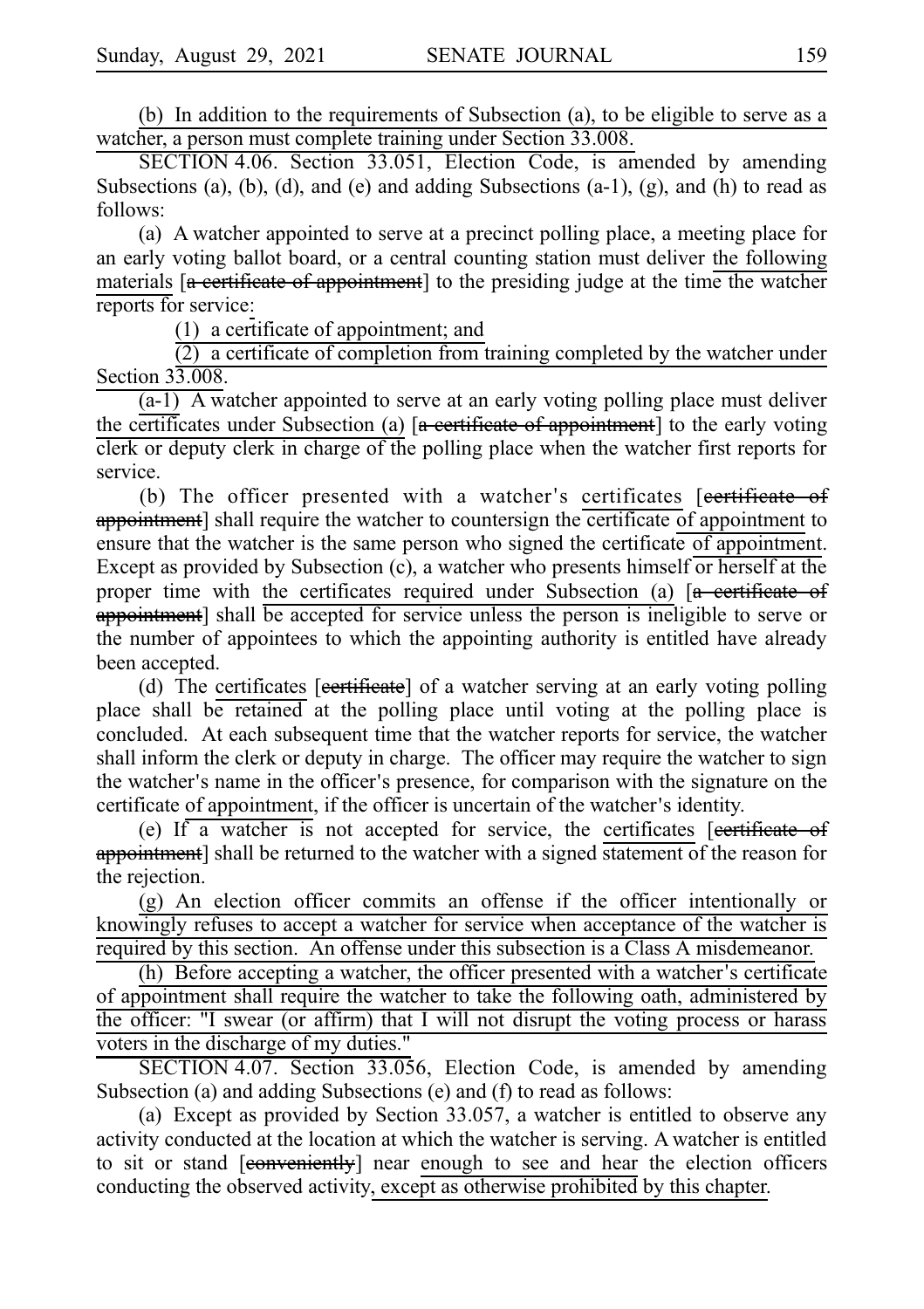(b) In addition to the requirements of Subsection  $(a)$ , to be eligible to serve as a watcher, a person must complete training under Section 33.008.

SECTION 4.06. Section 33.051, Election Code, is amended by amending Subsections (a), (b), (d), and (e) and adding Subsections  $(a-1)$ ,  $(g)$ , and  $(h)$  to read as follows:

(a) A watcher appointed to serve at a precinct polling place, a meeting place for an early voting ballot board, or a central counting station must deliver the following materials  $\left[$ **a** certificate of appointment] to the presiding judge at the time the watcher reports for service:

 $(1)$  a certificate of appointment; and

 $(2)$  a certificate of completion from training completed by the watcher under Section 33.008.

 $(a-1)$  A watcher appointed to serve at an early voting polling place must deliver the certificates under Subsection (a) [a certificate of appointment] to the early voting clerk or deputy clerk in charge of the polling place when the watcher first reports for service.

(b) The officer presented with a watcher's certificates [eertificate of appointment] shall require the watcher to countersign the certificate of appointment to ensure that the watcher is the same person who signed the certificate of appointment. Except as provided by Subsection (c), a watcher who presents himself or herself at the proper time with the certificates required under Subsection (a)  $[a -$  certificate of appointment] shall be accepted for service unless the person is ineligible to serve or the number of appointees to which the appointing authority is entitled have already been accepted.

(d) The certificates [eertificate] of a watcher serving at an early voting polling place shall be retained at the polling place until voting at the polling place is concluded. At each subsequent time that the watcher reports for service, the watcher shall inform the clerk or deputy in charge. The officer may require the watcher to sign the watcher's name in the officer's presence, for comparison with the signature on the certificate of appointment, if the officer is uncertain of the watcher's identity.

(e) If a watcher is not accepted for service, the certificates  $[$ eertificate of appointment] shall be returned to the watcher with a signed statement of the reason for the rejection.

(g) An election officer commits an offense if the officer intentionally or knowingly refuses to accept a watcher for service when acceptance of the watcher is required by this section. An offense under this subsection is a Class A misdemeanor.

 $(h)$  Before accepting a watcher, the officer presented with a watcher's certificate of appointment shall require the watcher to take the following oath, administered by the officer: "I swear (or affirm) that I will not disrupt the voting process or harass voters in the discharge of my duties."

SECTION 4.07. Section 33.056, Election Code, is amended by amending Subsection (a) and adding Subsections (e) and (f) to read as follows:

(a) Except as provided by Section 33.057, a watcher is entitled to observe any activity conducted at the location at which the watcher is serving. A watcher is entitled to sit or stand [eonveniently] near enough to see and hear the election officers conducting the observed activity, except as otherwise prohibited by this chapter.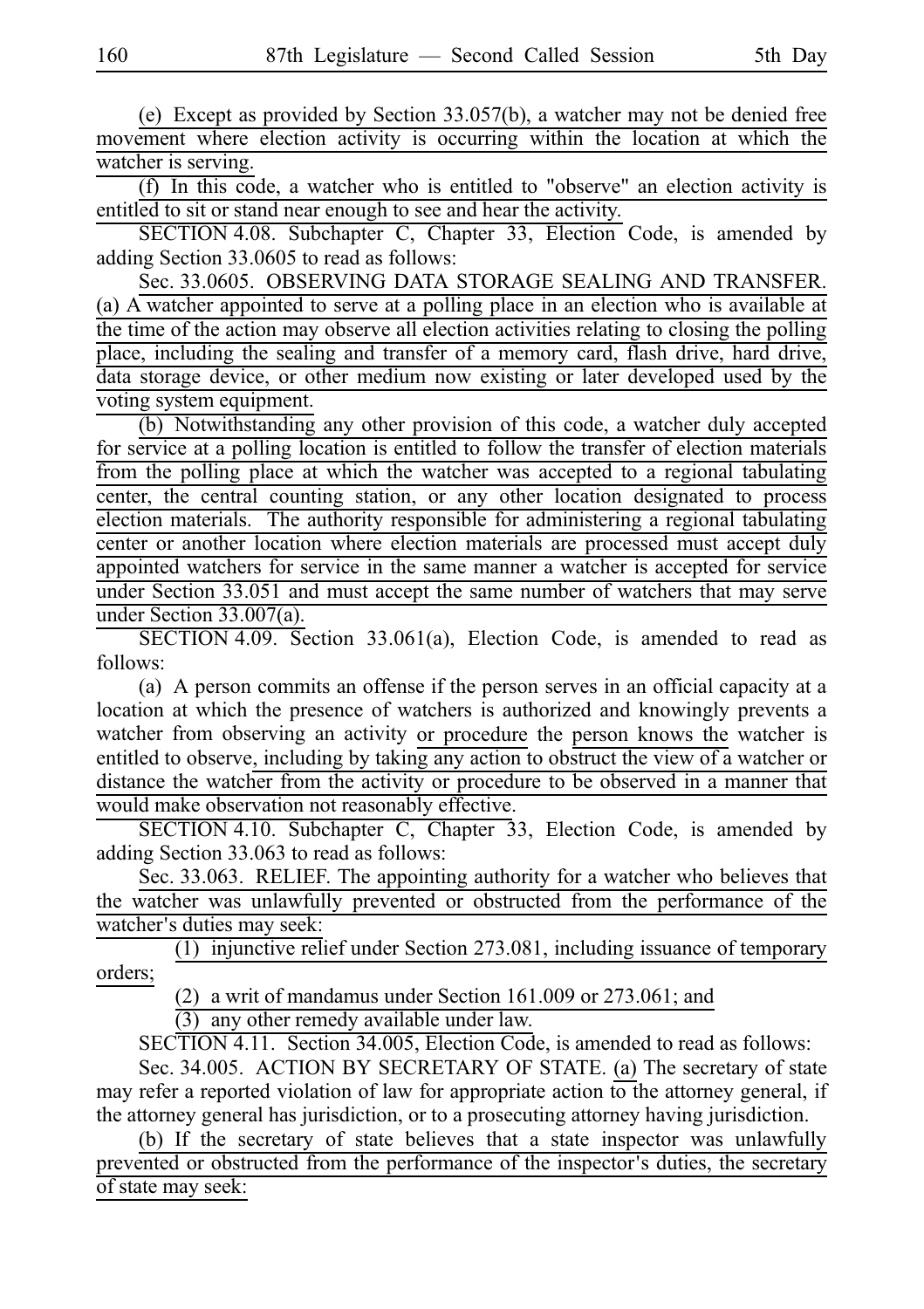(e) Except as provided by Section  $33.057(b)$ , a watcher may not be denied free movement where election activity is occurring within the location at which the watcher is serving.

(f) In this code, a watcher who is entitled to "observe" an election activity is entitled to sit or stand near enough to see and hear the activity.

SECTION 4.08. Subchapter C, Chapter 33, Election Code, is amended by adding Section 33.0605 to read as follows:

Sec. 33.0605. OBSERVING DATA STORAGE SEALING AND TRANSFER. (a) A watcher appointed to serve at a polling place in an election who is available at the time of the action may observe all election activities relating to closing the polling place, including the sealing and transfer of a memory card, flash drive, hard drive, data storage device, or other medium now existing or later developed used by the voting system equipment.

(b) Notwithstanding any other provision of this code, a watcher duly accepted for service at a polling location is entitled to follow the transfer of election materials from the polling place at which the watcher was accepted to a regional tabulating center, the central counting station, or any other location designated to process election materials. The authority responsible for administering a regional tabulating center or another location where election materials are processed must accept duly appointed watchers for service in the same manner a watcher is accepted for service under Section 33.051 and must accept the same number of watchers that may serve under Section 33.007(a).

SECTION 4.09. Section 33.061(a), Election Code, is amended to read as follows:

(a) A person commits an offense if the person serves in an official capacity at a location at which the presence of watchers is authorized and knowingly prevents a watcher from observing an activity or procedure the person knows the watcher is entitled to observe, including by taking any action to obstruct the view of a watcher or distance the watcher from the activity or procedure to be observed in a manner that would make observation not reasonably effective.

SECTION 4.10. Subchapter C, Chapter 33, Election Code, is amended by adding Section 33.063 to read as follows:

Sec. 33.063. RELIEF. The appointing authority for a watcher who believes that the watcher was unlawfully prevented or obstructed from the performance of the watcher's duties may seek:

 $(1)$  injunctive relief under Section 273.081, including issuance of temporary orders;

(2) a writ of mandamus under Section 161.009 or  $273.061$ ; and

(3) any other remedy available under law.

SECTION 4.11. Section 34.005, Election Code, is amended to read as follows:

Sec. 34.005. ACTION BY SECRETARY OF STATE. (a) The secretary of state may refer a reported violation of law for appropriate action to the attorney general, if the attorney general has jurisdiction, or to a prosecuting attorney having jurisdiction.

(b) If the secretary of state believes that a state inspector was unlawfully prevented or obstructed from the performance of the inspector's duties, the secretary of state may seek: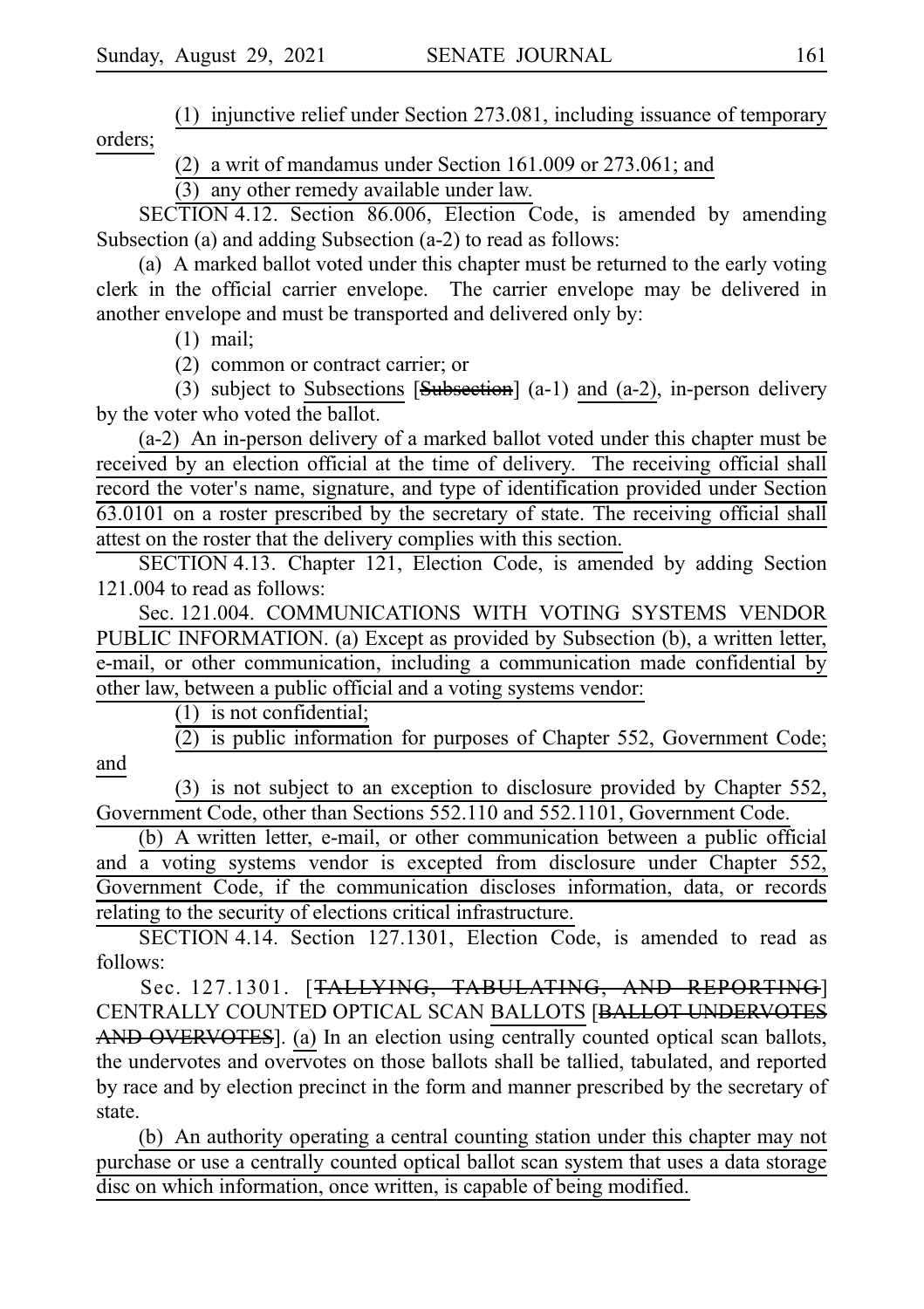$(1)$  injunctive relief under Section 273.081, including issuance of temporary orders;

(2) a writ of mandamus under Section 161.009 or  $273.061$ ; and

 $(3)$  any other remedy available under law.

SECTION 4.12. Section 86.006, Election Code, is amended by amending Subsection (a) and adding Subsection (a-2) to read as follows:

(a) A marked ballot voted under this chapter must be returned to the early voting clerk in the official carrier envelope. The carrier envelope may be delivered in another envelope and must be transported and delivered only by:

 $(1)$  mail;

 $(2)$  common or contract carrier; or

(3) subject to Subsections  $[Subsection]$  (a-1) and (a-2), in-person delivery by the voter who voted the ballot.

(a-2) An in-person delivery of a marked ballot voted under this chapter must be received by an election official at the time of delivery. The receiving official shall record the voter's name, signature, and type of identification provided under Section 63.0101 on a roster prescribed by the secretary of state. The receiving official shall attest on the roster that the delivery complies with this section.

SECTION 4.13. Chapter 121, Election Code, is amended by adding Section 121.004 to read as follows:

Sec. 121.004. COMMUNICATIONS WITH VOTING SYSTEMS VENDOR PUBLIC INFORMATION. (a) Except as provided by Subsection (b), a written letter, e-mail, or other communication, including a communication made confidential by other law, between a public official and a voting systems vendor:

 $(1)$  is not confidential;

 $\overline{(2)}$  is public information for purposes of Chapter 552, Government Code; and

(3) is not subject to an exception to disclosure provided by Chapter 552, Government Code, other than Sections 552.110 and 552.1101, Government Code.

(b) A written letter, e-mail, or other communication between a public official and a voting systems vendor is excepted from disclosure under Chapter 552, Government Code, if the communication discloses information, data, or records relating to the security of elections critical infrastructure.

SECTION 4.14. Section 127.1301, Election Code, is amended to read as follows:

Sec. 127.1301. [TALLYING, TABULATING, AND REPORTING] CENTRALLY COUNTED OPTICAL SCAN BALLOTS [BALLOT UNDERVOTES AND OVERVOTES]. (a) In an election using centrally counted optical scan ballots, the undervotes and overvotes on those ballots shall be tallied, tabulated, and reported by race and by election precinct in the form and manner prescribed by the secretary of state.

(b) An authority operating a central counting station under this chapter may not purchase or use a centrally counted optical ballot scan system that uses a data storage disc on which information, once written, is capable of being modified.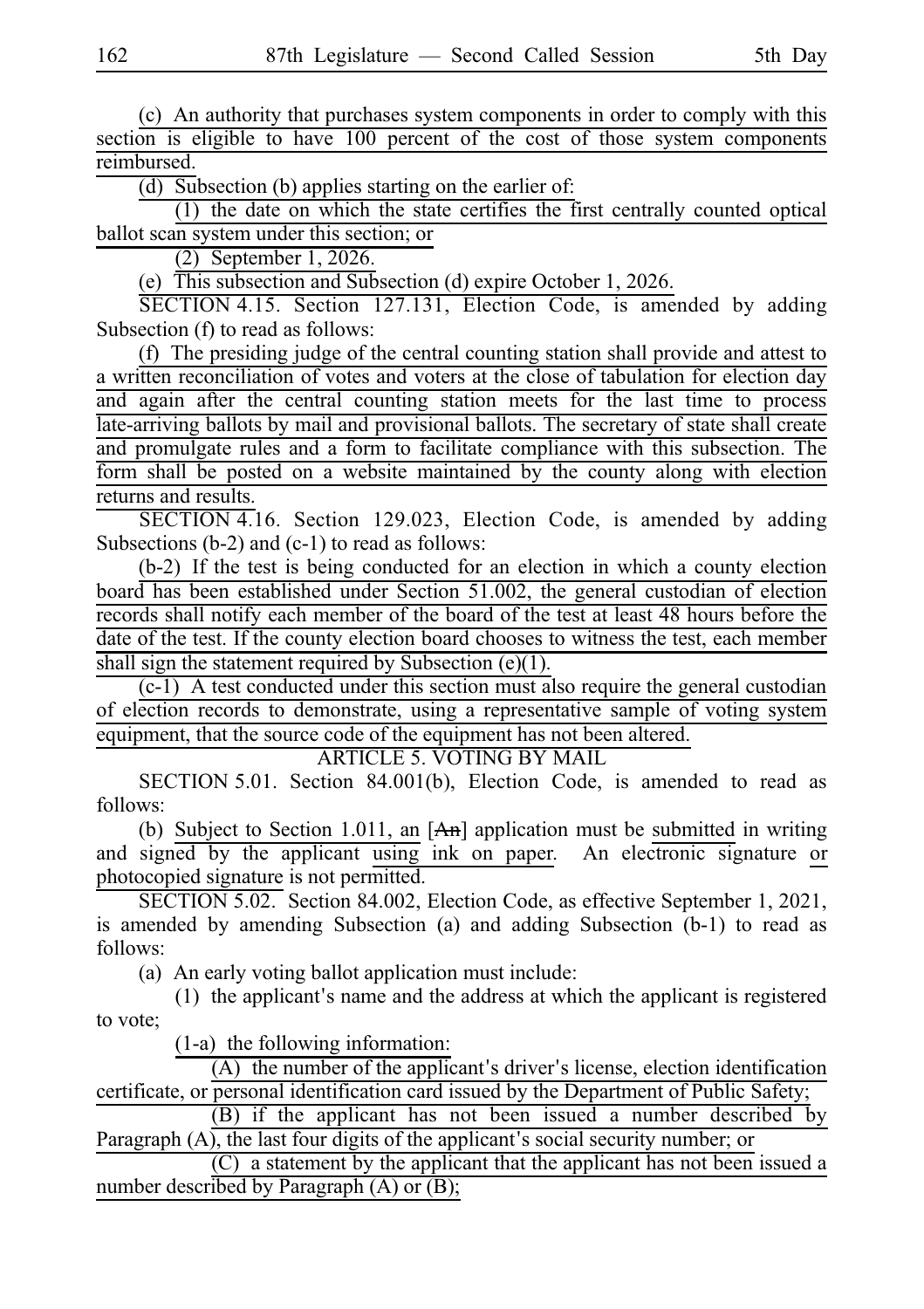(c) An authority that purchases system components in order to comply with this section is eligible to have 100 percent of the cost of those system components reimbursed.

 $(d)$  Subsection (b) applies starting on the earlier of:

 $(1)$  the date on which the state certifies the first centrally counted optical ballot scan system under this section; or

 $(2)$  September 1, 2026.

(e)  $\overline{T}$ his subsection and Subsection (d) expire October 1, 2026.

SECTION 4.15. Section 127.131, Election Code, is amended by adding Subsection (f) to read as follows:

(f) The presiding judge of the central counting station shall provide and attest to a written reconciliation of votes and voters at the close of tabulation for election day and again after the central counting station meets for the last time to process late-arriving ballots by mail and provisional ballots. The secretary of state shall create and promulgate rules and a form to facilitate compliance with this subsection. The form shall be posted on a website maintained by the county along with election returns and results.

SECTION 4.16. Section 129.023, Election Code, is amended by adding Subsections (b-2) and (c-1) to read as follows:

 $(b-2)$  If the test is being conducted for an election in which a county election board has been established under Section 51.002, the general custodian of election records shall notify each member of the board of the test at least 48 hours before the date of the test. If the county election board chooses to witness the test, each member shall sign the statement required by Subsection  $(e)(1)$ .

 $(c-1)$  A test conducted under this section must also require the general custodian of election records to demonstrate, using a representative sample of voting system equipment, that the source code of the equipment has not been altered.

ARTICLE 5. VOTING BY MAIL

SECTION 5.01. Section 84.001(b), Election Code, is amended to read as follows:

(b) Subject to Section 1.011, an  $[A<sub>m</sub>]$  application must be submitted in writing and signed by the applicant using ink on paper. An electronic signature or photocopied signature is not permitted.

SECTION 5.02. Section 84.002, Election Code, as effective September 1, 2021, is amended by amending Subsection (a) and adding Subsection (b-1) to read as follows:

(a) An early voting ballot application must include:

 $(1)$  the applicant's name and the address at which the applicant is registered to vote;

 $(1-a)$  the following information:

 $(A)$  the number of the applicant's driver's license, election identification certificate, or personal identification card issued by the Department of Public Safety;

(B) if the applicant has not been issued a number described by Paragraph  $(A)$ , the last four digits of the applicant's social security number; or

 $(C)$  a statement by the applicant that the applicant has not been issued a number described by Paragraph (A) or (B);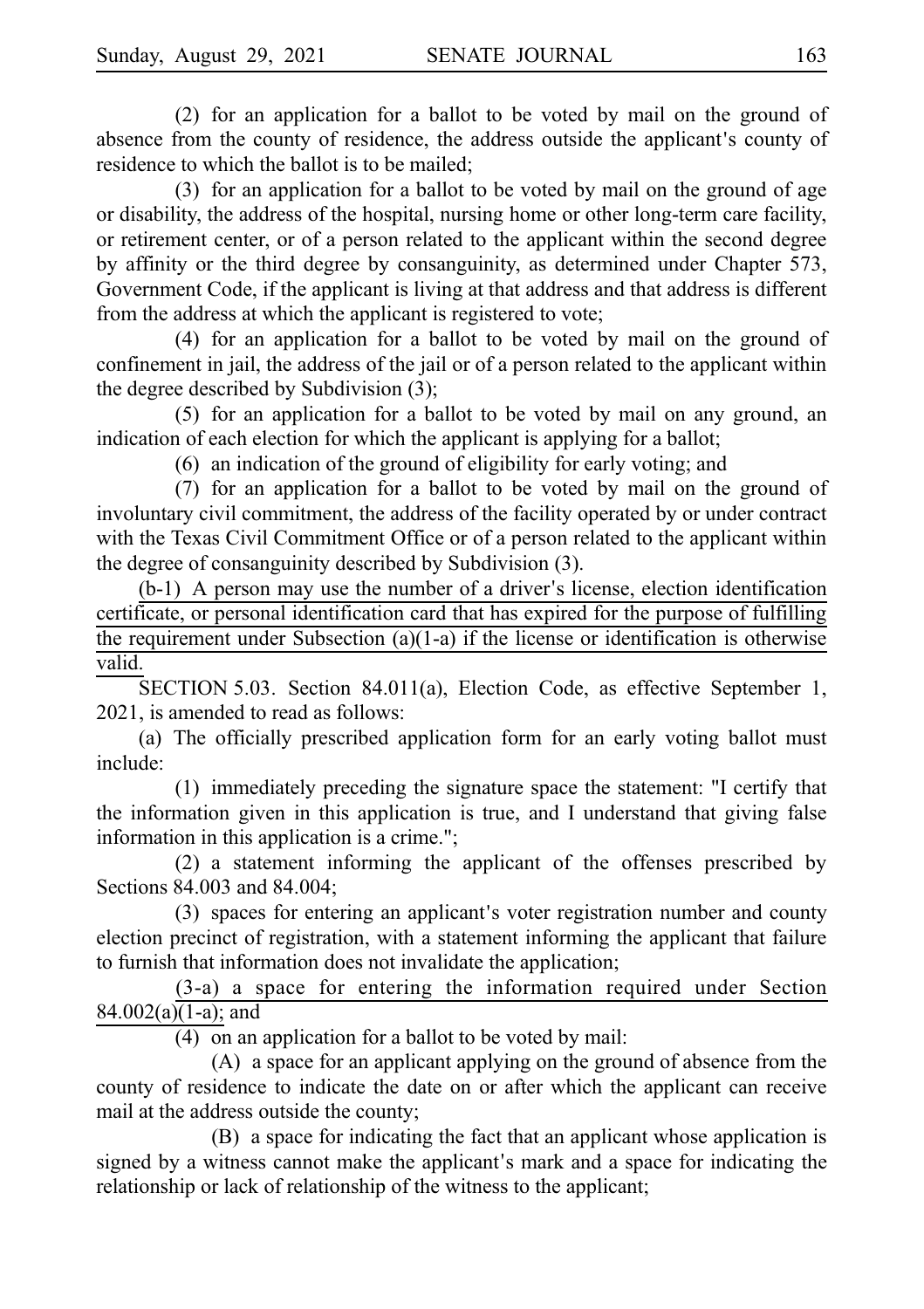$(2)$  for an application for a ballot to be voted by mail on the ground of absence from the county of residence, the address outside the applicant's county of residence to which the ballot is to be mailed;

 $(3)$  for an application for a ballot to be voted by mail on the ground of age or disability, the address of the hospital, nursing home or other long-term care facility, or retirement center, or of a person related to the applicant within the second degree by affinity or the third degree by consanguinity, as determined under Chapter 573, Government Code, if the applicant is living at that address and that address is different from the address at which the applicant is registered to vote;

 $(4)$  for an application for a ballot to be voted by mail on the ground of confinement in jail, the address of the jail or of a person related to the applicant within the degree described by Subdivision (3);

 $(5)$  for an application for a ballot to be voted by mail on any ground, an indication of each election for which the applicant is applying for a ballot;

 $(6)$  an indication of the ground of eligibility for early voting; and

 $(7)$  for an application for a ballot to be voted by mail on the ground of involuntary civil commitment, the address of the facility operated by or under contract with the Texas Civil Commitment Office or of a person related to the applicant within the degree of consanguinity described by Subdivision (3).

 $(b-1)$  A person may use the number of a driver's license, election identification certificate, or personal identification card that has expired for the purpose of fulfilling the requirement under Subsection (a)(1-a) if the license or identification is otherwise valid.

SECTION 5.03. Section 84.011(a), Election Code, as effective September 1, 2021, is amended to read as follows:

(a) The officially prescribed application form for an early voting ballot must include:

(1) immediately preceding the signature space the statement: "I certify that the information given in this application is true, and I understand that giving false information in this application is a crime.";

 $(2)$  a statement informing the applicant of the offenses prescribed by Sections 84.003 and 84.004;

(3) spaces for entering an applicant's voter registration number and county election precinct of registration, with a statement informing the applicant that failure to furnish that information does not invalidate the application;

 $(3-a)$  a space for entering the information required under Section 84.002(a)(1-a); and

 $(4)$  on an application for a ballot to be voted by mail:

 $(A)$  a space for an applicant applying on the ground of absence from the county of residence to indicate the date on or after which the applicant can receive mail at the address outside the county;

(B) a space for indicating the fact that an applicant whose application is signed by a witness cannot make the applicant's mark and a space for indicating the relationship or lack of relationship of the witness to the applicant;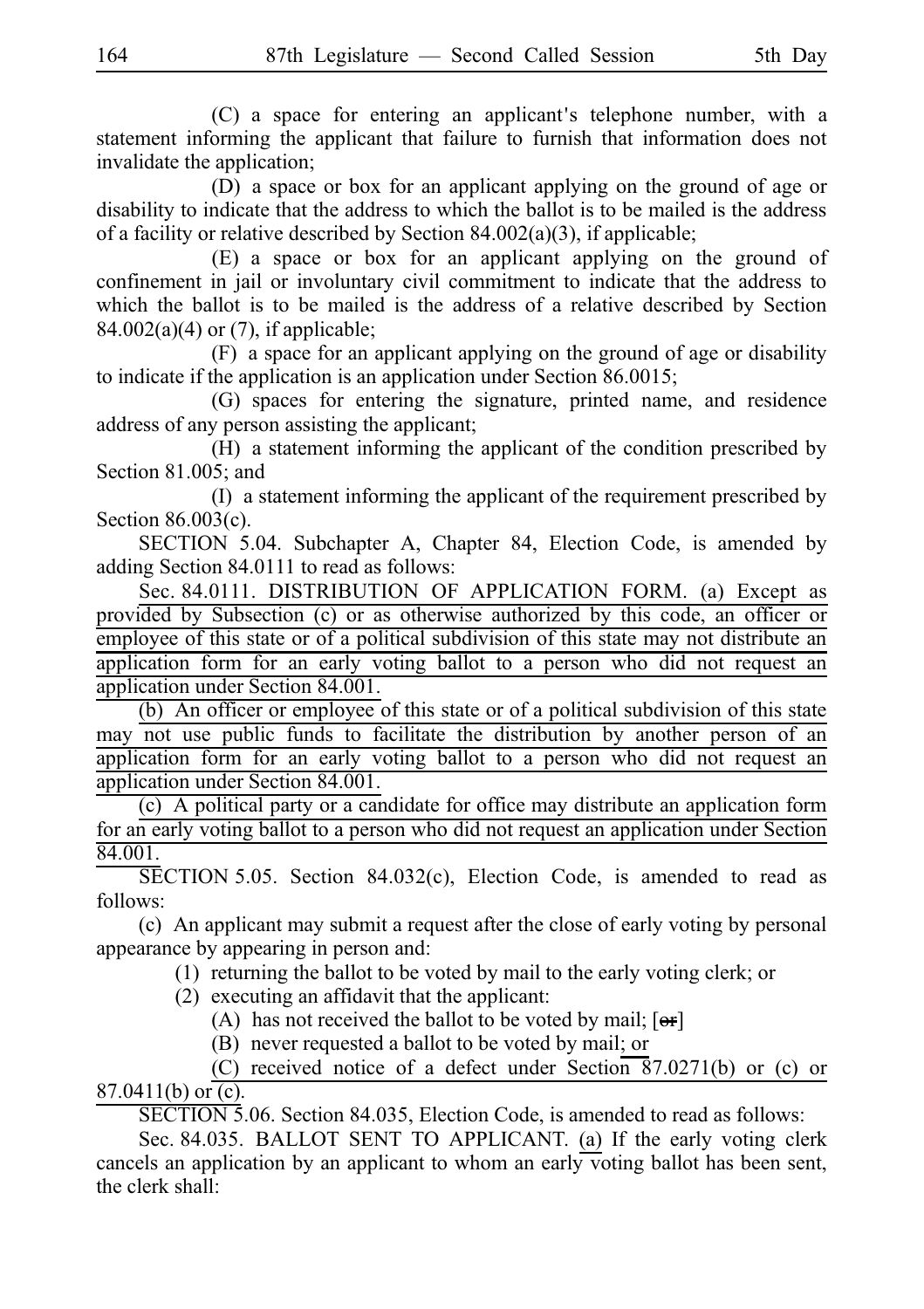$(C)$  a space for entering an applicant's telephone number, with a statement informing the applicant that failure to furnish that information does not invalidate the application;

 $(D)$  a space or box for an applicant applying on the ground of age or disability to indicate that the address to which the ballot is to be mailed is the address of a facility or relative described by Section  $84.002(a)(3)$ , if applicable;

(E) a space or box for an applicant applying on the ground of confinement in jail or involuntary civil commitment to indicate that the address to which the ballot is to be mailed is the address of a relative described by Section 84.002(a)(4) or (7), if applicable;

 $(F)$  a space for an applicant applying on the ground of age or disability to indicate if the application is an application under Section 86.0015;

(G) spaces for entering the signature, printed name, and residence address of any person assisting the applicant;

 $(H)$  a statement informing the applicant of the condition prescribed by Section 81.005; and

 $(I)$  a statement informing the applicant of the requirement prescribed by Section 86.003(c).

SECTION 5.04. Subchapter A, Chapter 84, Election Code, is amended by adding Section 84.0111 to read as follows:

Sec. 84.0111. DISTRIBUTION OF APPLICATION FORM. (a) Except as provided by Subsection (c) or as otherwise authorized by this code, an officer or employee of this state or of a political subdivision of this state may not distribute an application form for an early voting ballot to a person who did not request an application under Section 84.001.

 $(b)$  An officer or employee of this state or of a political subdivision of this state may not use public funds to facilitate the distribution by another person of an application form for an early voting ballot to a person who did not request an application under Section 84.001.

 $(c)$  A political party or a candidate for office may distribute an application form for an early voting ballot to a person who did not request an application under Section 84.001.

 $\overline{\text{SECTION 5.05}}$ . Section 84.032(c), Election Code, is amended to read as follows:

(c) An applicant may submit a request after the close of early voting by personal appearance by appearing in person and:

 $(1)$  returning the ballot to be voted by mail to the early voting clerk; or

 $(2)$  executing an affidavit that the applicant:

(A) has not received the ballot to be voted by mail;  $[**or**]$ 

(B) never requested a ballot to be voted by mail; or

(C) received notice of a defect under Section 87.0271(b) or (c) or 87.0411(b) or  $(c)$ .

SECTION 5.06. Section 84.035, Election Code, is amended to read as follows:

Sec. 84.035. BALLOT SENT TO APPLICANT. (a) If the early voting clerk cancels an application by an applicant to whom an early voting ballot has been sent, the clerk shall: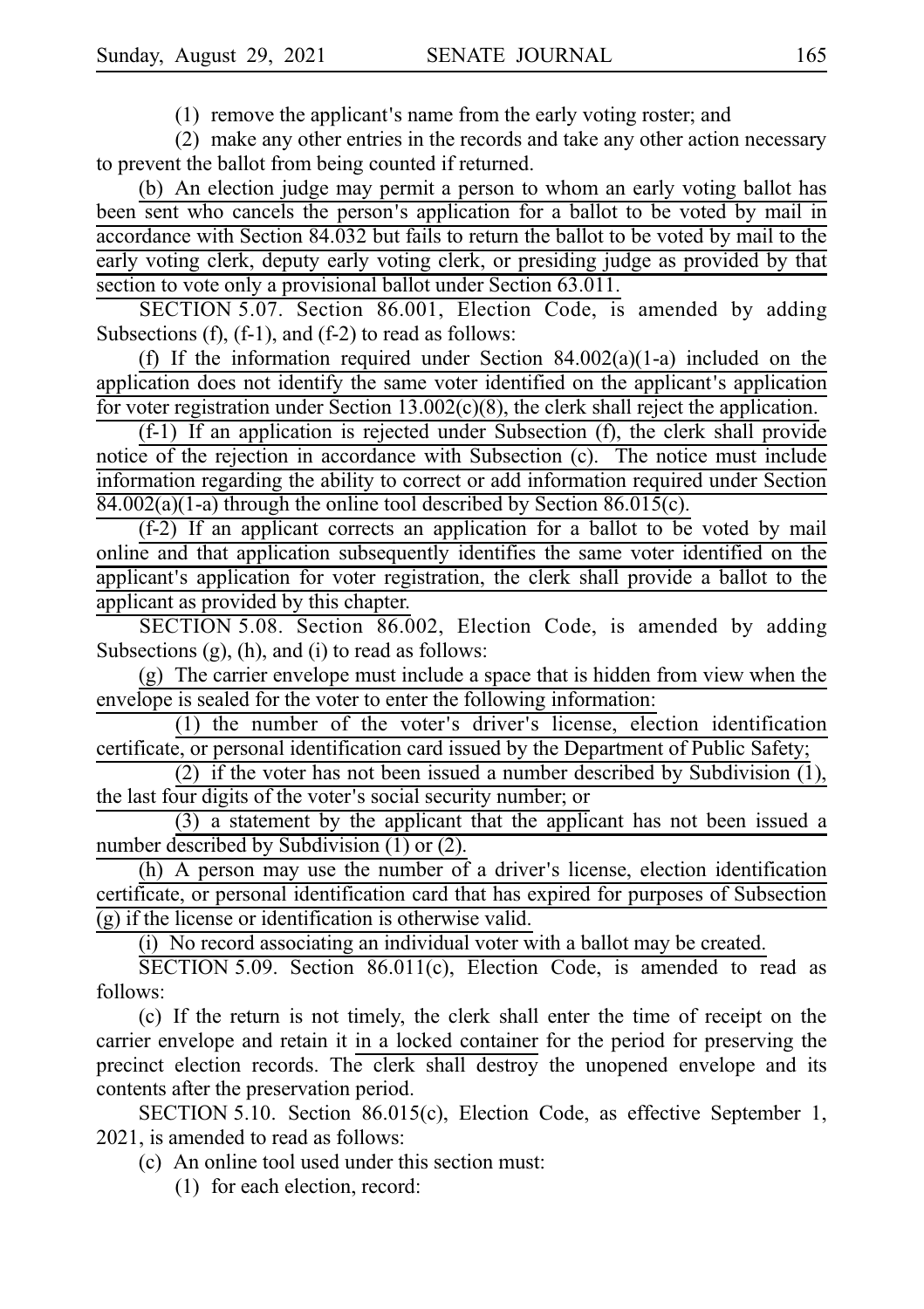$(1)$  remove the applicant's name from the early voting roster; and

 $(2)$  make any other entries in the records and take any other action necessary to prevent the ballot from being counted if returned.

(b) An election judge may permit a person to whom an early voting ballot has been sent who cancels the person's application for a ballot to be voted by mail in accordance with Section 84.032 but fails to return the ballot to be voted by mail to the early voting clerk, deputy early voting clerk, or presiding judge as provided by that section to vote only a provisional ballot under Section 63.011.

SECTION 5.07. Section 86.001, Election Code, is amended by adding Subsections  $(f)$ ,  $(f-1)$ , and  $(f-2)$  to read as follows:

(f) If the information required under Section  $84.002(a)(1-a)$  included on the application does not identify the same voter identified on the applicant's application for voter registration under Section 13.002(c)(8), the clerk shall reject the application.

 $(f-1)$  If an application is rejected under Subsection  $(f)$ , the clerk shall provide notice of the rejection in accordance with Subsection (c). The notice must include information regarding the ability to correct or add information required under Section 84.002(a)(1-a) through the online tool described by Section 86.015(c).

 $(f-2)$  If an applicant corrects an application for a ballot to be voted by mail online and that application subsequently identifies the same voter identified on the applicant's application for voter registration, the clerk shall provide a ballot to the applicant as provided by this chapter.

SECTION 5.08. Section 86.002, Election Code, is amended by adding Subsections (g), (h), and (i) to read as follows:

 $(g)$  The carrier envelope must include a space that is hidden from view when the envelope is sealed for the voter to enter the following information:

(1) the number of the voter's driver's license, election identification certificate, or personal identification card issued by the Department of Public Safety;

(2) if the voter has not been issued a number described by Subdivision  $(1)$ , the last four digits of the voter's social security number; or

 $(3)$  a statement by the applicant that the applicant has not been issued a number described by Subdivision (1) or (2).

(h) A person may use the number of a driver's license, election identification certificate, or personal identification card that has expired for purposes of Subsection (g) if the license or identification is otherwise valid.

 $(i)$  No record associating an individual voter with a ballot may be created.

SECTION 5.09. Section  $86.011(c)$ , Election Code, is amended to read as follows:

(c) If the return is not timely, the clerk shall enter the time of receipt on the carrier envelope and retain it in a locked container for the period for preserving the precinct election records. The clerk shall destroy the unopened envelope and its contents after the preservation period.

SECTION 5.10. Section 86.015(c), Election Code, as effective September 1, 2021, is amended to read as follows:

(c) An online tool used under this section must:

 $(1)$  for each election, record: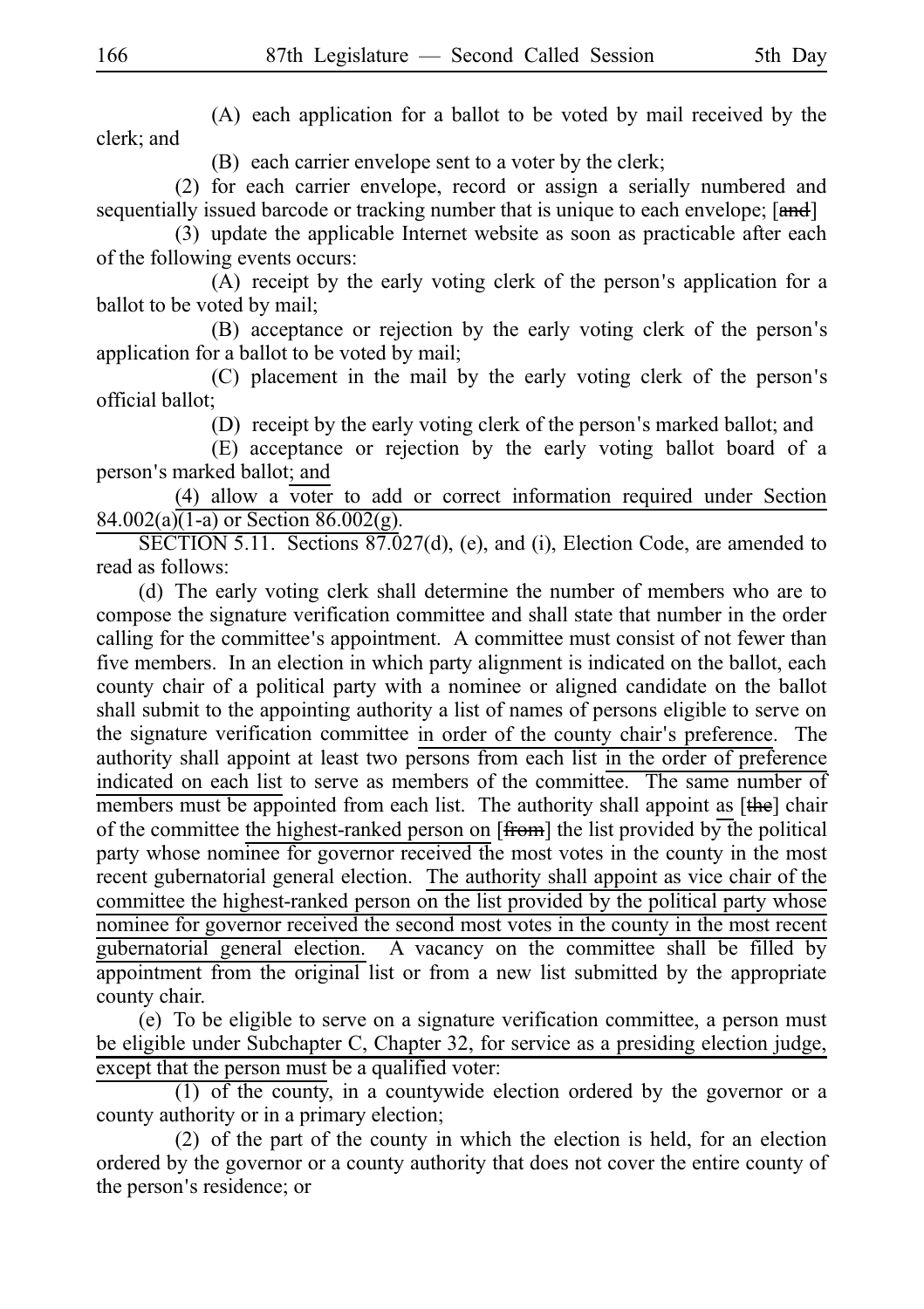$(A)$  each application for a ballot to be voted by mail received by the clerk; and

(B) each carrier envelope sent to a voter by the clerk;

(2) for each carrier envelope, record or assign a serially numbered and sequentially issued barcode or tracking number that is unique to each envelope; [and]

(3) update the applicable Internet website as soon as practicable after each of the following events occurs:

 $(A)$  receipt by the early voting clerk of the person's application for a ballot to be voted by mail;

(B) acceptance or rejection by the early voting clerk of the person's application for a ballot to be voted by mail;

 $(C)$  placement in the mail by the early voting clerk of the person's official ballot;

(D) receipt by the early voting clerk of the person's marked ballot; and

(E) acceptance or rejection by the early voting ballot board of a person's marked ballot; and

 $(4)$  allow a voter to add or correct information required under Section 84.002(a) $\overline{(1-a)}$  or Section 86.002(g).

SECTION 5.11. Sections  $87.027(d)$ , (e), and (i), Election Code, are amended to read as follows:

(d) The early voting clerk shall determine the number of members who are to compose the signature verification committee and shall state that number in the order calling for the committee's appointment. A committee must consist of not fewer than five members. In an election in which party alignment is indicated on the ballot, each county chair of a political party with a nominee or aligned candidate on the ballot shall submit to the appointing authority a list of names of persons eligible to serve on the signature verification committee in order of the county chair's preference. The authority shall appoint at least two persons from each list in the order of preference indicated on each list to serve as members of the committee. The same number of members must be appointed from each list. The authority shall appoint as  $[\theta_{\text{the}}]$  chair of the committee the highest-ranked person on  $[\overline{from}]$  the list provided by the political party whose nominee for governor received the most votes in the county in the most recent gubernatorial general election. The authority shall appoint as vice chair of the committee the highest-ranked person on the list provided by the political party whose nominee for governor received the second most votes in the county in the most recent gubernatorial general election. A vacancy on the committee shall be filled by appointment from the original list or from a new list submitted by the appropriate county chair.

(e) To be eligible to serve on a signature verification committee, a person must be eligible under Subchapter C, Chapter 32, for service as a presiding election judge, except that the person must be a qualified voter:

 $(1)$  of the county, in a countywide election ordered by the governor or a county authority or in a primary election;

 $(2)$  of the part of the county in which the election is held, for an election ordered by the governor or a county authority that does not cover the entire county of the person's residence; or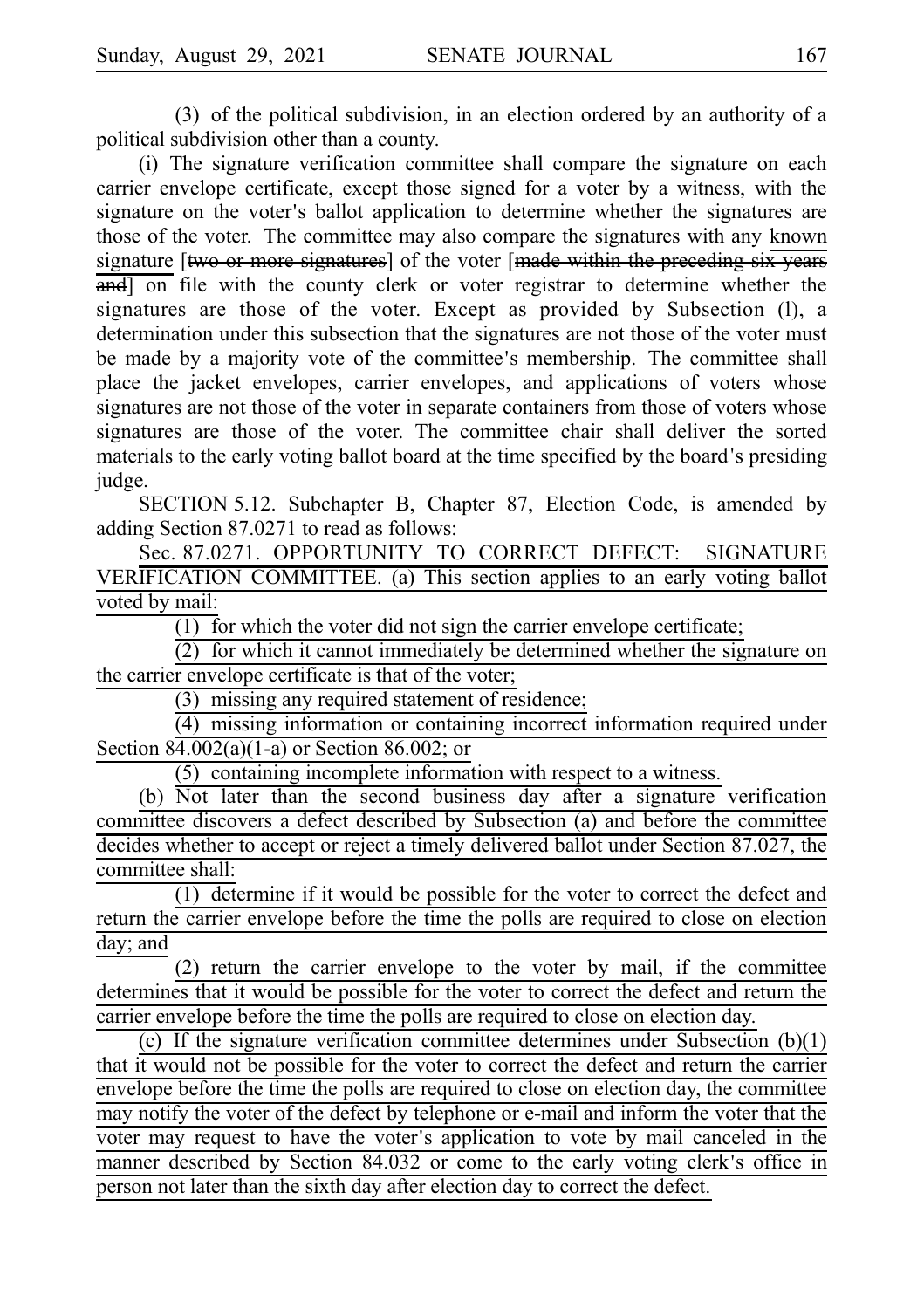$(3)$  of the political subdivision, in an election ordered by an authority of a political subdivision other than a county.

(i) The signature verification committee shall compare the signature on each carrier envelope certificate, except those signed for a voter by a witness, with the signature on the voter's ballot application to determine whether the signatures are those of the voter. The committee may also compare the signatures with any known signature [two or more signatures] of the voter [made within the preceding six years and on file with the county clerk or voter registrar to determine whether the signatures are those of the voter. Except as provided by Subsection (l), a determination under this subsection that the signatures are not those of the voter must be made by a majority vote of the committee's membership. The committee shall place the jacket envelopes, carrier envelopes, and applications of voters whose signatures are not those of the voter in separate containers from those of voters whose signatures are those of the voter. The committee chair shall deliver the sorted materials to the early voting ballot board at the time specified by the board's presiding judge.

SECTION 5.12. Subchapter B, Chapter 87, Election Code, is amended by adding Section 87.0271 to read as follows:

Sec. 87.0271. OPPORTUNITY TO CORRECT DEFECT: SIGNATURE VERIFICATION COMMITTEE. (a) This section applies to an early voting ballot voted by mail:

 $(1)$  for which the voter did not sign the carrier envelope certificate;

 $(2)$  for which it cannot immediately be determined whether the signature on the carrier envelope certificate is that of the voter;

 $(3)$  missing any required statement of residence;

 $(4)$  missing information or containing incorrect information required under Section 84.002(a)(1-a) or Section 86.002; or

 $(5)$  containing incomplete information with respect to a witness.

(b)  $\overline{Not}$  later than the second business day after a signature verification committee discovers a defect described by Subsection (a) and before the committee decides whether to accept or reject a timely delivered ballot under Section 87.027, the committee shall:

 $(1)$  determine if it would be possible for the voter to correct the defect and return the carrier envelope before the time the polls are required to close on election day; and

 $(2)$  return the carrier envelope to the voter by mail, if the committee determines that it would be possible for the voter to correct the defect and return the carrier envelope before the time the polls are required to close on election day.

(c) If the signature verification committee determines under Subsection  $(b)(1)$ that it would not be possible for the voter to correct the defect and return the carrier envelope before the time the polls are required to close on election day, the committee may notify the voter of the defect by telephone or e-mail and inform the voter that the voter may request to have the voter's application to vote by mail canceled in the manner described by Section 84.032 or come to the early voting clerk's office in person not later than the sixth day after election day to correct the defect.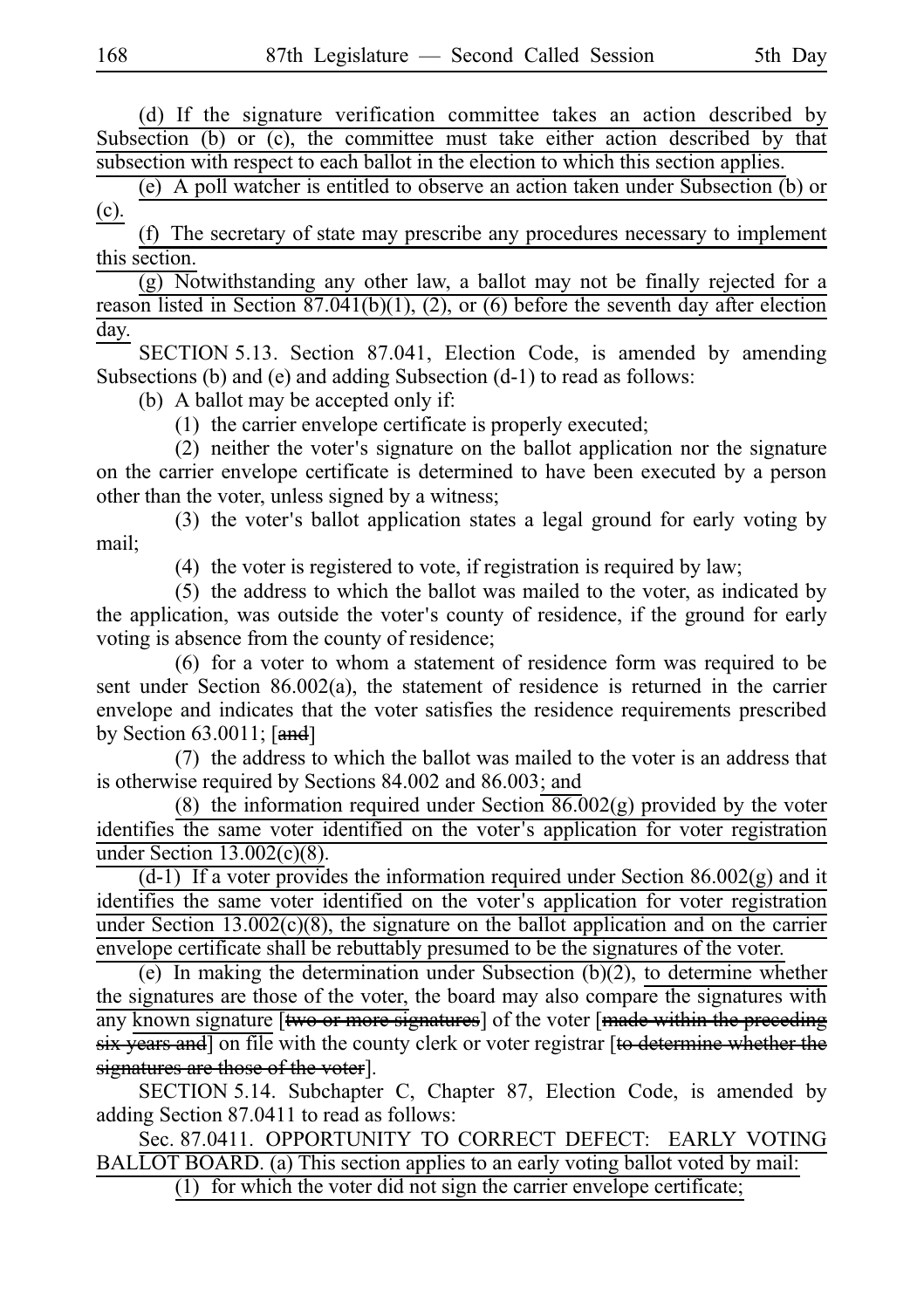(d) If the signature verification committee takes an action described by Subsection (b) or (c), the committee must take either action described by that subsection with respect to each ballot in the election to which this section applies.

(e) A poll watcher is entitled to observe an action taken under Subsection (b) or (c).

(f) The secretary of state may prescribe any procedures necessary to implement this section.

 $(g)$  Notwithstanding any other law, a ballot may not be finally rejected for a reason listed in Section 87.041(b)(1), (2), or (6) before the seventh day after election day.

SECTION 5.13. Section 87.041, Election Code, is amended by amending Subsections (b) and (e) and adding Subsection (d-1) to read as follows:

(b) A ballot may be accepted only if:

 $(1)$  the carrier envelope certificate is properly executed;

(2) neither the voter's signature on the ballot application nor the signature on the carrier envelope certificate is determined to have been executed by a person other than the voter, unless signed by a witness;

 $(3)$  the voter's ballot application states a legal ground for early voting by mail;

(4) the voter is registered to vote, if registration is required by law;

(5) the address to which the ballot was mailed to the voter, as indicated by the application, was outside the voter's county of residence, if the ground for early voting is absence from the county of residence;

(6) for a voter to whom a statement of residence form was required to be sent under Section 86.002(a), the statement of residence is returned in the carrier envelope and indicates that the voter satisfies the residence requirements prescribed by Section  $63.0011$ ;  $\lceil \text{and} \rceil$ 

(7) the address to which the ballot was mailed to the voter is an address that is otherwise required by Sections 84.002 and 86.003; and

(8) the information required under Section  $86.002(g)$  provided by the voter identifies the same voter identified on the voter's application for voter registration under Section  $13.002(c)(8)$ .

 $(d-1)$  If a voter provides the information required under Section 86.002(g) and it identifies the same voter identified on the voter's application for voter registration under Section 13.002(c)(8), the signature on the ballot application and on the carrier envelope certificate shall be rebuttably presumed to be the signatures of the voter.

(e) In making the determination under Subsection (b)(2), to determine whether the signatures are those of the voter, the board may also compare the signatures with any known signature [two or more signatures] of the voter [made within the preceding six years and] on file with the county clerk or voter registrar [to determine whether the signatures are those of the voter].

SECTION 5.14. Subchapter C, Chapter 87, Election Code, is amended by adding Section 87.0411 to read as follows:

Sec. 87.0411. OPPORTUNITY TO CORRECT DEFECT: EARLY VOTING BALLOT BOARD. (a) This section applies to an early voting ballot voted by mail:

 $(1)$  for which the voter did not sign the carrier envelope certificate;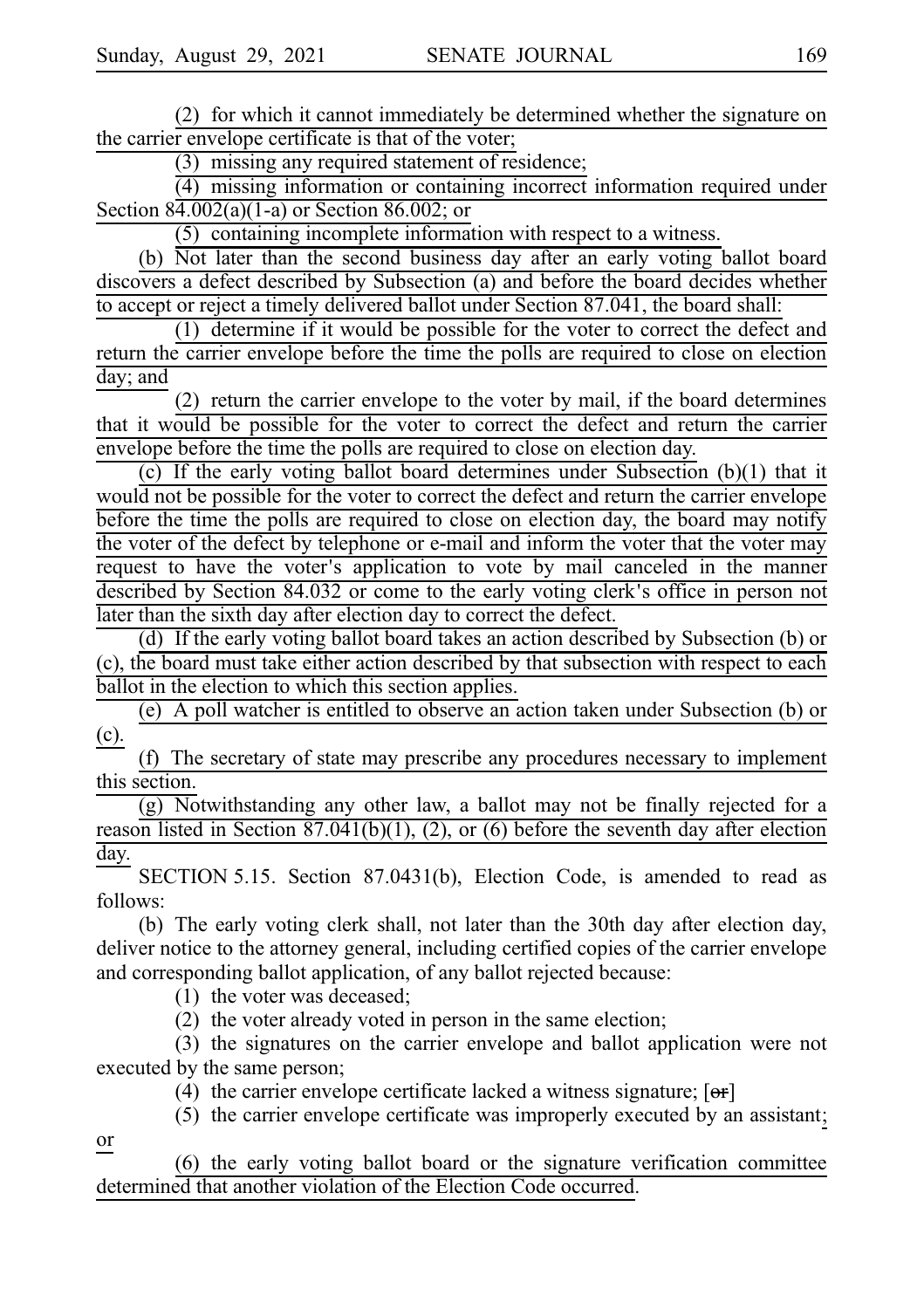(2) for which it cannot immediately be determined whether the signature on the carrier envelope certificate is that of the voter;

 $(3)$  missing any required statement of residence;

 $(4)$  missing information or containing incorrect information required under Section 84.002(a)(1-a) or Section 86.002; or

 $(5)$  containing incomplete information with respect to a witness.

(b) Not later than the second business day after an early voting ballot board discovers a defect described by Subsection (a) and before the board decides whether to accept or reject a timely delivered ballot under Section 87.041, the board shall:

 $(1)$  determine if it would be possible for the voter to correct the defect and return the carrier envelope before the time the polls are required to close on election day; and

(2) return the carrier envelope to the voter by mail, if the board determines that it would be possible for the voter to correct the defect and return the carrier envelope before the time the polls are required to close on election day.

(c) If the early voting ballot board determines under Subsection  $(b)(1)$  that it would not be possible for the voter to correct the defect and return the carrier envelope before the time the polls are required to close on election day, the board may notify the voter of the defect by telephone or e-mail and inform the voter that the voter may request to have the voter's application to vote by mail canceled in the manner described by Section 84.032 or come to the early voting clerk's office in person not later than the sixth day after election day to correct the defect.

(d) If the early voting ballot board takes an action described by Subsection (b) or (c), the board must take either action described by that subsection with respect to each ballot in the election to which this section applies.

(e) A poll watcher is entitled to observe an action taken under Subsection (b) or (c).

(f) The secretary of state may prescribe any procedures necessary to implement this section.

 $(g)$  Notwithstanding any other law, a ballot may not be finally rejected for a reason listed in Section 87.041(b)(1), (2), or (6) before the seventh day after election day.

SECTION 5.15. Section 87.0431(b), Election Code, is amended to read as follows:

(b) The early voting clerk shall, not later than the 30th day after election day, deliver notice to the attorney general, including certified copies of the carrier envelope and corresponding ballot application, of any ballot rejected because:

 $(1)$  the voter was deceased;

 $(2)$  the voter already voted in person in the same election;

(3) the signatures on the carrier envelope and ballot application were not executed by the same person;

(4) the carrier envelope certificate lacked a witness signature;  $[**or**]$ 

 $(5)$  the carrier envelope certificate was improperly executed by an assistant;

or

(6) the early voting ballot board or the signature verification committee determined that another violation of the Election Code occurred.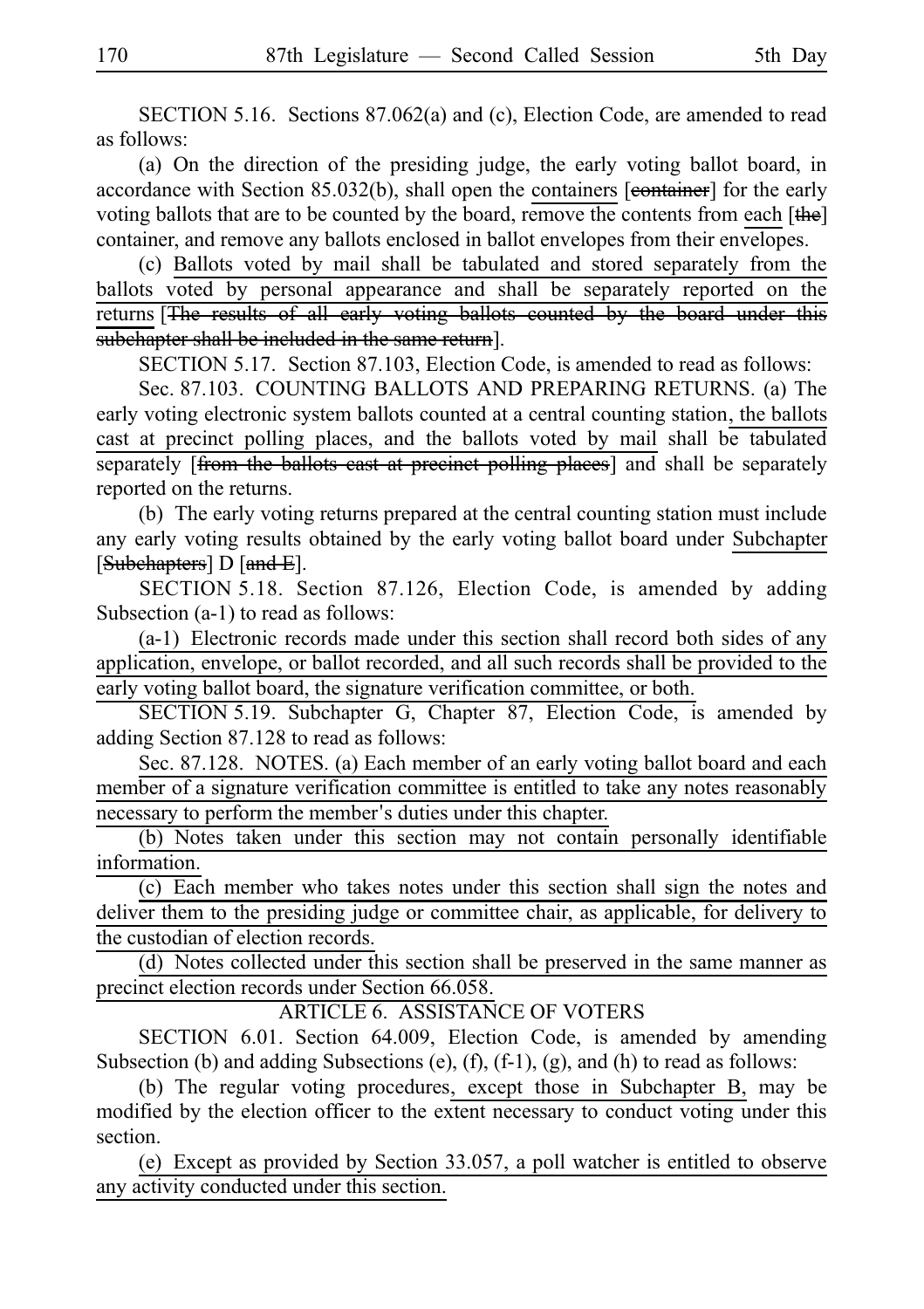SECTION 5.16. Sections  $87.062(a)$  and (c), Election Code, are amended to read as follows:

(a) On the direction of the presiding judge, the early voting ballot board, in accordance with Section 85.032(b), shall open the containers [eontainer] for the early voting ballots that are to be counted by the board, remove the contents from each [the] container, and remove any ballots enclosed in ballot envelopes from their envelopes.

(c) Ballots voted by mail shall be tabulated and stored separately from the ballots voted by personal appearance and shall be separately reported on the returns [The results of all early voting ballots counted by the board under this subchapter shall be included in the same return].

SECTION 5.17. Section 87.103, Election Code, is amended to read as follows:

Sec. 87.103. COUNTING BALLOTS AND PREPARING RETURNS. (a) The early voting electronic system ballots counted at a central counting station, the ballots cast at precinct polling places, and the ballots voted by mail shall be tabulated separately [from the ballots cast at precinct polling places] and shall be separately reported on the returns.

(b) The early voting returns prepared at the central counting station must include any early voting results obtained by the early voting ballot board under Subchapter [Subchapters] D [and E].

SECTION 5.18. Section 87.126, Election Code, is amended by adding Subsection (a-1) to read as follows:

 $(a-1)$  Electronic records made under this section shall record both sides of any application, envelope, or ballot recorded, and all such records shall be provided to the early voting ballot board, the signature verification committee, or both.

SECTION 5.19. Subchapter G, Chapter 87, Election Code, is amended by adding Section 87.128 to read as follows:

Sec. 87.128. NOTES. (a) Each member of an early voting ballot board and each member of a signature verification committee is entitled to take any notes reasonably necessary to perform the member's duties under this chapter.

(b) Notes taken under this section may not contain personally identifiable information.

(c) Each member who takes notes under this section shall sign the notes and deliver them to the presiding judge or committee chair, as applicable, for delivery to the custodian of election records.

(d) Notes collected under this section shall be preserved in the same manner as precinct election records under Section 66.058.

ARTICLE 6. ASSISTANCE OF VOTERS

SECTION 6.01. Section 64.009, Election Code, is amended by amending Subsection (b) and adding Subsections (e),  $(f)$ ,  $(f-1)$ ,  $(g)$ , and  $(h)$  to read as follows:

(b) The regular voting procedures, except those in Subchapter B, may be modified by the election officer to the extent necessary to conduct voting under this section.

(e) Except as provided by Section  $33.057$ , a poll watcher is entitled to observe any activity conducted under this section.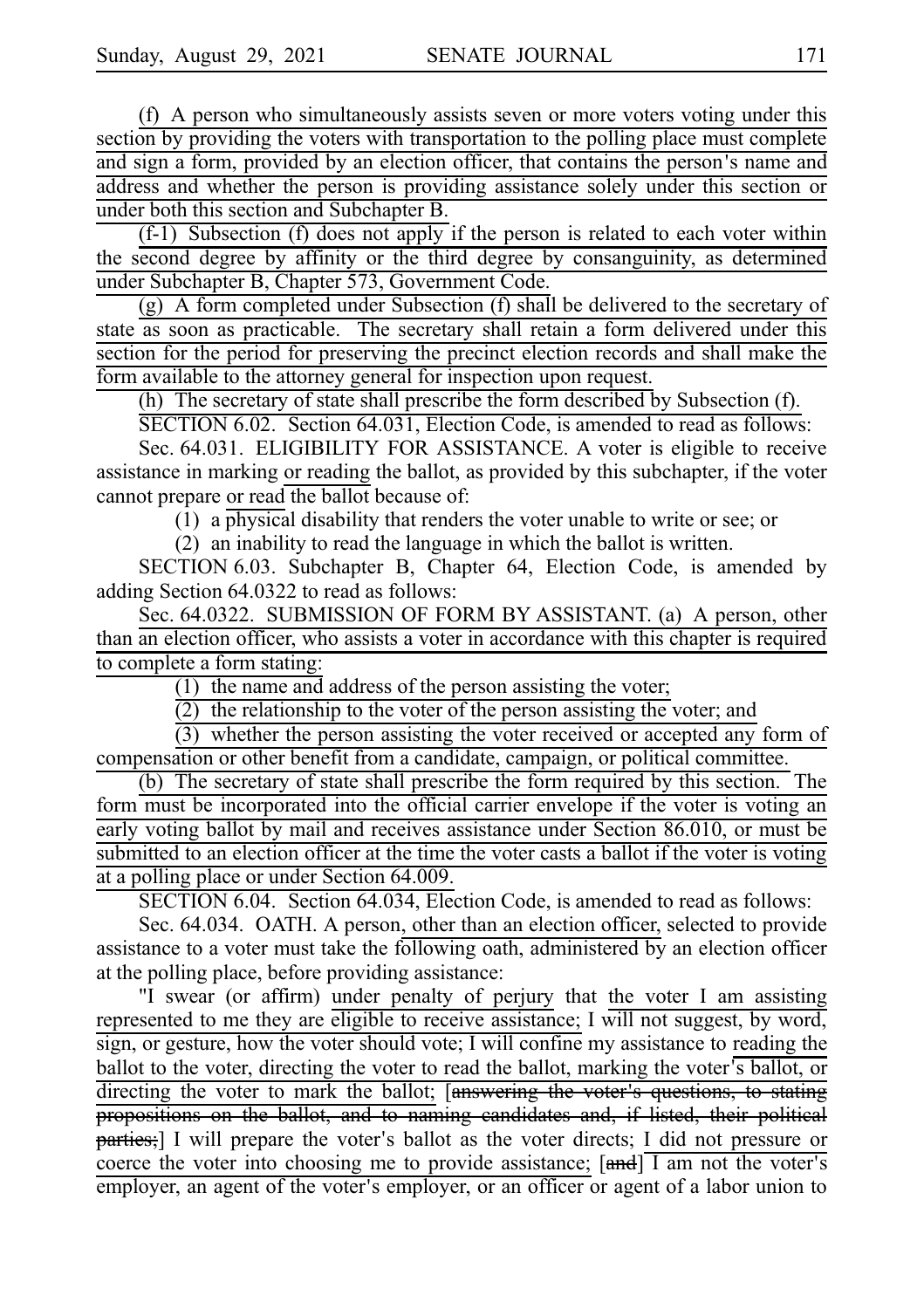$(f)$  A person who simultaneously assists seven or more voters voting under this section by providing the voters with transportation to the polling place must complete and sign a form, provided by an election officer, that contains the person's name and address and whether the person is providing assistance solely under this section or under both this section and Subchapter B.

 $(f-1)$  Subsection  $(f)$  does not apply if the person is related to each voter within the second degree by affinity or the third degree by consanguinity, as determined under Subchapter B, Chapter 573, Government Code.

 $(g)$  A form completed under Subsection  $(f)$  shall be delivered to the secretary of state as soon as practicable. The secretary shall retain a form delivered under this section for the period for preserving the precinct election records and shall make the form available to the attorney general for inspection upon request.

(h) The secretary of state shall prescribe the form described by Subsection (f).

 $SECTION 6.02.$  Section  $64.031$ , Election Code, is amended to read as follows:

Sec. 64.031. ELIGIBILITY FOR ASSISTANCE. A voter is eligible to receive assistance in marking or reading the ballot, as provided by this subchapter, if the voter cannot prepare or read the ballot because of:

(1) a physical disability that renders the voter unable to write or see; or

(2) an inability to read the language in which the ballot is written.

SECTION 6.03. Subchapter B, Chapter 64, Election Code, is amended by adding Section 64.0322 to read as follows:

Sec. 64.0322. SUBMISSION OF FORM BY ASSISTANT. (a) A person, other than an election officer, who assists a voter in accordance with this chapter is required to complete a form stating:

(1) the name and address of the person assisting the voter;

 $\overline{2}$ ) the relationship to the voter of the person assisting the voter; and

 $(3)$  whether the person assisting the voter received or accepted any form of compensation or other benefit from a candidate, campaign, or political committee.

 $(b)$  The secretary of state shall prescribe the form required by this section. The form must be incorporated into the official carrier envelope if the voter is voting an early voting ballot by mail and receives assistance under Section 86.010, or must be submitted to an election officer at the time the voter casts a ballot if the voter is voting at a polling place or under Section 64.009.

SECTION 6.04. Section 64.034, Election Code, is amended to read as follows:

Sec. 64.034. OATH. A person, other than an election officer, selected to provide assistance to a voter must take the following oath, administered by an election officer at the polling place, before providing assistance:

"I swear (or affirm) under penalty of perjury that the voter I am assisting represented to me they are eligible to receive assistance; I will not suggest, by word, sign, or gesture, how the voter should vote; I will confine my assistance to reading the ballot to the voter, directing the voter to read the ballot, marking the voter's ballot, or directing the voter to mark the ballot; [answering the voter's questions, to stating propositions on the ballot, and to naming candidates and, if listed, their political parties;] I will prepare the voter's ballot as the voter directs; I did not pressure or coerce the voter into choosing me to provide assistance;  $[\overline{\mathbf{and}}]$  I am not the voter's employer, an agent of the voter's employer, or an officer or agent of a labor union to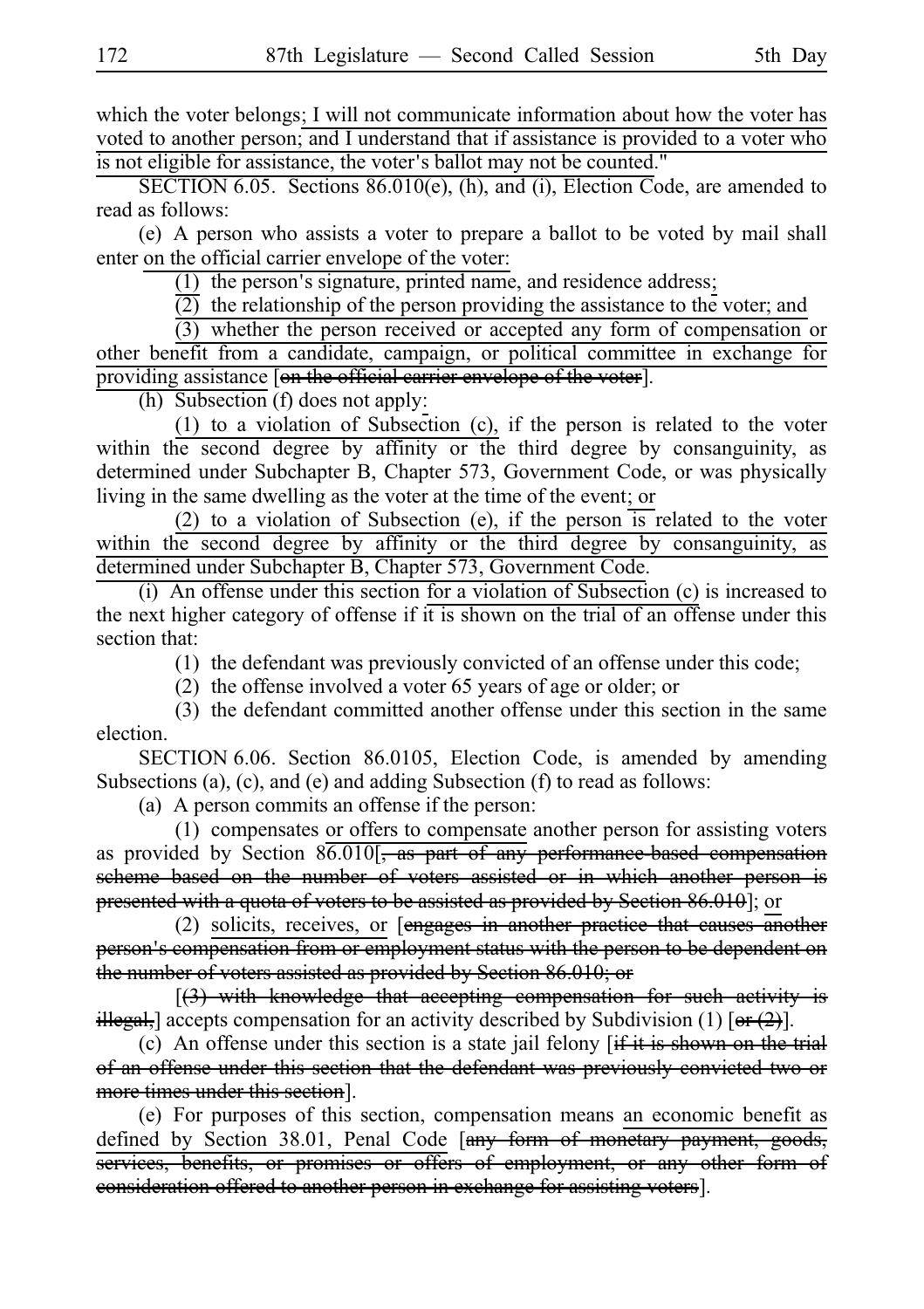which the voter belongs; I will not communicate information about how the voter has voted to another person; and I understand that if assistance is provided to a voter who is not eligible for assistance, the voter's ballot may not be counted."

SECTION 6.05. Sections  $86.010(e)$ , (h), and (i), Election Code, are amended to read as follows:

(e) A person who assists a voter to prepare a ballot to be voted by mail shall enter on the official carrier envelope of the voter:

 $(1)$  the person's signature, printed name, and residence address;

 $\overline{(2)}$  the relationship of the person providing the assistance to the voter; and

 $(3)$  whether the person received or accepted any form of compensation or other benefit from a candidate, campaign, or political committee in exchange for providing assistance [on the official carrier envelope of the voter].

(h) Subsection (f) does not apply:

(1) to a violation of Subsection (c), if the person is related to the voter within the second degree by affinity or the third degree by consanguinity, as determined under Subchapter B, Chapter 573, Government Code, or was physically living in the same dwelling as the voter at the time of the event; or

(2) to a violation of Subsection (e), if the person  $\overline{1}$  related to the voter within the second degree by affinity or the third degree by consanguinity, as determined under Subchapter B, Chapter 573, Government Code.

(i) An offense under this section for a violation of Subsection  $(c)$  is increased to the next higher category of offense if it is shown on the trial of an offense under this section that:

 $(1)$  the defendant was previously convicted of an offense under this code;

(2) the offense involved a voter  $65$  years of age or older; or

(3) the defendant committed another offense under this section in the same election.

SECTION 6.06. Section 86.0105, Election Code, is amended by amending Subsections (a), (c), and (e) and adding Subsection (f) to read as follows:

(a) A person commits an offense if the person:

(1) compensates or offers to compensate another person for assisting voters as provided by Section  $86.010$ [, as part of any performance based compensation scheme based on the number of voters assisted or in which another person is presented with a quota of voters to be assisted as provided by Section 86.010]; or

(2) solicits, receives, or  $[$ engages in another practice that causes another person's compensation from or employment status with the person to be dependent on the number of voters assisted as provided by Section 86.010; or

 $[(3)$  with knowledge that accepting compensation for such activity is illegal, accepts compensation for an activity described by Subdivision (1)  $[**or**(2)]$ .

(c) An offense under this section is a state jail felony  $f$  if it is shown on the trial of an offense under this section that the defendant was previously convicted two or more times under this section].

(e) For purposes of this section, compensation means an economic benefit as defined by Section 38.01, Penal Code [any form of monetary payment, goods, services, benefits, or promises or offers of employment, or any other form of consideration offered to another person in exchange for assisting voters].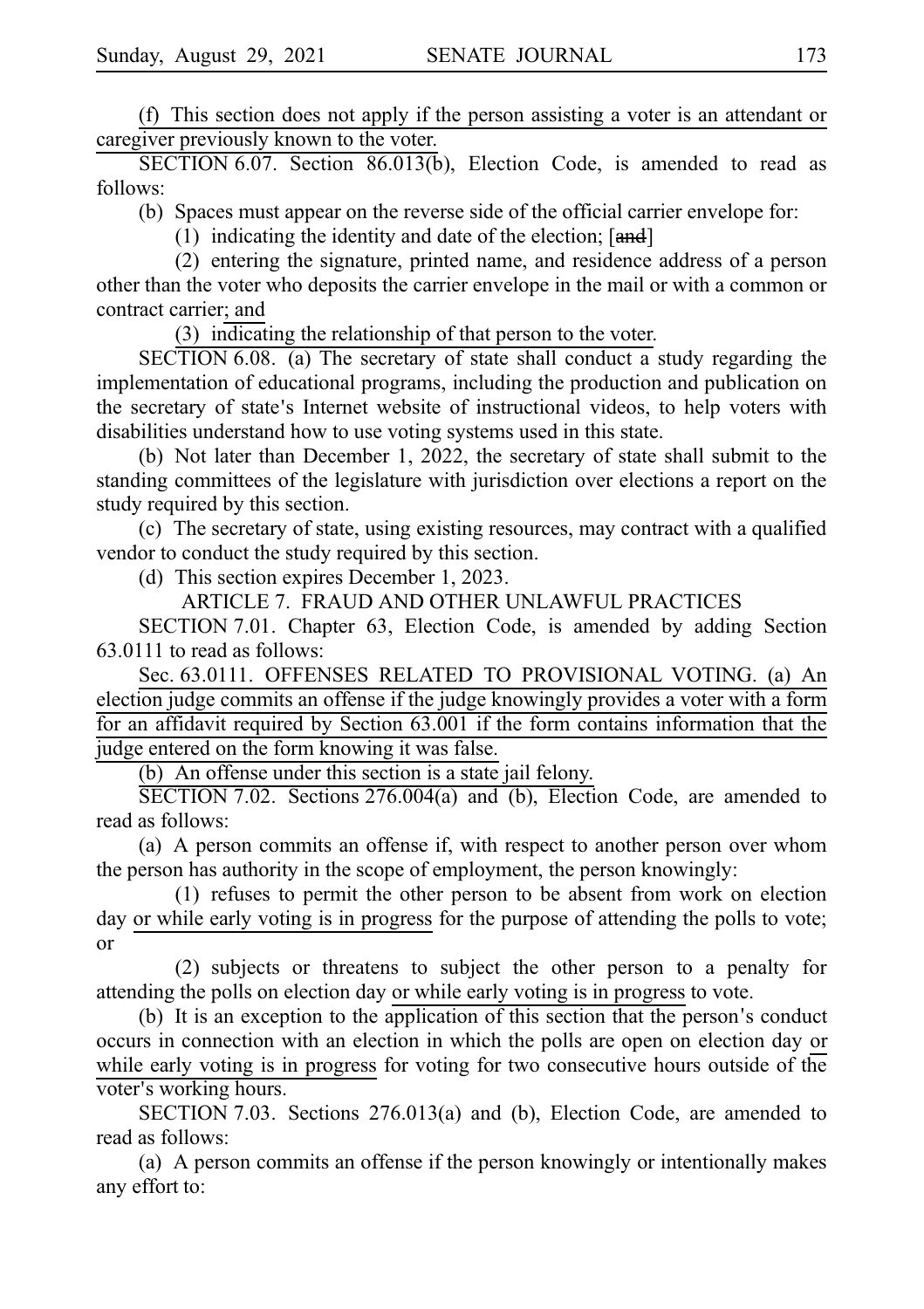(f) This section does not apply if the person assisting a voter is an attendant or caregiver previously known to the voter.

SECTION 6.07. Section 86.013(b), Election Code, is amended to read as follows:

(b) Spaces must appear on the reverse side of the official carrier envelope for:

(1) indicating the identity and date of the election;  $[and]$ 

(2) entering the signature, printed name, and residence address of a person other than the voter who deposits the carrier envelope in the mail or with a common or contract carrier; and

(3) indicating the relationship of that person to the voter.

 $SECTION 6.08.$  (a) The secretary of state shall conduct a study regarding the implementation of educational programs, including the production and publication on the secretary of state's Internet website of instructional videos, to help voters with disabilities understand how to use voting systems used in this state.

(b) Not later than December 1, 2022, the secretary of state shall submit to the standing committees of the legislature with jurisdiction over elections a report on the study required by this section.

 $(c)$  The secretary of state, using existing resources, may contract with a qualified vendor to conduct the study required by this section.

(d) This section expires December 1, 2023.

ARTICLE 7. FRAUD AND OTHER UNLAWFUL PRACTICES

SECTION 7.01. Chapter 63, Election Code, is amended by adding Section 63.0111 to read as follows:

Sec. 63.0111. OFFENSES RELATED TO PROVISIONAL VOTING. (a) An election judge commits an offense if the judge knowingly provides a voter with a form for an affidavit required by Section 63.001 if the form contains information that the judge entered on the form knowing it was false.

(b) An offense under this section is a state jail felony.

SECTION 7.02. Sections 276.004(a) and (b), Election Code, are amended to read as follows:

(a) A person commits an offense if, with respect to another person over whom the person has authority in the scope of employment, the person knowingly:

 $(1)$  refuses to permit the other person to be absent from work on election day or while early voting is in progress for the purpose of attending the polls to vote; or

 $(2)$  subjects or threatens to subject the other person to a penalty for attending the polls on election day or while early voting is in progress to vote.

 $(b)$  It is an exception to the application of this section that the person's conduct occurs in connection with an election in which the polls are open on election day or while early voting is in progress for voting for two consecutive hours outside of the voter's working hours.

SECTION 7.03. Sections 276.013(a) and (b), Election Code, are amended to read as follows:

(a) A person commits an offense if the person knowingly or intentionally makes any effort to: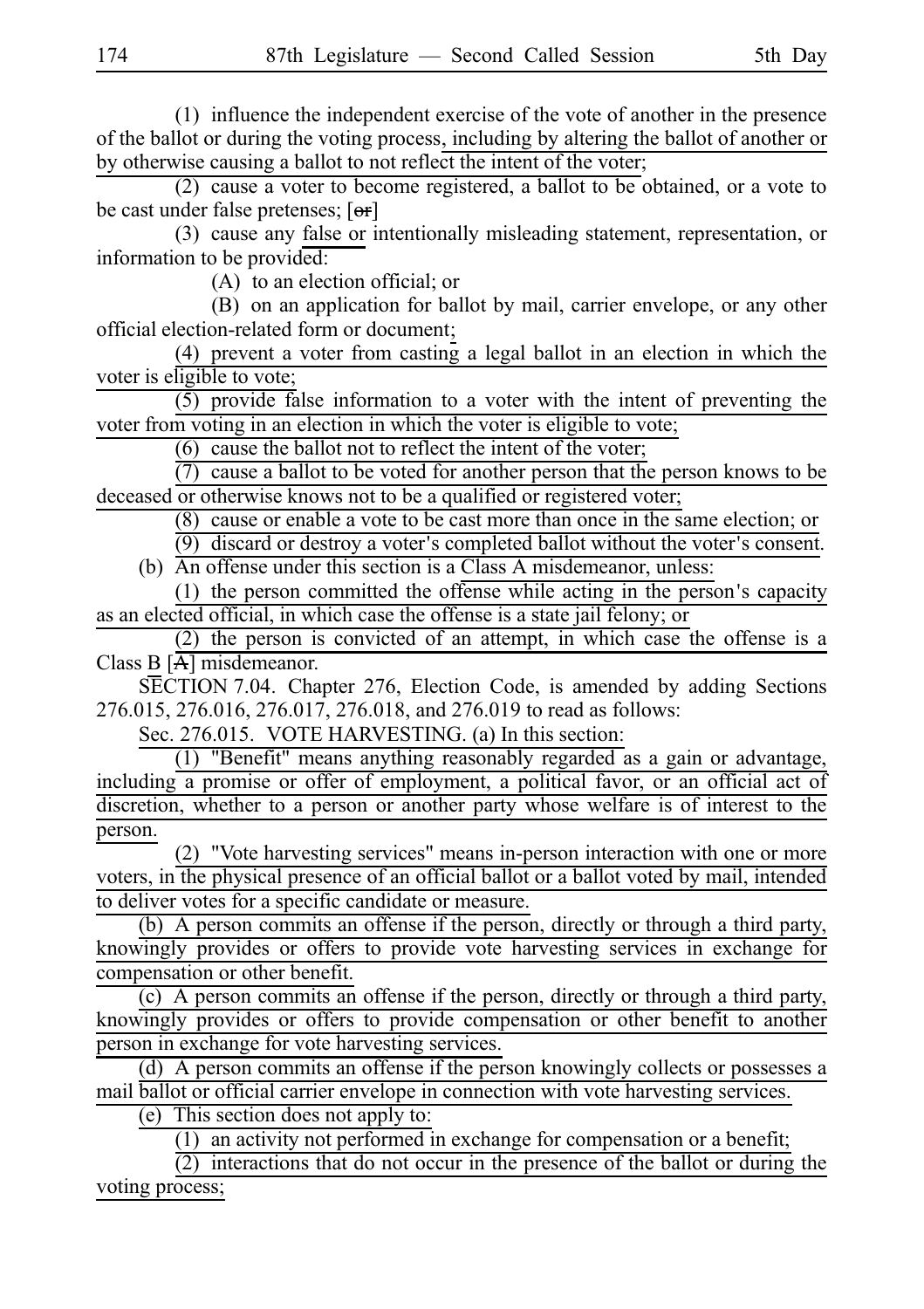$(1)$  influence the independent exercise of the vote of another in the presence of the ballot or during the voting process, including by altering the ballot of another or by otherwise causing a ballot to not reflect the intent of the voter;

 $(2)$  cause a voter to become registered, a ballot to be obtained, or a vote to be cast under false pretenses;  $[**or**]$ 

(3) cause any false or intentionally misleading statement, representation, or information to be provided:

 $(A)$  to an election official; or

(B) on an application for ballot by mail, carrier envelope, or any other official election-related form or document;

 $(4)$  prevent a voter from casting a legal ballot in an election in which the voter is eligible to vote;

 $(5)$  provide false information to a voter with the intent of preventing the voter from voting in an election in which the voter is eligible to vote;

 $(6)$  cause the ballot not to reflect the intent of the voter;

 $(7)$  cause a ballot to be voted for another person that the person knows to be deceased or otherwise knows not to be a qualified or registered voter;

 $(8)$  cause or enable a vote to be cast more than once in the same election; or

 $(9)$  discard or destroy a voter's completed ballot without the voter's consent.

(b) An offense under this section is a Class A misdemeanor, unless:

(1) the person committed the offense while acting in the person's capacity as an elected official, in which case the offense is a state jail felony; or

 $(2)$  the person is convicted of an attempt, in which case the offense is a Class B [A] misdemeanor.

SECTION 7.04. Chapter 276, Election Code, is amended by adding Sections 276.015, 276.016, 276.017, 276.018, and 276.019 to read as follows:

Sec. 276.015. VOTE HARVESTING. (a) In this section:

(1) "Benefit" means anything reasonably regarded as a gain or advantage, including a promise or offer of employment, a political favor, or an official act of discretion, whether to a person or another party whose welfare is of interest to the person.

(2) "Vote harvesting services" means in-person interaction with one or more voters, in the physical presence of an official ballot or a ballot voted by mail, intended to deliver votes for a specific candidate or measure.

(b) A person commits an offense if the person, directly or through a third party, knowingly provides or offers to provide vote harvesting services in exchange for compensation or other benefit.

(c) A person commits an offense if the person, directly or through a third party, knowingly provides or offers to provide compensation or other benefit to another person in exchange for vote harvesting services.

(d) A person commits an offense if the person knowingly collects or possesses a mail ballot or official carrier envelope in connection with vote harvesting services.

(e) This section does not apply to:

 $(1)$  an activity not performed in exchange for compensation or a benefit;

 $\overline{(2)}$  interactions that do not occur in the presence of the ballot or during the voting process;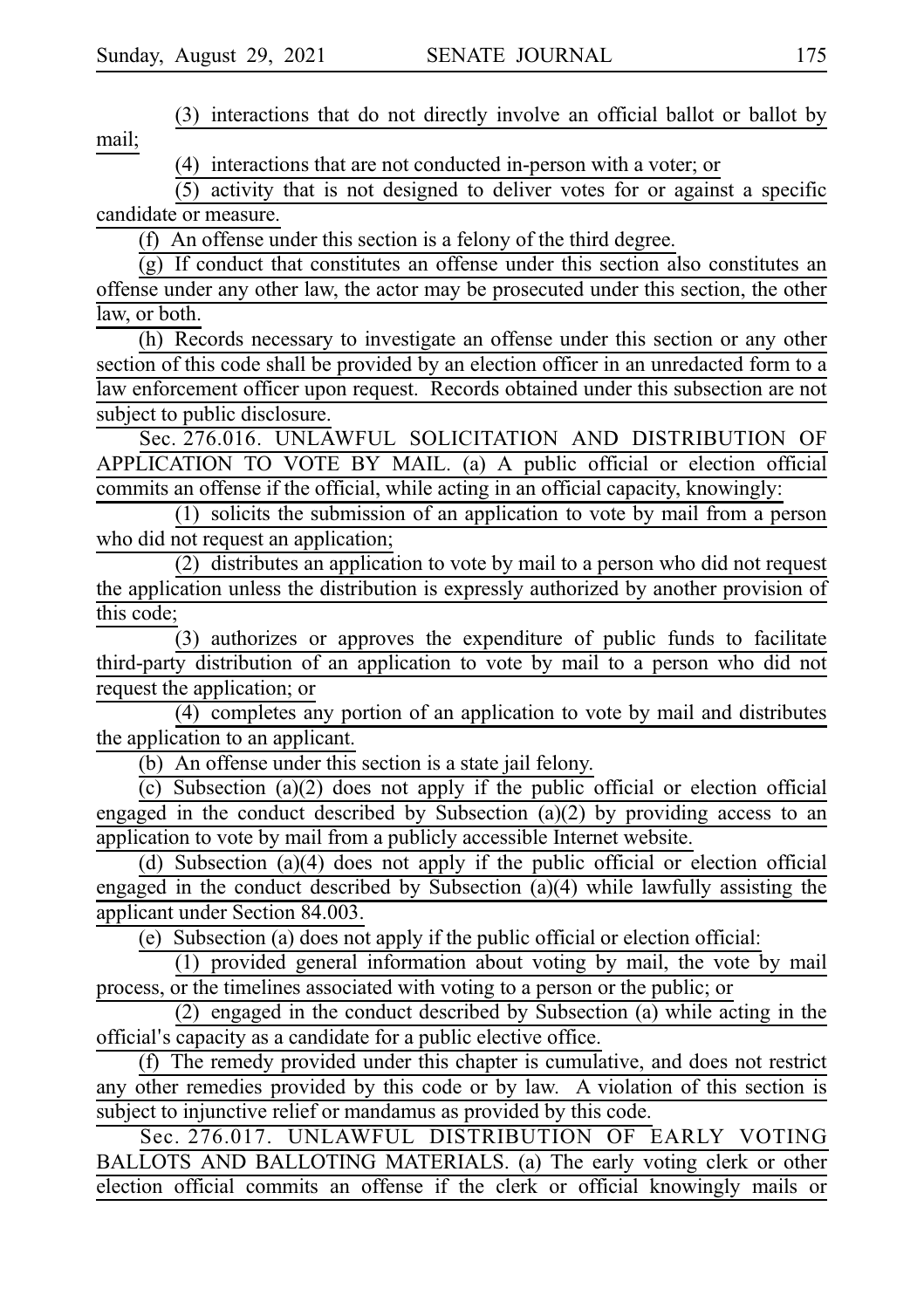(3) interactions that do not directly involve an official ballot or ballot by mail;

 $(4)$  interactions that are not conducted in-person with a voter; or

 $(5)$  activity that is not designed to deliver votes for or against a specific candidate or measure.

(f) An offense under this section is a felony of the third degree.

 $(g)$  If conduct that constitutes an offense under this section also constitutes an offense under any other law, the actor may be prosecuted under this section, the other law, or both.

(h) Records necessary to investigate an offense under this section or any other section of this code shall be provided by an election officer in an unredacted form to a law enforcement officer upon request. Records obtained under this subsection are not subject to public disclosure.

Sec. 276.016. UNLAWFUL SOLICITATION AND DISTRIBUTION OF APPLICATION TO VOTE BY MAIL. (a) A public official or election official commits an offense if the official, while acting in an official capacity, knowingly:

 $(1)$  solicits the submission of an application to vote by mail from a person who did not request an application;

 $(2)$  distributes an application to vote by mail to a person who did not request the application unless the distribution is expressly authorized by another provision of this code;

 $(3)$  authorizes or approves the expenditure of public funds to facilitate third-party distribution of an application to vote by mail to a person who did not request the application; or

 $(4)$  completes any portion of an application to vote by mail and distributes the application to an applicant.

(b) An offense under this section is a state jail felony.

 $(c)$  Subsection (a)(2) does not apply if the public official or election official engaged in the conduct described by Subsection (a)(2) by providing access to an application to vote by mail from a publicly accessible Internet website.

(d) Subsection (a)(4) does not apply if the public official or election official engaged in the conduct described by Subsection (a)(4) while lawfully assisting the applicant under Section 84.003.

(e) Subsection (a) does not apply if the public official or election official:

 $(1)$  provided general information about voting by mail, the vote by mail process, or the timelines associated with voting to a person or the public; or

(2) engaged in the conduct described by Subsection (a) while acting in the official's capacity as a candidate for a public elective office.

(f) The remedy provided under this chapter is cumulative, and does not restrict any other remedies provided by this code or by law. A violation of this section is subject to injunctive relief or mandamus as provided by this code.

Sec. 276.017. UNLAWFUL DISTRIBUTION OF EARLY VOTING BALLOTS AND BALLOTING MATERIALS. (a) The early voting clerk or other election official commits an offense if the clerk or official knowingly mails or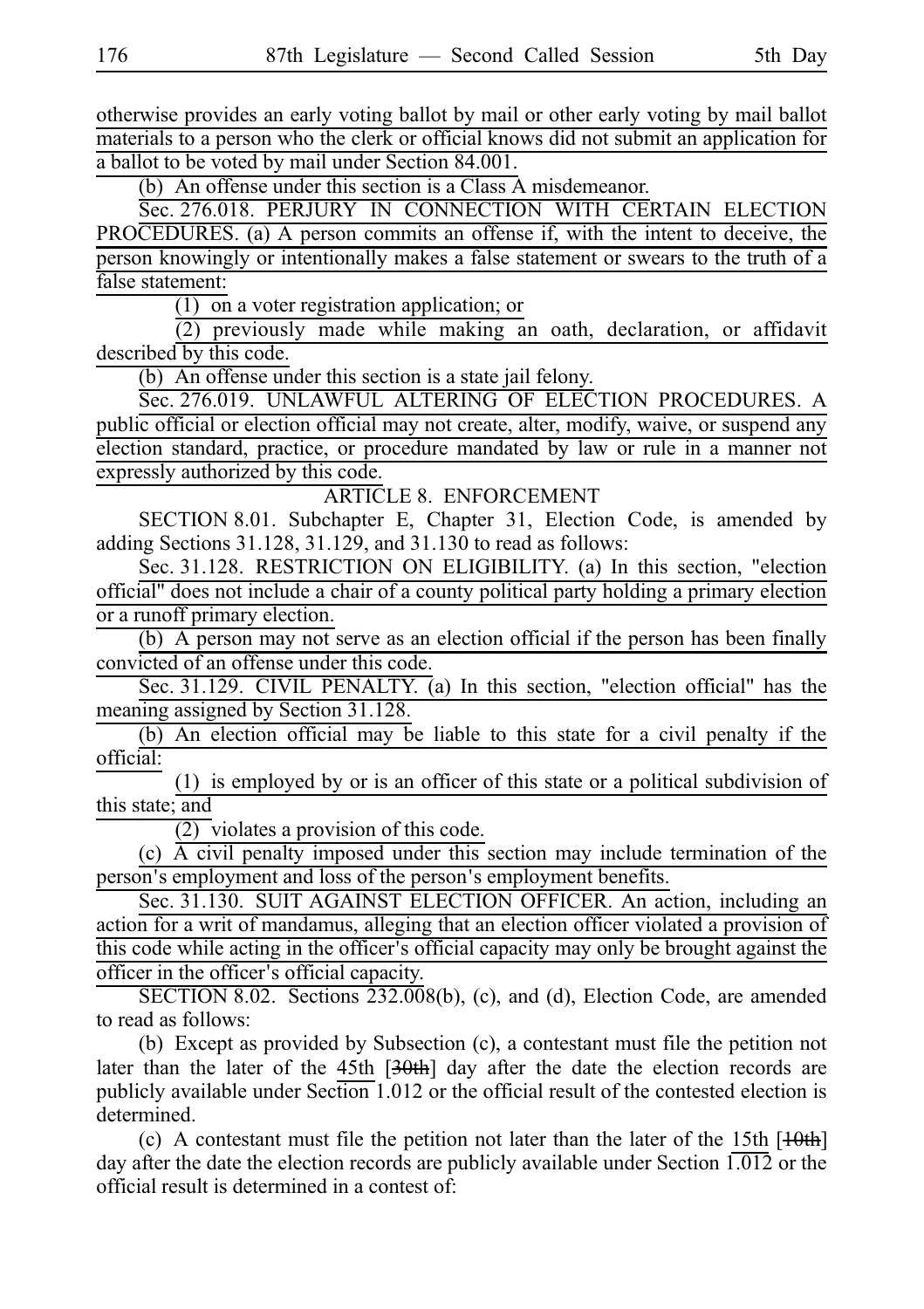otherwise provides an early voting ballot by mail or other early voting by mail ballot materials to a person who the clerk or official knows did not submit an application for a ballot to be voted by mail under Section 84.001.

(b) An offense under this section is a Class A misdemeanor.

Sec. 276.018. PERJURY IN CONNECTION WITH CERTAIN ELECTION PROCEDURES. (a) A person commits an offense if, with the intent to deceive, the person knowingly or intentionally makes a false statement or swears to the truth of a false statement:

 $(1)$  on a voter registration application; or

 $(2)$  previously made while making an oath, declaration, or affidavit described by this code.

(b) An offense under this section is a state jail felony.

Sec. 276.019. UNLAWFUL ALTERING OF ELECTION PROCEDURES. A public official or election official may not create, alter, modify, waive, or suspend any election standard, practice, or procedure mandated by law or rule in a manner not expressly authorized by this code.

ARTICLE 8. ENFORCEMENT

SECTION 8.01. Subchapter E, Chapter 31, Election Code, is amended by adding Sections 31.128, 31.129, and 31.130 to read as follows:

Sec. 31.128. RESTRICTION ON ELIGIBILITY. (a) In this section, "election official" does not include a chair of a county political party holding a primary election or a runoff primary election.

 $(b)$  A person may not serve as an election official if the person has been finally convicted of an offense under this code.

Sec. 31.129. CIVIL PENALTY. (a) In this section, "election official" has the meaning assigned by Section 31.128.

(b) An election official may be liable to this state for a civil penalty if the official:

 $(1)$  is employed by or is an officer of this state or a political subdivision of this state; and

 $\overline{(2)}$  violates a provision of this code.

 $(c)$  A civil penalty imposed under this section may include termination of the person's employment and loss of the person's employment benefits.

Sec. 31.130. SUIT AGAINST ELECTION OFFICER. An action, including an action for a writ of mandamus, alleging that an election officer violated a provision of this code while acting in the officer's official capacity may only be brought against the officer in the officer's official capacity.

SECTION 8.02. Sections  $232.008(b)$ , (c), and (d), Election Code, are amended to read as follows:

(b) Except as provided by Subsection (c), a contestant must file the petition not later than the later of the 45th [30th] day after the date the election records are publicly available under Section 1.012 or the official result of the contested election is determined.

(c) A contestant must file the petition not later than the later of the 15th  $[10th]$ day after the date the election records are publicly available under Section  $1.012$  or the official result is determined in a contest of: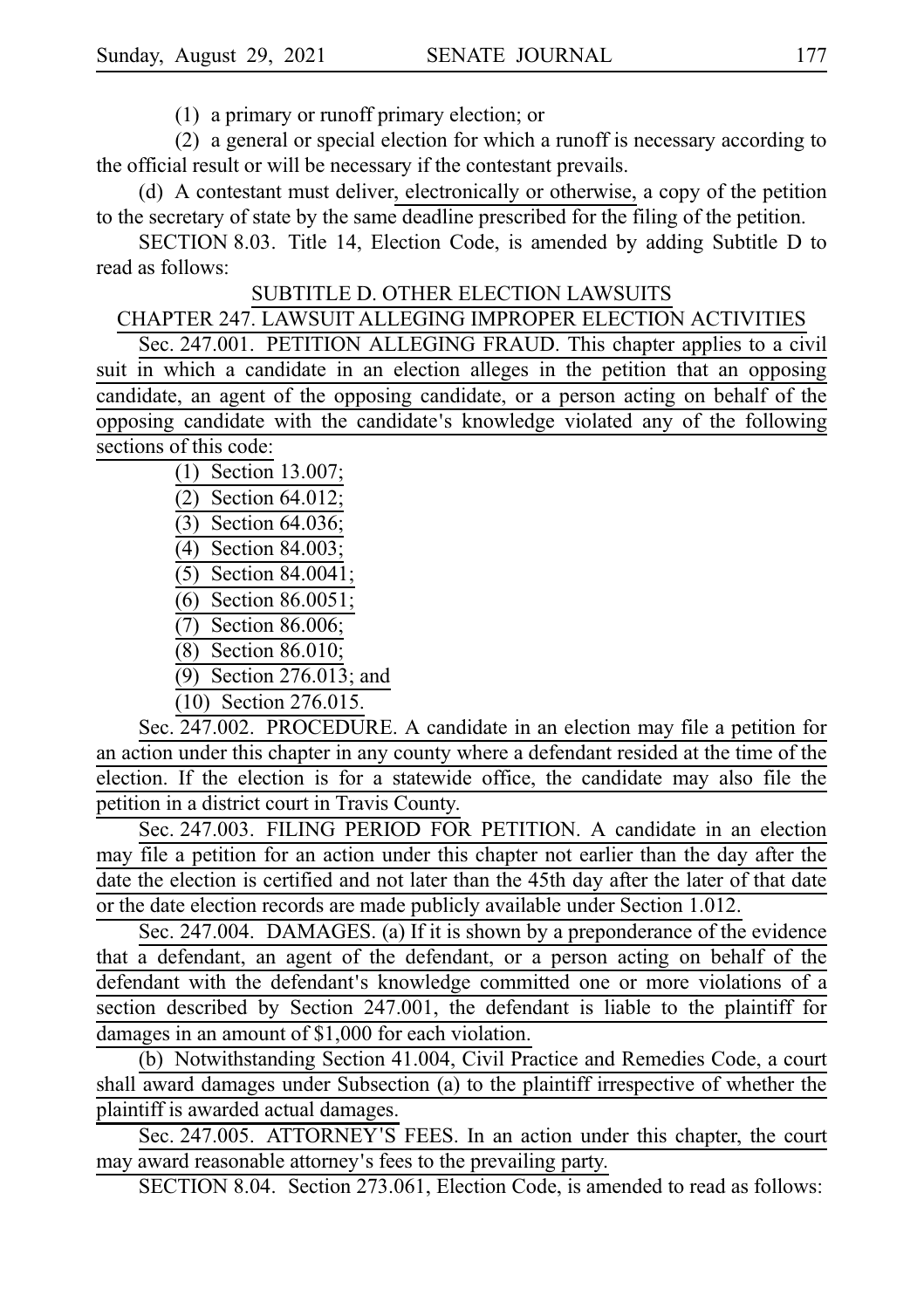$(1)$  a primary or runoff primary election; or

 $(2)$  a general or special election for which a runoff is necessary according to the official result or will be necessary if the contestant prevails.

(d) A contestant must deliver, electronically or otherwise, a copy of the petition to the secretary of state by the same deadline prescribed for the filing of the petition.

SECTION 8.03. Title 14, Election Code, is amended by adding Subtitle D to read as follows:

## SUBTITLE D. OTHER ELECTION LAWSUITS

# CHAPTER 247. LAWSUIT ALLEGING IMPROPER ELECTION ACTIVITIES

Sec. 247.001. PETITION ALLEGING FRAUD. This chapter applies to a civil suit in which a candidate in an election alleges in the petition that an opposing candidate, an agent of the opposing candidate, or a person acting on behalf of the opposing candidate with the candidate's knowledge violated any of the following sections of this code:

> (1) Section 13.007;  $(2)$  Section 64.012;  $(3)$  Section 64.036; (4) Section 84.003;  $(5)$  Section 84.0041; (6) Section 86.0051;  $\overline{(7)}$  Section 86.006; (8) Section 86.010; (9) Section 276.013; and

(10) Section 276.015.

Sec. 247.002. PROCEDURE. A candidate in an election may file a petition for an action under this chapter in any county where a defendant resided at the time of the election. If the election is for a statewide office, the candidate may also file the petition in a district court in Travis County.

Sec. 247.003. FILING PERIOD FOR PETITION. A candidate in an election may file a petition for an action under this chapter not earlier than the day after the date the election is certified and not later than the 45th day after the later of that date or the date election records are made publicly available under Section 1.012.

Sec. 247.004. DAMAGES. (a) If it is shown by a preponderance of the evidence that a defendant, an agent of the defendant, or a person acting on behalf of the defendant with the defendant's knowledge committed one or more violations of a section described by Section 247.001, the defendant is liable to the plaintiff for damages in an amount of \$1,000 for each violation.

(b) Notwithstanding Section 41.004, Civil Practice and Remedies Code, a court shall award damages under Subsection (a) to the plaintiff irrespective of whether the plaintiff is awarded actual damages.

Sec. 247.005. ATTORNEY'S FEES. In an action under this chapter, the court may award reasonable attorney's fees to the prevailing party.

SECTION 8.04. Section 273.061, Election Code, is amended to read as follows: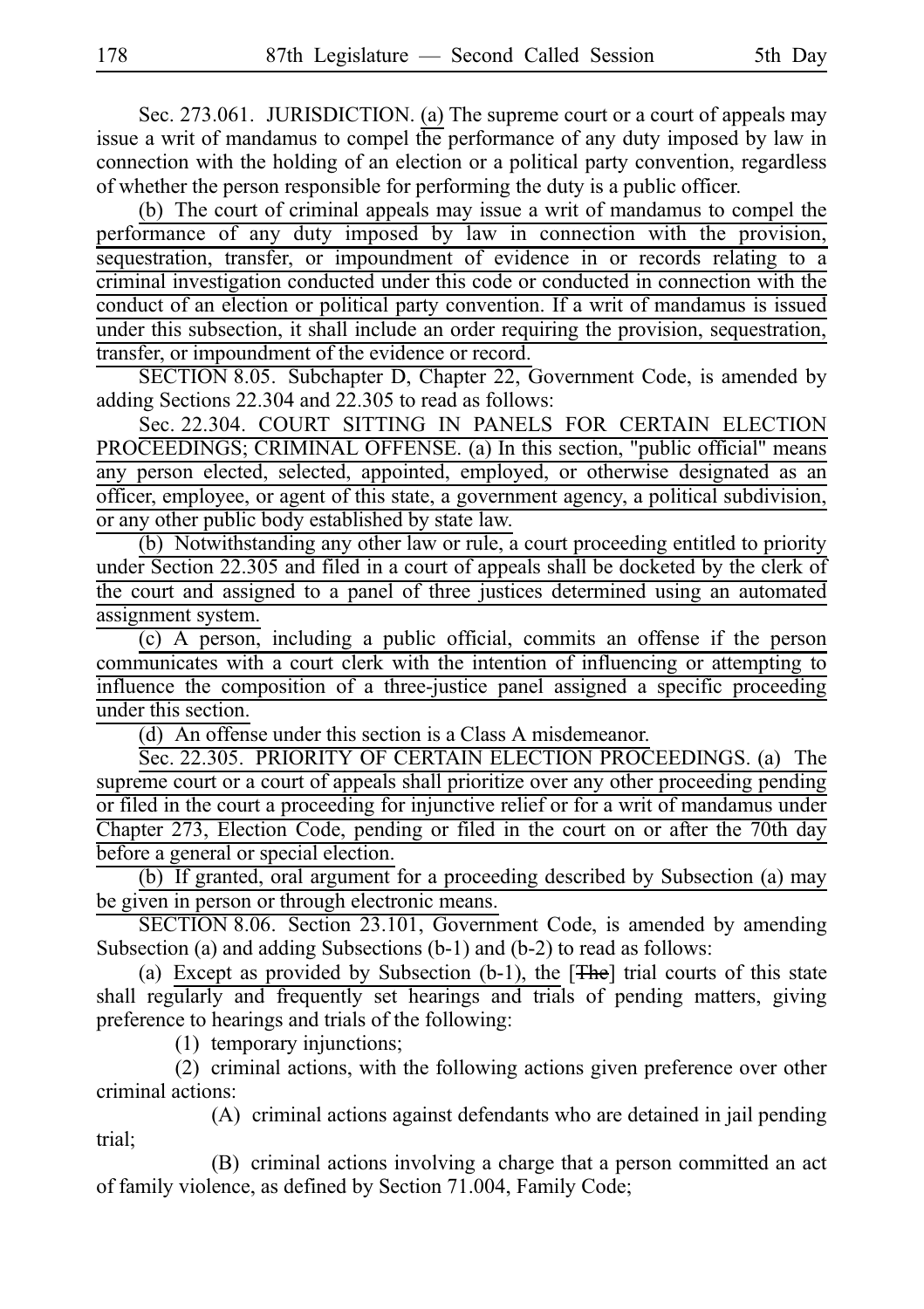Sec. 273.061. JURISDICTION. (a) The supreme court or a court of appeals may issue a writ of mandamus to compel the performance of any duty imposed by law in connection with the holding of an election or a political party convention, regardless of whether the person responsible for performing the duty is a public officer.

(b) The court of criminal appeals may issue a writ of mandamus to compel the performance of any duty imposed by law in connection with the provision, sequestration, transfer, or impoundment of evidence in or records relating to a criminal investigation conducted under this code or conducted in connection with the conduct of an election or political party convention. If a writ of mandamus is issued under this subsection, it shall include an order requiring the provision, sequestration, transfer, or impoundment of the evidence or record.

SECTION 8.05. Subchapter D, Chapter 22, Government Code, is amended by adding Sections 22.304 and 22.305 to read as follows:

Sec. 22.304. COURT SITTING IN PANELS FOR CERTAIN ELECTION PROCEEDINGS; CRIMINAL OFFENSE. (a) In this section, "public official" means any person elected, selected, appointed, employed, or otherwise designated as an officer, employee, or agent of this state, a government agency, a political subdivision, or any other public body established by state law.

(b) Notwithstanding any other law or rule, a court proceeding entitled to priority under Section 22.305 and filed in a court of appeals shall be docketed by the clerk of the court and assigned to a panel of three justices determined using an automated assignment system.

(c) A person, including a public official, commits an offense if the person communicates with a court clerk with the intention of influencing or attempting to influence the composition of a three-justice panel assigned a specific proceeding under this section.

 $(d)$  An offense under this section is a Class A misdemeanor.

Sec. 22.305. PRIORITY OF CERTAIN ELECTION PROCEEDINGS. (a) The supreme court or a court of appeals shall prioritize over any other proceeding pending or filed in the court a proceeding for injunctive relief or for a writ of mandamus under Chapter 273, Election Code, pending or filed in the court on or after the 70th day before a general or special election.

(b) If granted, oral argument for a proceeding described by Subsection (a) may be given in person or through electronic means.

SECTION 8.06. Section 23.101, Government Code, is amended by amending Subsection (a) and adding Subsections (b-1) and (b-2) to read as follows:

(a) Except as provided by Subsection (b-1), the  $[**The**]$  trial courts of this state shall regularly and frequently set hearings and trials of pending matters, giving preference to hearings and trials of the following:

 $(1)$  temporary injunctions;

 $(2)$  criminal actions, with the following actions given preference over other criminal actions:

(A) criminal actions against defendants who are detained in jail pending trial;

(B) criminal actions involving a charge that a person committed an act of family violence, as defined by Section 71.004, Family Code;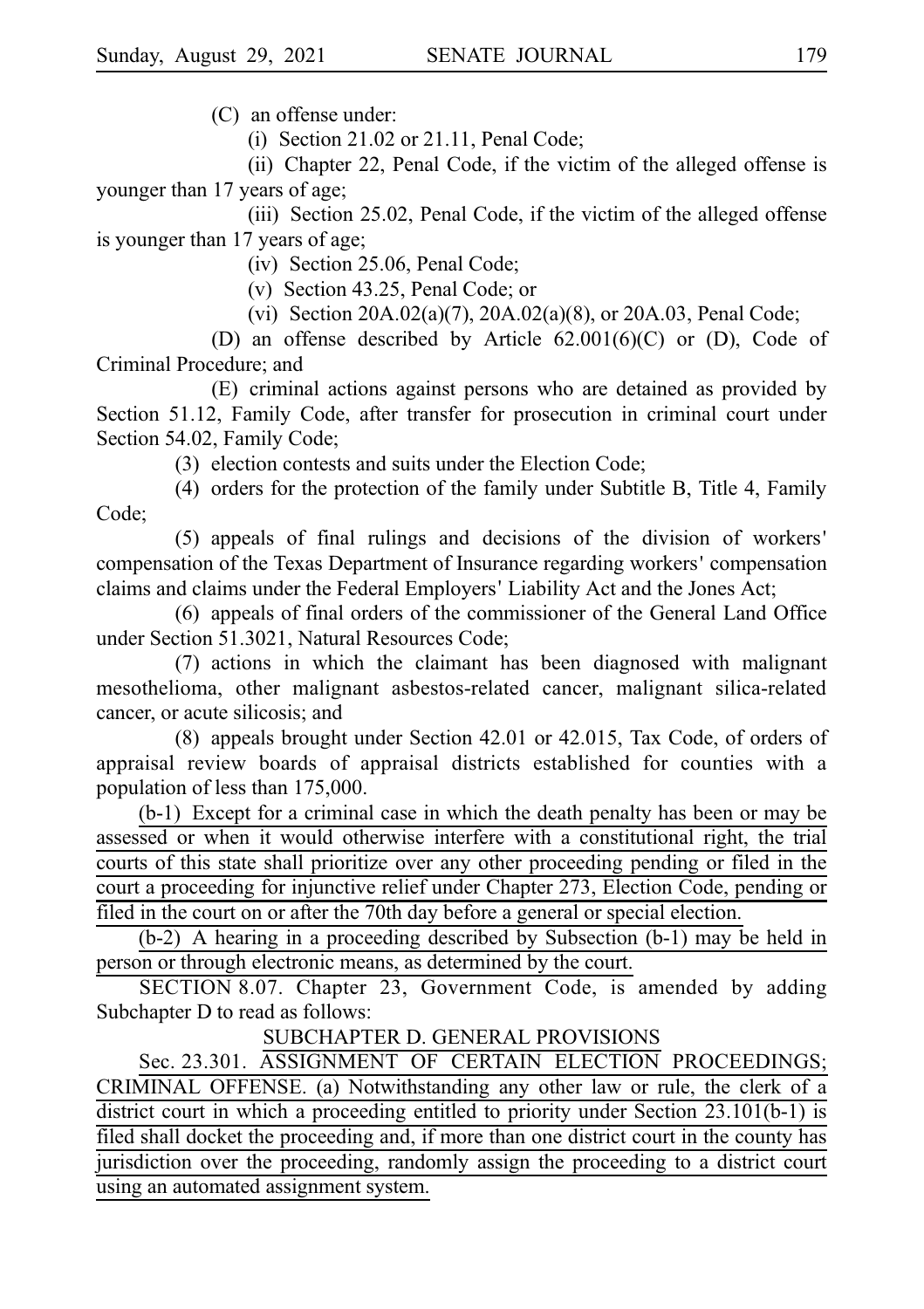$(C)$  an offense under:

(i) Section 21.02 or 21.11, Penal Code;

(ii) Chapter 22, Penal Code, if the victim of the alleged offense is younger than 17 years of age;

(iii) Section 25.02, Penal Code, if the victim of the alleged offense is younger than 17 years of age;

 $(iv)$  Section 25.06, Penal Code;

(v) Section 43.25, Penal Code; or

(vi) Section 20A.02(a)(7), 20A.02(a)(8), or 20A.03, Penal Code;

(D) an offense described by Article  $62.001(6)(C)$  or (D), Code of Criminal Procedure; and

(E) criminal actions against persons who are detained as provided by Section 51.12, Family Code, after transfer for prosecution in criminal court under Section 54.02, Family Code;

(3) election contests and suits under the Election Code;

(4) orders for the protection of the family under Subtitle B, Title 4, Family Code;

 $(5)$  appeals of final rulings and decisions of the division of workers' compensation of the Texas Department of Insurance regarding workers 'compensation claims and claims under the Federal Employers' Liability Act and the Jones Act;

(6) appeals of final orders of the commissioner of the General Land Office under Section 51.3021, Natural Resources Code;

 $(7)$  actions in which the claimant has been diagnosed with malignant mesothelioma, other malignant asbestos-related cancer, malignant silica-related cancer, or acute silicosis; and

 $(8)$  appeals brought under Section 42.01 or 42.015, Tax Code, of orders of appraisal review boards of appraisal districts established for counties with a population of less than 175,000.

 $(b-1)$  Except for a criminal case in which the death penalty has been or may be assessed or when it would otherwise interfere with a constitutional right, the trial courts of this state shall prioritize over any other proceeding pending or filed in the court a proceeding for injunctive relief under Chapter 273, Election Code, pending or filed in the court on or after the 70th day before a general or special election.

(b-2) A hearing in a proceeding described by Subsection (b-1) may be held in person or through electronic means, as determined by the court.

SECTION 8.07. Chapter 23, Government Code, is amended by adding Subchapter D to read as follows:

SUBCHAPTER D. GENERAL PROVISIONS

Sec. 23.301. ASSIGNMENT OF CERTAIN ELECTION PROCEEDINGS; CRIMINAL OFFENSE. (a) Notwithstanding any other law or rule, the clerk of a district court in which a proceeding entitled to priority under Section 23.101(b-1) is filed shall docket the proceeding and, if more than one district court in the county has jurisdiction over the proceeding, randomly assign the proceeding to a district court using an automated assignment system.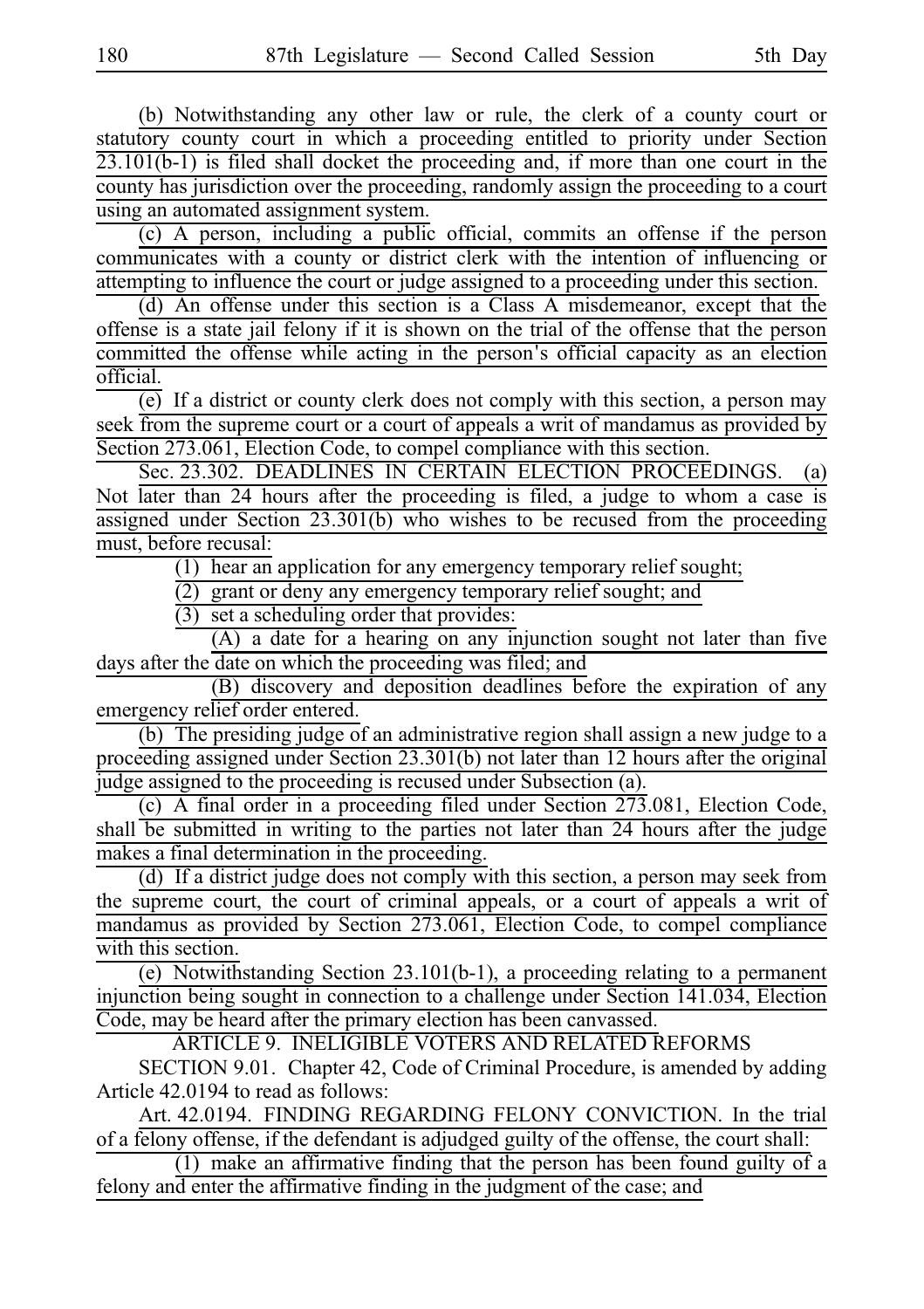(b) Notwithstanding any other law or rule, the clerk of a county court or statutory county court in which a proceeding entitled to priority under Section 23.101(b-1) is filed shall docket the proceeding and, if more than one court in the county has jurisdiction over the proceeding, randomly assign the proceeding to a court using an automated assignment system.

(c) A person, including a public official, commits an offense if the person communicates with a county or district clerk with the intention of influencing or attempting to influence the court or judge assigned to a proceeding under this section.

(d) An offense under this section is a Class A misdemeanor, except that the offense is a state jail felony if it is shown on the trial of the offense that the person committed the offense while acting in the person's official capacity as an election official.

(e) If a district or county clerk does not comply with this section, a person may seek from the supreme court or a court of appeals a writ of mandamus as provided by Section 273.061, Election Code, to compel compliance with this section.

Sec. 23.302. DEADLINES IN CERTAIN ELECTION PROCEEDINGS. (a) Not later than 24 hours after the proceeding is filed, a judge to whom a case is assigned under Section 23.301(b) who wishes to be recused from the proceeding must, before recusal:

 $(1)$  hear an application for any emergency temporary relief sought;

 $\overline{c}$ ) grant or deny any emergency temporary relief sought; and

 $(3)$  set a scheduling order that provides:

 $(A)$  a date for a hearing on any injunction sought not later than five days after the date on which the proceeding was filed; and

(B) discovery and deposition deadlines before the expiration of any emergency relief order entered.

 $\overline{(b)}$  The presiding judge of an administrative region shall assign a new judge to a proceeding assigned under Section 23.301(b) not later than 12 hours after the original judge assigned to the proceeding is recused under Subsection (a).

(c) A final order in a proceeding filed under Section  $273.081$ , Election Code, shall be submitted in writing to the parties not later than 24 hours after the judge makes a final determination in the proceeding.

(d) If a district judge does not comply with this section, a person may seek from the supreme court, the court of criminal appeals, or a court of appeals a writ of mandamus as provided by Section 273.061, Election Code, to compel compliance with this section.

(e) Notwithstanding Section 23.101(b-1), a proceeding relating to a permanent injunction being sought in connection to a challenge under Section 141.034, Election Code, may be heard after the primary election has been canvassed.

ARTICLE 9. INELIGIBLE VOTERS AND RELATED REFORMS

SECTION 9.01. Chapter 42, Code of Criminal Procedure, is amended by adding Article 42.0194 to read as follows:

Art. 42.0194. FINDING REGARDING FELONY CONVICTION. In the trial of a felony offense, if the defendant is adjudged guilty of the offense, the court shall:

 $\overline{(1)}$  make an affirmative finding that the person has been found guilty of a felony and enter the affirmative finding in the judgment of the case; and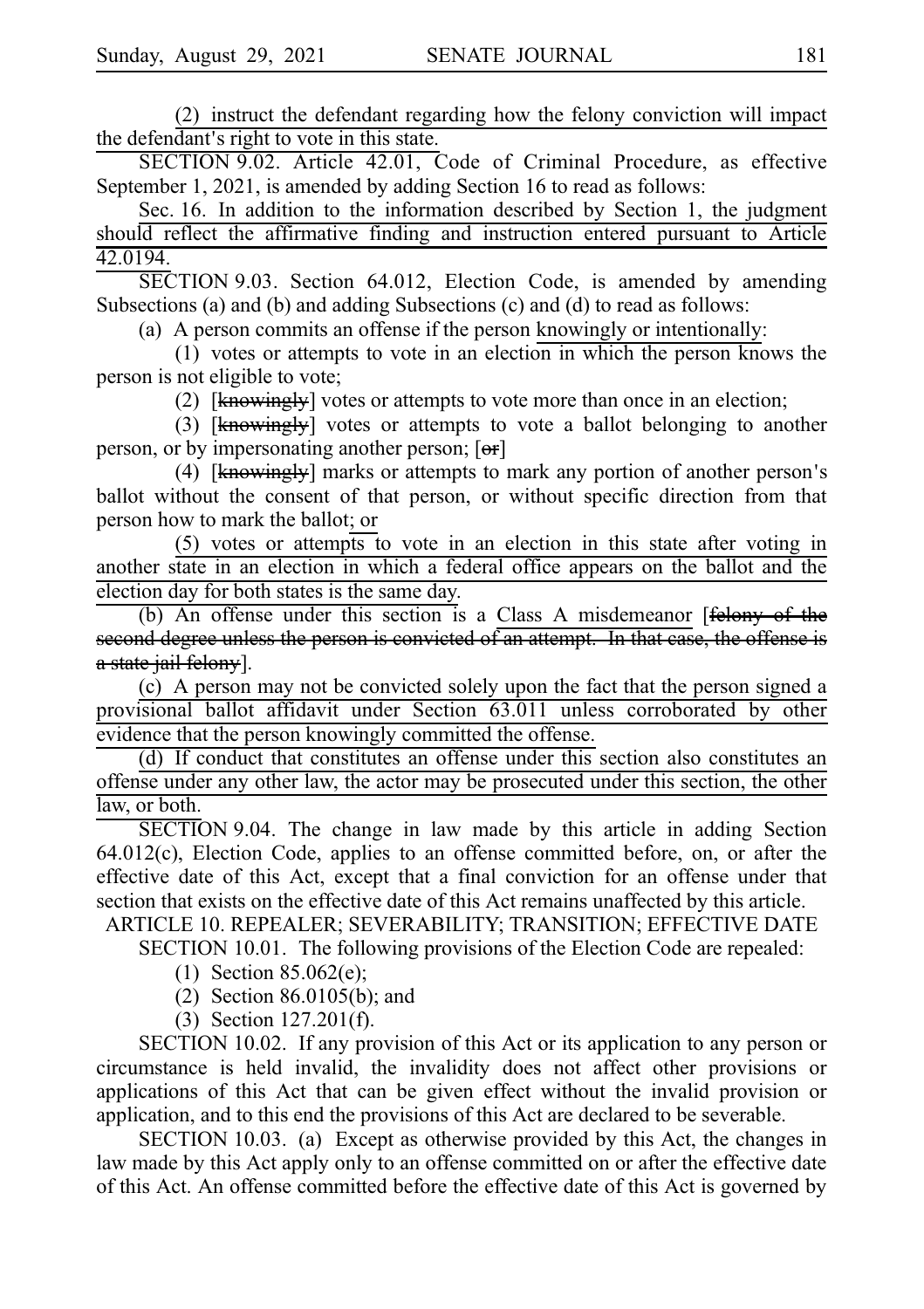(2) instruct the defendant regarding how the felony conviction will impact the defendant's right to vote in this state.

SECTION 9.02. Article 42.01, Code of Criminal Procedure, as effective September 1, 2021, is amended by adding Section 16 to read as follows:

Sec. 16. In addition to the information described by Section 1, the judgment should reflect the affirmative finding and instruction entered pursuant to Article 42.0194.

 $\overline{\text{SECTION 9.03}}$ . Section 64.012, Election Code, is amended by amending Subsections (a) and (b) and adding Subsections (c) and (d) to read as follows:

(a) A person commits an offense if the person knowingly or intentionally:

 $(1)$  votes or attempts to vote in an election in which the person knows the person is not eligible to vote;

(2)  $[knewingly]$  votes or attempts to vote more than once in an election;

(3)  $[knewingly]$  votes or attempts to vote a ballot belonging to another person, or by impersonating another person; [er]

(4)  $[knewing]$  marks or attempts to mark any portion of another person's ballot without the consent of that person, or without specific direction from that person how to mark the ballot; or

(5) votes or attempts to vote in an election in this state after voting in another state in an election in which a federal office appears on the ballot and the election day for both states is the same day.

(b) An offense under this section is a Class A misdemeanor [felony of the second degree unless the person is convicted of an attempt. In that case, the offense is a state jail felony].

(c) A person may not be convicted solely upon the fact that the person signed a provisional ballot affidavit under Section 63.011 unless corroborated by other evidence that the person knowingly committed the offense.

(d) If conduct that constitutes an offense under this section also constitutes an offense under any other law, the actor may be prosecuted under this section, the other law, or both.

SECTION 9.04. The change in law made by this article in adding Section  $64.012(c)$ , Election Code, applies to an offense committed before, on, or after the effective date of this Act, except that a final conviction for an offense under that section that exists on the effective date of this Act remains unaffected by this article.

ARTICLE 10. REPEALER; SEVERABILITY; TRANSITION; EFFECTIVE DATE SECTION 10.01. The following provisions of the Election Code are repealed:

- (1) Section 85.062(e);
	- (2) Section 86.0105(b); and
	- $(3)$  Section 127.201(f).

SECTION 10.02. If any provision of this Act or its application to any person or circumstance is held invalid, the invalidity does not affect other provisions or applications of this Act that can be given effect without the invalid provision or application, and to this end the provisions of this Act are declared to be severable.

SECTION 10.03. (a) Except as otherwise provided by this Act, the changes in law made by this Act apply only to an offense committed on or after the effective date of this Act. An offense committed before the effective date of this Act is governed by